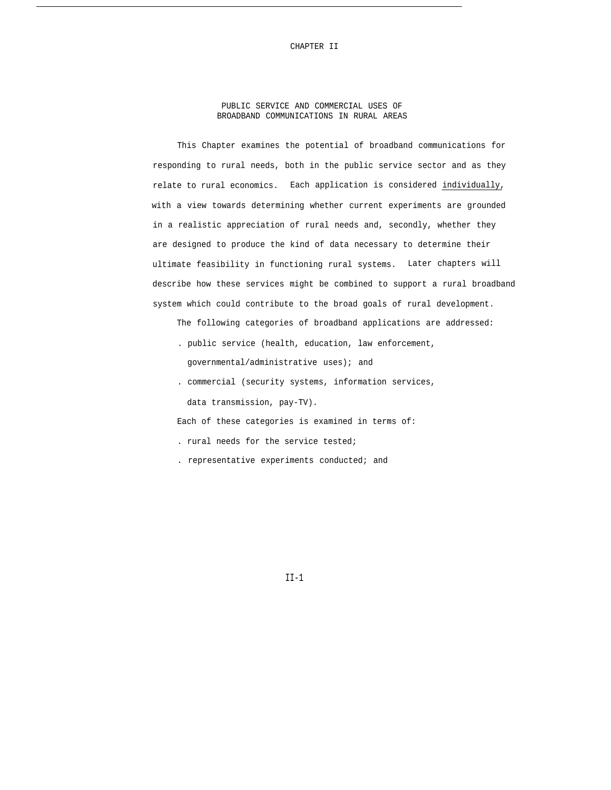PUBLIC SERVICE AND COMMERCIAL USES OF BROADBAND COMMUNICATIONS IN RURAL AREAS

This Chapter examines the potential of broadband communications for responding to rural needs, both in the public service sector and as they relate to rural economics. Each application is considered individually, with a view towards determining whether current experiments are grounded in a realistic appreciation of rural needs and, secondly, whether they are designed to produce the kind of data necessary to determine their ultimate feasibility in functioning rural systems. Later chapters will describe how these services might be combined to support a rural broadband system which could contribute to the broad goals of rural development.

The following categories of broadband applications are addressed:

- . public service (health, education, law enforcement, governmental/administrative uses); and
- . commercial (security systems, information services, data transmission, pay-TV).

Each of these categories is examined in terms of:

- . rural needs for the service tested;
- . representative experiments conducted; and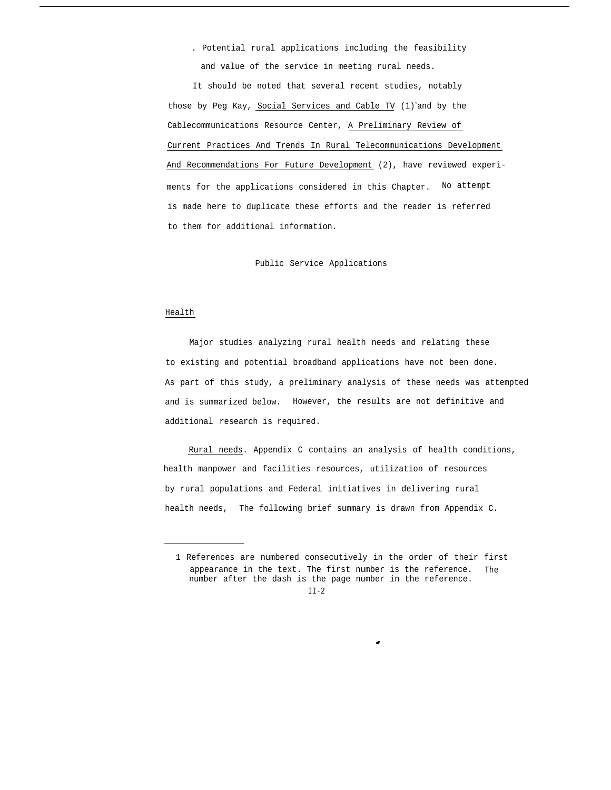. Potential rural applications including the feasibility and value of the service in meeting rural needs.

It should be noted that several recent studies, notably those by Peg Kay, Social Services and Cable TV  $(1)^{1}$ and by the Cablecommunications Resource Center, A Preliminary Review of Current Practices And Trends In Rural Telecommunications Development And Recommendations For Future Development (2), have reviewed experiments for the applications considered in this Chapter. No attempt is made here to duplicate these efforts and the reader is referred to them for additional information.

Public Service Applications

### Health

Major studies analyzing rural health needs and relating these to existing and potential broadband applications have not been done. As part of this study, a preliminary analysis of these needs was attempted and is summarized below. However, the results are not definitive and additional research is required.

Rural needs. Appendix C contains an analysis of health conditions, health manpower and facilities resources, utilization of resources by rural populations and Federal initiatives in delivering rural health needs, The following brief summary is drawn from Appendix C.

<sup>1</sup> References are numbered consecutively in the order of their first appearance in the text. The first number is the reference. The number after the dash is the page number in the reference.

 $II-2$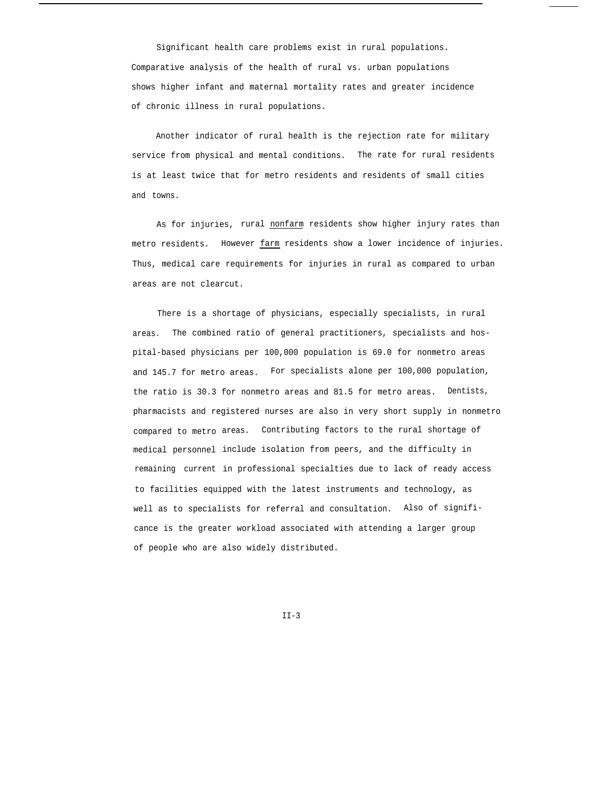Significant health care problems exist in rural populations. Comparative analysis of the health of rural vs. urban populations shows higher infant and maternal mortality rates and greater incidence of chronic illness in rural populations.

Another indicator of rural health is the rejection rate for military service from physical and mental conditions. The rate for rural residents is at least twice that for metro residents and residents of small cities and towns.

As for injuries, rural nonfarm residents show higher injury rates than metro residents. However farm residents show a lower incidence of injuries. Thus, medical care requirements for injuries in rural as compared to urban areas are not clearcut.

There is a shortage of physicians, especially specialists, in rural areas. The combined ratio of general practitioners, specialists and hospital-based physicians per 100,000 population is 69.0 for nonmetro areas and 145.7 for metro areas. For specialists alone per 100,000 population, the ratio is 30.3 for nonmetro areas and 81.5 for metro areas. Dentists, pharmacists and registered nurses are also in very short supply in nonmetro compared to metro areas. Contributing factors to the rural shortage of medical personnel include isolation from peers, and the difficulty in remaining current in professional specialties due to lack of ready access to facilities equipped with the latest instruments and technology, as well as to specialists for referral and consultation. Also of significance is the greater workload associated with attending a larger group of people who are also widely distributed.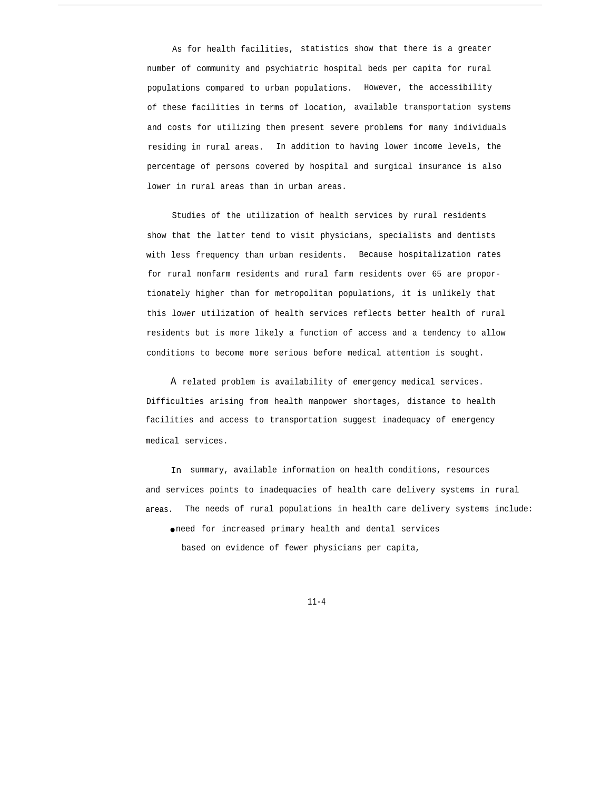As for health facilities, statistics show that there is a greater number of community and psychiatric hospital beds per capita for rural populations compared to urban populations. However, the accessibility of these facilities in terms of location, available transportation systems and costs for utilizing them present severe problems for many individuals residing in rural areas. In addition to having lower income levels, the percentage of persons covered by hospital and surgical insurance is also lower in rural areas than in urban areas.

Studies of the utilization of health services by rural residents show that the latter tend to visit physicians, specialists and dentists with less frequency than urban residents. Because hospitalization rates for rural nonfarm residents and rural farm residents over 65 are proportionately higher than for metropolitan populations, it is unlikely that this lower utilization of health services reflects better health of rural residents but is more likely a function of access and a tendency to allow conditions to become more serious before medical attention is sought.

A related problem is availability of emergency medical services. Difficulties arising from health manpower shortages, distance to health facilities and access to transportation suggest inadequacy of emergency medical services.

In summary, available information on health conditions, resources and services points to inadequacies of health care delivery systems in rural areas. The needs of rural populations in health care delivery systems include: ● need for increased primary health and dental services based on evidence of fewer physicians per capita,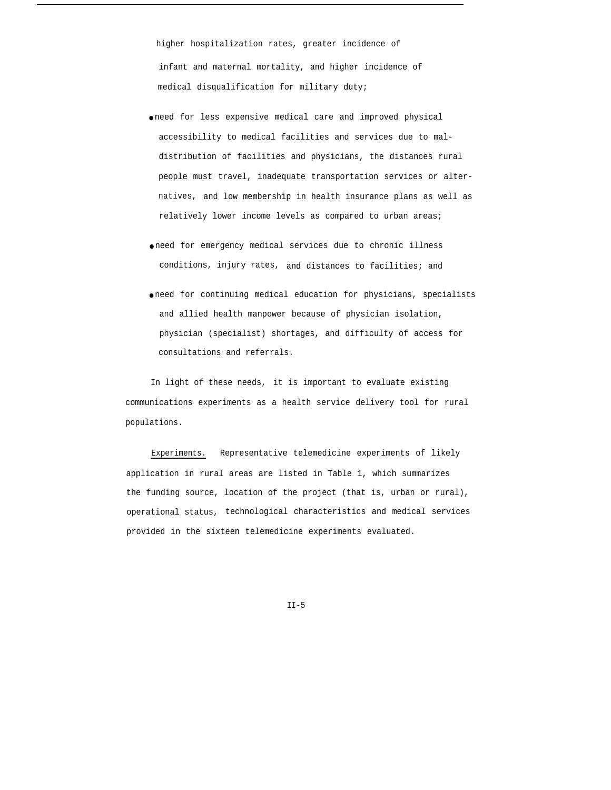higher hospitalization rates, greater incidence of infant and maternal mortality, and higher incidence of medical disqualification for military duty;

- need for less expensive medical care and improved physical accessibility to medical facilities and services due to maldistribution of facilities and physicians, the distances rural people must travel, inadequate transportation services or alternatives, and low membership in health insurance plans as well as relatively lower income levels as compared to urban areas;
- need for emergency medical services due to chronic illness conditions, injury rates, and distances to facilities; and
- need for continuing medical education for physicians, specialists and allied health manpower because of physician isolation, physician (specialist) shortages, and difficulty of access for consultations and referrals.

In light of these needs, it is important to evaluate existing communications experiments as a health service delivery tool for rural populations.

Experiments. Representative telemedicine experiments of likely application in rural areas are listed in Table 1, which summarizes the funding source, location of the project (that is, urban or rural), operational status, technological characteristics and medical services provided in the sixteen telemedicine experiments evaluated.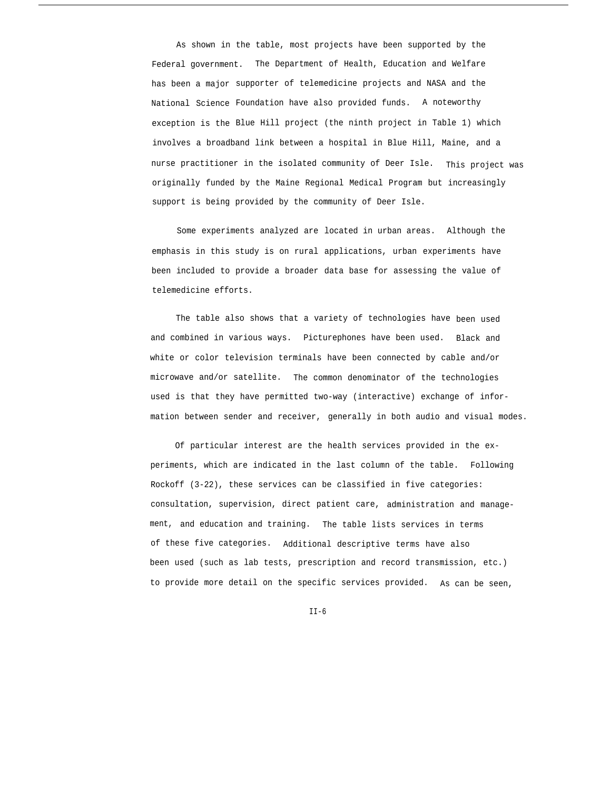As shown in the table, most projects have been supported by the Federal government. The Department of Health, Education and Welfare has been a major supporter of telemedicine projects and NASA and the National Science Foundation have also provided funds. A noteworthy exception is the Blue Hill project (the ninth project in Table 1) which involves a broadband link between a hospital in Blue Hill, Maine, and a nurse practitioner in the isolated community of Deer Isle. This project was originally funded by the Maine Regional Medical Program but increasingly support is being provided by the community of Deer Isle.

Some experiments analyzed are located in urban areas. Although the emphasis in this study is on rural applications, urban experiments have been included to provide a broader data base for assessing the value of telemedicine efforts.

The table also shows that a variety of technologies have been used and combined in various ways. Picturephones have been used. Black and white or color television terminals have been connected by cable and/or microwave and/or satellite. The common denominator of the technologies used is that they have permitted two-way (interactive) exchange of information between sender and receiver, generally in both audio and visual modes.

Of particular interest are the health services provided in the experiments, which are indicated in the last column of the table. Following Rockoff (3-22), these services can be classified in five categories: consultation, supervision, direct patient care, administration and management, and education and training. The table lists services in terms of these five categories. Additional descriptive terms have also been used (such as lab tests, prescription and record transmission, etc.) to provide more detail on the specific services provided. As can be seen,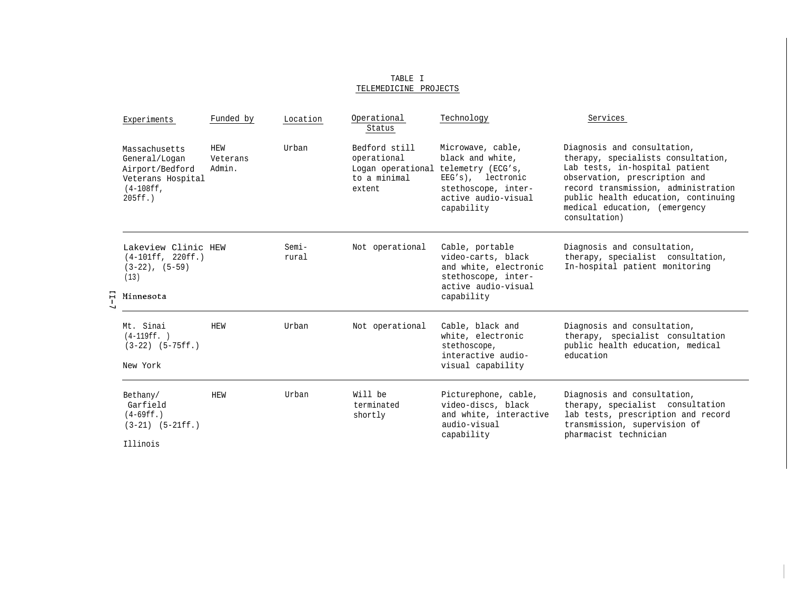|   | Experiments                                                                                         | Funded by                 | Location          | Operational<br>Status                                                       | Technology                                                                                                                                  | Services                                                                                                                                                                                                                                                             |
|---|-----------------------------------------------------------------------------------------------------|---------------------------|-------------------|-----------------------------------------------------------------------------|---------------------------------------------------------------------------------------------------------------------------------------------|----------------------------------------------------------------------------------------------------------------------------------------------------------------------------------------------------------------------------------------------------------------------|
|   | Massachusetts<br>General/Logan<br>Airport/Bedford<br>Veterans Hospital<br>$(4-108ff,$<br>$205ff.$ ) | HEW<br>Veterans<br>Admin. | Urban             | Bedford still<br>operational<br>Logan operational<br>to a minimal<br>extent | Microwave, cable,<br>black and white.<br>telemetry (ECG's,<br>EEG's), lectronic<br>stethoscope, inter-<br>active audio-visual<br>capability | Diagnosis and consultation,<br>therapy, specialists consultation,<br>Lab tests, in-hospital patient<br>observation, prescription and<br>record transmission, administration<br>public health education, continuing<br>medical education, (emergency<br>consultation) |
| 뮤 | Lakeview Clinic HEW<br>$(4-101ff, 220ff.)$<br>$(3-22)$ , $(5-59)$<br>(13)<br>Minnesota              |                           | $Semi -$<br>rural | Not operational                                                             | Cable, portable<br>video-carts, black<br>and white, electronic<br>stethoscope, inter-<br>active audio-visual<br>capability                  | Diagnosis and consultation,<br>therapy, specialist consultation,<br>In-hospital patient monitoring                                                                                                                                                                   |
|   | Mt. Sinai<br>$(4-119ff. )$<br>$(3-22)$ $(5-75ff.)$<br>New York                                      | HEW                       | Urban             | Not operational                                                             | Cable, black and<br>white, electronic<br>stethoscope,<br>interactive audio-<br>visual capability                                            | Diagnosis and consultation,<br>therapy, specialist consultation<br>public health education, medical<br>education                                                                                                                                                     |
|   | Bethany/<br>Garfield<br>$(4-69ff. )$<br>$(3-21)$ $(5-21ff.)$<br>Illinois                            | HEW                       | Urban             | Will be<br>terminated<br>shortly                                            | Picturephone, cable,<br>video-discs, black<br>and white, interactive<br>audio-visual<br>capability                                          | Diagnosis and consultation,<br>therapy, specialist consultation<br>lab tests, prescription and record<br>transmission, supervision of<br>pharmacist technician                                                                                                       |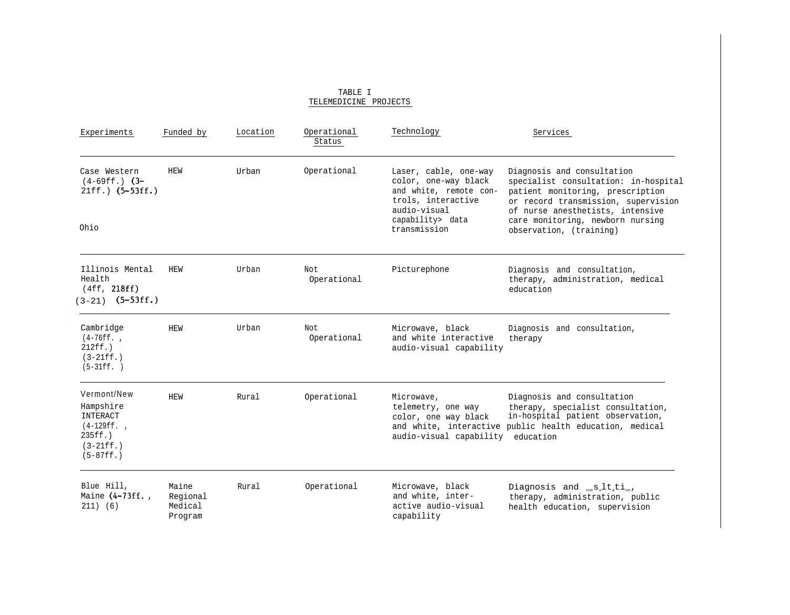| Experiments                                                                                       | Funded by                               | Location | Operational<br>Status | Technology                                                                                                    | Services                                                                                                                                                                          |
|---------------------------------------------------------------------------------------------------|-----------------------------------------|----------|-----------------------|---------------------------------------------------------------------------------------------------------------|-----------------------------------------------------------------------------------------------------------------------------------------------------------------------------------|
| Case Western<br>$(4-69ff.)$ $(3-$<br>$21ff.$ $(5-53ff.)$                                          | <b>HEW</b>                              | Urban    | Operational           | Laser, cable, one-way<br>color, one-way black<br>and white, remote con-<br>trols, interactive<br>audio-visual | Diagnosis and consultation<br>specialist consultation: in-hospital<br>patient monitoring, prescription<br>or record transmission, supervision<br>of nurse anesthetists, intensive |
| Ohio                                                                                              |                                         |          |                       | capability> data<br>transmission                                                                              | care monitoring, newborn nursing<br>observation, (training)                                                                                                                       |
| Illinois Mental<br>Health<br>(4ff, 218ff)<br>$(3-21)$ $(5-53ff.)$                                 | <b>HEW</b>                              | Urban    | Not.<br>Operational   | Picturephone                                                                                                  | Diagnosis and consultation,<br>therapy, administration, medical<br>education                                                                                                      |
| Cambridge<br>$(4-76ff.$<br>$212ff.$ )<br>$(3-21ff. )$<br>$(5-31ff. )$                             | <b>HEW</b>                              | Urban    | Not.<br>Operational   | Microwave, black<br>and white interactive<br>audio-visual capability                                          | Diagnosis and consultation,<br>therapy                                                                                                                                            |
| Vermont/New<br>Hampshire<br>INTERACT<br>$(4-129ff.$<br>$235ff.$ )<br>$(3-21ff. )$<br>$(5-87ff. )$ | <b>HEW</b>                              | Rural    | Operational           | Microwave,<br>telemetry, one way<br>color, one way black<br>audio-visual capability education                 | Diagnosis and consultation<br>therapy, specialist consultation,<br>in-hospital patient observation,<br>and white, interactive public health education, medical                    |
| Blue Hill,<br>Maine (4-73ff.,<br>$211)$ (6)                                                       | Maine<br>Regional<br>Medical<br>Program | Rural    | Operational           | Microwave, black<br>and white, inter-<br>active audio-visual<br>capability                                    | Diagnosis and ${}_{\text{con}}\text{sl}_u\text{lt}_{\text{at}}\text{ti}_{\text{on}}$ ,<br>therapy, administration, public<br>health education, supervision                        |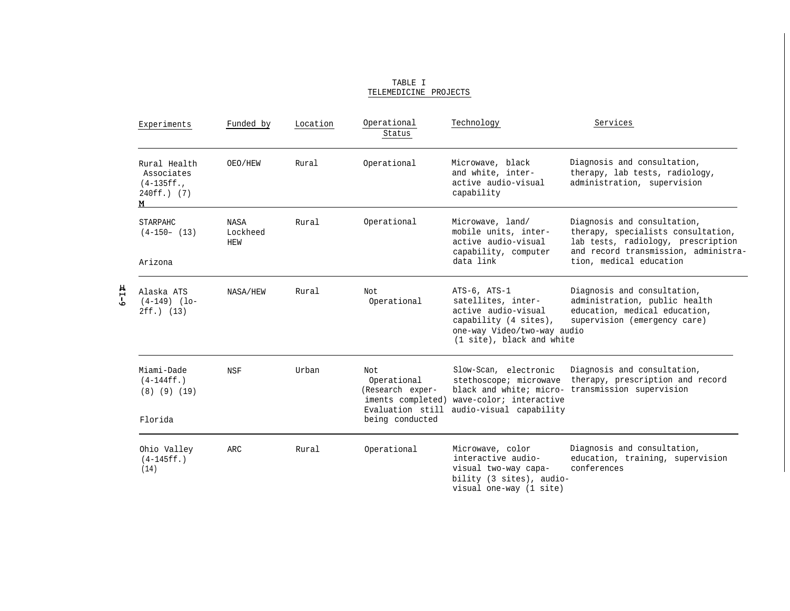| Experiments                                                    | Funded by                             | Location | Operational<br>Status                                                                               | Technology                                                                                                                                     | Services                                                                                                                                                                   |
|----------------------------------------------------------------|---------------------------------------|----------|-----------------------------------------------------------------------------------------------------|------------------------------------------------------------------------------------------------------------------------------------------------|----------------------------------------------------------------------------------------------------------------------------------------------------------------------------|
| Rural Health<br>Associates<br>$(4-135ff.$<br>$240ff.$ (7)<br>м | OEO/HEW                               | Rural    | Operational                                                                                         | Microwave, black<br>and white, inter-<br>active audio-visual<br>capability                                                                     | Diagnosis and consultation,<br>therapy, lab tests, radiology,<br>administration, supervision                                                                               |
| STARPAHC<br>$(4-150- (13))$<br>Arizona                         | <b>NASA</b><br>Lockheed<br><b>HEW</b> | Rural    | Operational                                                                                         | Microwave, land/<br>mobile units, inter-<br>active audio-visual<br>capability, computer<br>data link                                           | Diagnosis and consultation,<br>therapy, specialists consultation,<br>lab tests, radiology, prescription<br>and record transmission, administra-<br>tion, medical education |
| Alaska ATS<br>$(4-149)$ $(10-$<br>$2ff.$ (13)                  | NASA/HEW                              | Rural    | Not.<br>Operational                                                                                 | ATS-6, ATS-1<br>satellites, inter-<br>active audio-visual<br>capability (4 sites),<br>one-way Video/two-way audio<br>(1 site), black and white | Diagnosis and consultation,<br>administration, public health<br>education, medical education,<br>supervision (emergency care)                                              |
| Miami-Dade<br>$(4-144ff.$<br>$(8)$ $(9)$ $(19)$<br>Florida     | <b>NSF</b>                            | Urban    | Not.<br>Operational<br>(Research exper-<br>iments completed)<br>Evaluation still<br>being conducted | Slow-Scan, electronic<br>stethoscope; microwave<br>wave-color; interactive<br>audio-visual capability                                          | Diagnosis and consultation,<br>therapy, prescription and record<br>black and white; micro- transmission supervision                                                        |
| Ohio Valley<br>$(4-145ff.$<br>(14)                             | <b>ARC</b>                            | Rural    | Operational                                                                                         | Microwave, color<br>interactive audio-<br>visual two-way capa-<br>bility (3 sites), audio-<br>visual one-way (1 site)                          | Diagnosis and consultation,<br>education, training, supervision<br>conferences                                                                                             |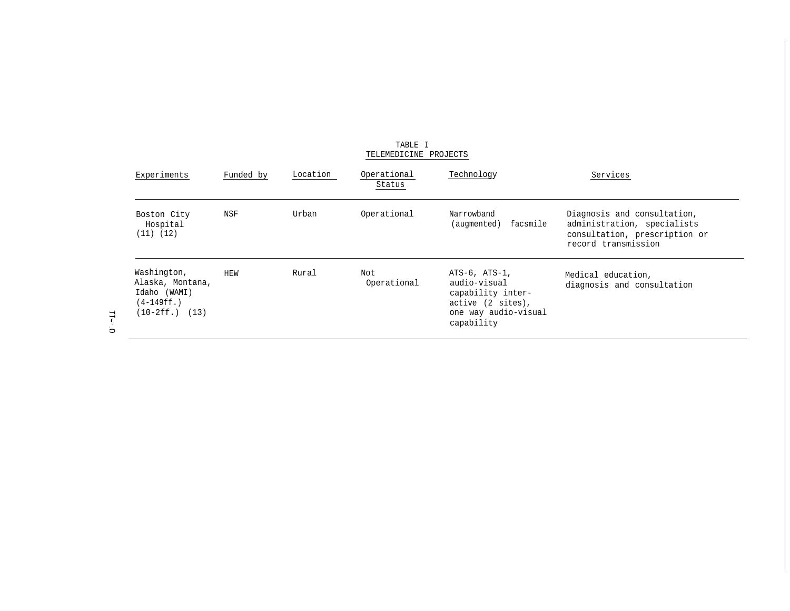| Experiments                                                                          | Funded by | Location | Operational<br>Status | Technology                                                                                                    | Services                                                                                                           |
|--------------------------------------------------------------------------------------|-----------|----------|-----------------------|---------------------------------------------------------------------------------------------------------------|--------------------------------------------------------------------------------------------------------------------|
| Boston City<br>Hospital<br>$(11)$ $(12)$                                             | NSF       | Urban    | Operational           | Narrowband<br>facsmile<br>(augmented)                                                                         | Diagnosis and consultation,<br>administration, specialists<br>consultation, prescription or<br>record transmission |
| Washington,<br>Alaska, Montana,<br>Idaho (WAMI)<br>$(4-149ff.$<br>$(10-2ff.)$ $(13)$ | HEW       | Rural    | Not<br>Operational    | ATS-6, ATS-1,<br>audio-visual<br>capability inter-<br>active (2 sites),<br>one way audio-visual<br>capability | Medical education,<br>diagnosis and consultation                                                                   |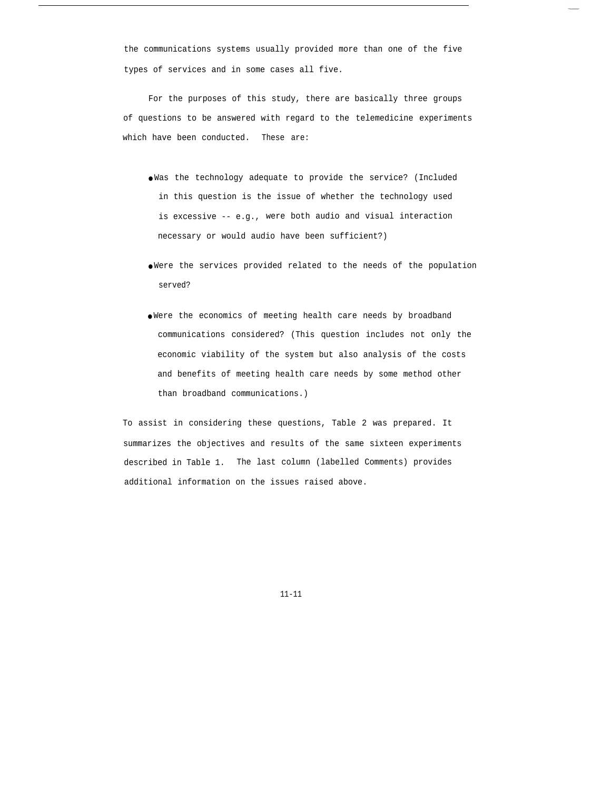the communications systems usually provided more than one of the five types of services and in some cases all five.

For the purposes of this study, there are basically three groups of questions to be answered with regard to the telemedicine experiments which have been conducted. These are:

- Was the technology adequate to provide the service? (Included in this question is the issue of whether the technology used is excessive -- e.g., were both audio and visual interaction necessary or would audio have been sufficient?)
- Were the services provided related to the needs of the population served?
- Were the economics of meeting health care needs by broadband communications considered? (This question includes not only the economic viability of the system but also analysis of the costs and benefits of meeting health care needs by some method other than broadband communications.)

To assist in considering these questions, Table 2 was prepared. It summarizes the objectives and results of the same sixteen experiments described in Table 1. The last column (labelled Comments) provides additional information on the issues raised above.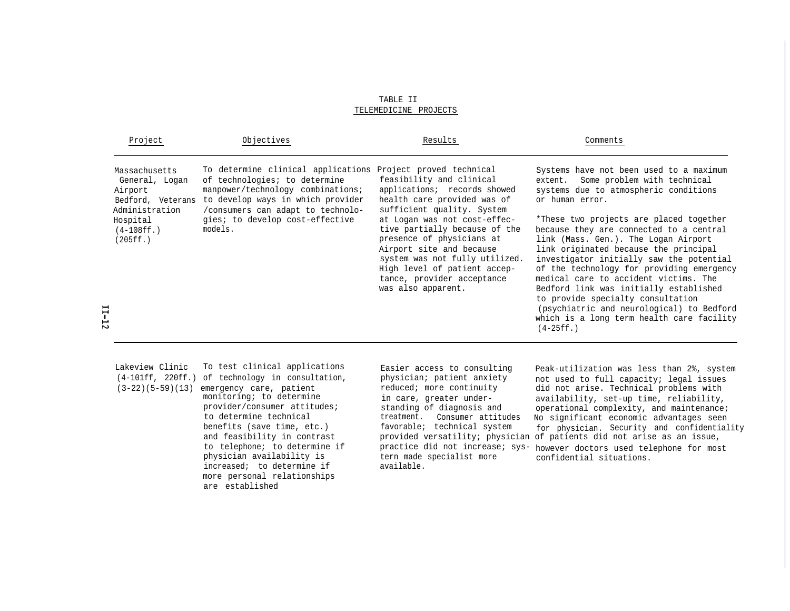TABLE II TELEMEDICINE PROJECTS

| Project                                                                           | Objectives                                                                                                                                                                                                  | Results                                                                                                                                                                                                                                      | Comments                                                                                                                                                                                                                                                                                                                                                                                                                                                                                     |
|-----------------------------------------------------------------------------------|-------------------------------------------------------------------------------------------------------------------------------------------------------------------------------------------------------------|----------------------------------------------------------------------------------------------------------------------------------------------------------------------------------------------------------------------------------------------|----------------------------------------------------------------------------------------------------------------------------------------------------------------------------------------------------------------------------------------------------------------------------------------------------------------------------------------------------------------------------------------------------------------------------------------------------------------------------------------------|
| Massachusetts<br>General, Logan<br>Airport<br>Bedford, Veterans<br>Administration | To determine clinical applications Project proved technical<br>of technologies; to determine<br>manpower/technology combinations;<br>to develop ways in which provider<br>/consumers can adapt to technolo- | feasibility and clinical<br>applications; records showed<br>health care provided was of<br>sufficient quality. System                                                                                                                        | Systems have not been used to a maximum<br>Some problem with technical<br>extent.<br>systems due to atmospheric conditions<br>or human error.                                                                                                                                                                                                                                                                                                                                                |
| Hospital<br>$(4-108ff.)$<br>(205ff.)                                              | gies; to develop cost-effective<br>models.                                                                                                                                                                  | at Logan was not cost-effec-<br>tive partially because of the<br>presence of physicians at<br>Airport site and because<br>system was not fully utilized.<br>High level of patient accep-<br>tance, provider acceptance<br>was also apparent. | *These two projects are placed together<br>because they are connected to a central<br>link (Mass. Gen.). The Logan Airport<br>link originated because the principal<br>investigator initially saw the potential<br>of the technology for providing emergency<br>medical care to accident victims. The<br>Bedford link was initially established<br>to provide specialty consultation<br>(psychiatric and neurological) to Bedford<br>which is a long term health care facility<br>$(4-25ff.$ |

| Lakeview Clinic    | To test clinical applications                                                                                                                                                                                                                                                                         |
|--------------------|-------------------------------------------------------------------------------------------------------------------------------------------------------------------------------------------------------------------------------------------------------------------------------------------------------|
|                    | (4-101ff, 220ff.) of technology in consultation,                                                                                                                                                                                                                                                      |
| $(3-22)(5-59)(13)$ | emergency care, patient<br>monitoring; to determine<br>provider/consumer attitudes;<br>to determine technical<br>benefits (save time, etc.)<br>and feasibility in contrast<br>to telephone; to determine if<br>physician availability is<br>increased; to determine if<br>more personal relationships |
|                    | are established                                                                                                                                                                                                                                                                                       |

available.

Easier access to consulting peak-utilization was less than 2%, system<br>physician; patient anxiety and used to full capacity; legal issues physician; patient anxiety and used to full capacity; legal issues<br>reduced; more continuity aid not arise. Technical problems with did not arise. Technical problems with in care, greater under-<br>availability, set-up time, reliability, standing of diagnosis and<br>operational complexity, and maintenance. standing of diagnosis and operational complexity, and maintenance;<br>treatment. Consumer attitudes No significant economic advantages seen treatment. Consumer attitudes No significant economic advantages seen<br>favorable; technical system for physician. Security and confidential for physician. Security and confidentiality provided versatility; physician of patients did not arise as an issue, practice did not increase; sys- however doctors used telephone for most<br>tern made specialist more<br>confidential situations confidential situations.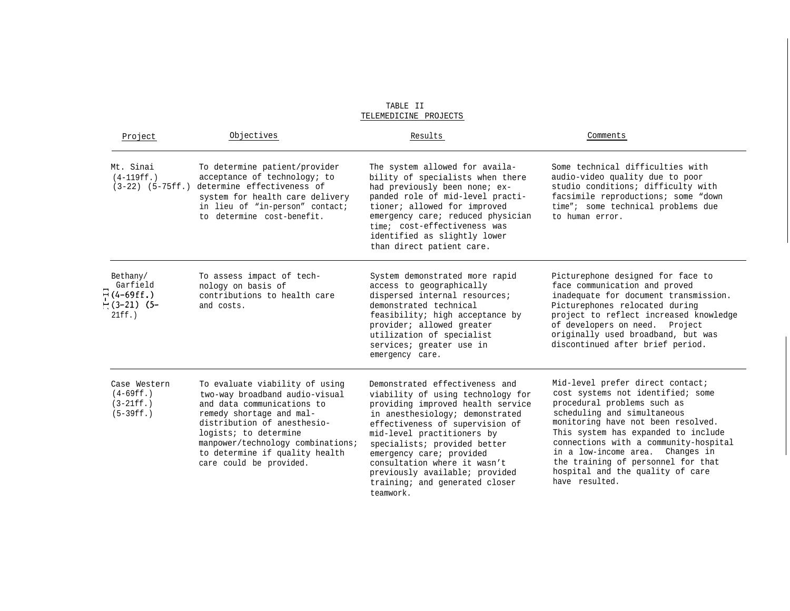| Project                                                               | Objectives                                                                                                                                                                                                                                                                           | Results                                                                                                                                                                                                                                                                                                                                                                                   | Comments                                                                                                                                                                                                                                                                                                                                                                                  |
|-----------------------------------------------------------------------|--------------------------------------------------------------------------------------------------------------------------------------------------------------------------------------------------------------------------------------------------------------------------------------|-------------------------------------------------------------------------------------------------------------------------------------------------------------------------------------------------------------------------------------------------------------------------------------------------------------------------------------------------------------------------------------------|-------------------------------------------------------------------------------------------------------------------------------------------------------------------------------------------------------------------------------------------------------------------------------------------------------------------------------------------------------------------------------------------|
| Mt. Sinai<br>$(4-119ff.$                                              | To determine patient/provider<br>acceptance of technology; to<br>(3-22) (5-75ff.) determine effectiveness of<br>system for health care delivery<br>in lieu of "in-person" contact;<br>to determine cost-benefit.                                                                     | The system allowed for availa-<br>bility of specialists when there<br>had previously been none; ex-<br>panded role of mid-level practi-<br>tioner; allowed for improved<br>emergency care; reduced physician<br>time; cost-effectiveness was<br>identified as slightly lower<br>than direct patient care.                                                                                 | Some technical difficulties with<br>audio-video quality due to poor<br>studio conditions; difficulty with<br>facsimile reproductions; some "down<br>time"; some technical problems due<br>to human error.                                                                                                                                                                                 |
| Bethany/<br>Garfield<br>$\Xi$ (4-69ff.)<br>$-(3-21)$ (5-<br>$21ff.$ ) | To assess impact of tech-<br>nology on basis of<br>contributions to health care<br>and costs.                                                                                                                                                                                        | System demonstrated more rapid<br>access to geographically<br>dispersed internal resources;<br>demonstrated technical<br>feasibility; high acceptance by<br>provider; allowed greater<br>utilization of specialist<br>services; greater use in<br>emergency care.                                                                                                                         | Picturephone designed for face to<br>face communication and proved<br>inadequate for document transmission.<br>Picturephones relocated during<br>project to reflect increased knowledge<br>of developers on need. Project<br>originally used broadband, but was<br>discontinued after brief period.                                                                                       |
| Case Western<br>$(4-69ff.$<br>$(3-21ff. )$<br>$(5-39ff.)$             | To evaluate viability of using<br>two-way broadband audio-visual<br>and data communications to<br>remedy shortage and mal-<br>distribution of anesthesio-<br>logists; to determine<br>manpower/technology combinations;<br>to determine if quality health<br>care could be provided. | Demonstrated effectiveness and<br>viability of using technology for<br>providing improved health service<br>in anesthesiology; demonstrated<br>effectiveness of supervision of<br>mid-level practitioners by<br>specialists; provided better<br>emergency care; provided<br>consultation where it wasn't<br>previously available; provided<br>training; and generated closer<br>teamwork. | Mid-level prefer direct contact;<br>cost systems not identified; some<br>procedural problems such as<br>scheduling and simultaneous<br>monitoring have not been resolved.<br>This system has expanded to include<br>connections with a community-hospital<br>in a low-income area. Changes in<br>the training of personnel for that<br>hospital and the quality of care<br>have resulted. |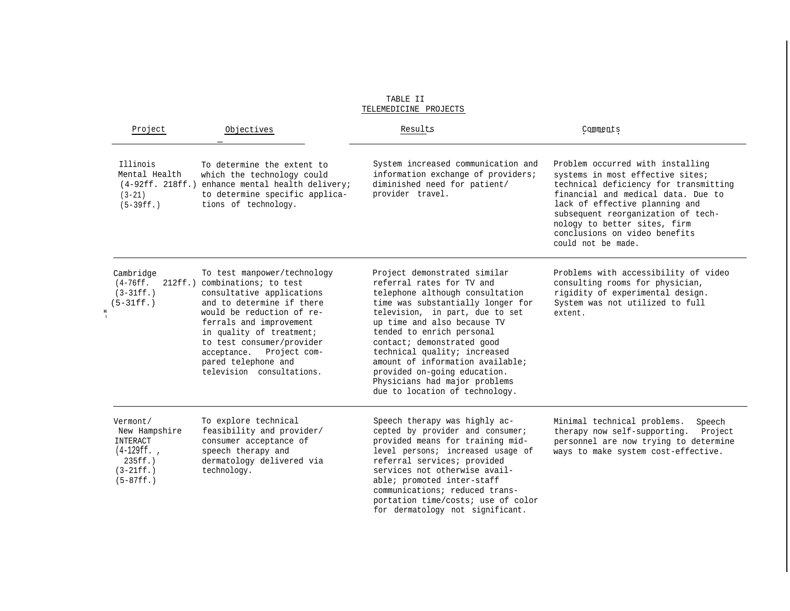| Project                                                                                            | Objectives                                                                                                                                                                                                                                                                                                              | Results                                                                                                                                                                                                                                                                                                                                                                                                                               | Comments                                                                                                                                                                                                                                                                                                           |  |
|----------------------------------------------------------------------------------------------------|-------------------------------------------------------------------------------------------------------------------------------------------------------------------------------------------------------------------------------------------------------------------------------------------------------------------------|---------------------------------------------------------------------------------------------------------------------------------------------------------------------------------------------------------------------------------------------------------------------------------------------------------------------------------------------------------------------------------------------------------------------------------------|--------------------------------------------------------------------------------------------------------------------------------------------------------------------------------------------------------------------------------------------------------------------------------------------------------------------|--|
| Illinois<br>Mental Health<br>$(4-92ff. 218ff.)$<br>$(3-21)$<br>$(5-39ff. )$                        | To determine the extent to<br>which the technology could<br>enhance mental health delivery;<br>to determine specific applica-<br>tions of technology.                                                                                                                                                                   | System increased communication and<br>information exchange of providers;<br>diminished need for patient/<br>provider travel.                                                                                                                                                                                                                                                                                                          | Problem occurred with installing<br>systems in most effective sites;<br>technical deficiency for transmitting<br>financial and medical data. Due to<br>lack of effective planning and<br>subsequent reorganization of tech-<br>nology to better sites, firm<br>conclusions on video benefits<br>could not be made. |  |
| Cambridge<br>$(4-76ff.$<br>$(3-31ff.)$<br>$(5-31ff. )$<br>н                                        | To test manpower/technology<br>212ff.) combinations; to test<br>consultative applications<br>and to determine if there<br>would be reduction of re-<br>ferrals and improvement<br>in quality of treatment;<br>to test consumer/provider<br>acceptance. Project com-<br>pared telephone and<br>television consultations. | Project demonstrated similar<br>referral rates for TV and<br>telephone although consultation<br>time was substantially longer for<br>television, in part, due to set<br>up time and also because TV<br>tended to enrich personal<br>contact; demonstrated good<br>technical quality; increased<br>amount of information available;<br>provided on-going education.<br>Physicians had major problems<br>due to location of technology. | Problems with accessibility of video<br>consulting rooms for physician,<br>rigidity of experimental design.<br>System was not utilized to full<br>extent.                                                                                                                                                          |  |
| Vermont/<br>New Hampshire<br>INTERACT<br>$(4-129ff.$<br>$235ff.$ )<br>$(3-21ff. )$<br>$(5-87ff. )$ | To explore technical<br>feasibility and provider/<br>consumer acceptance of<br>speech therapy and<br>dermatology delivered via<br>technology.                                                                                                                                                                           | Speech therapy was highly ac-<br>cepted by provider and consumer;<br>provided means for training mid-<br>level persons; increased usage of<br>referral services; provided<br>services not otherwise avail-<br>able; promoted inter-staff<br>communications; reduced trans-<br>portation time/costs; use of color                                                                                                                      | Minimal technical problems.<br>Speech<br>therapy now self-supporting.<br>Project<br>personnel are now trying to determine<br>ways to make system cost-effective.                                                                                                                                                   |  |

for dermatology not significant.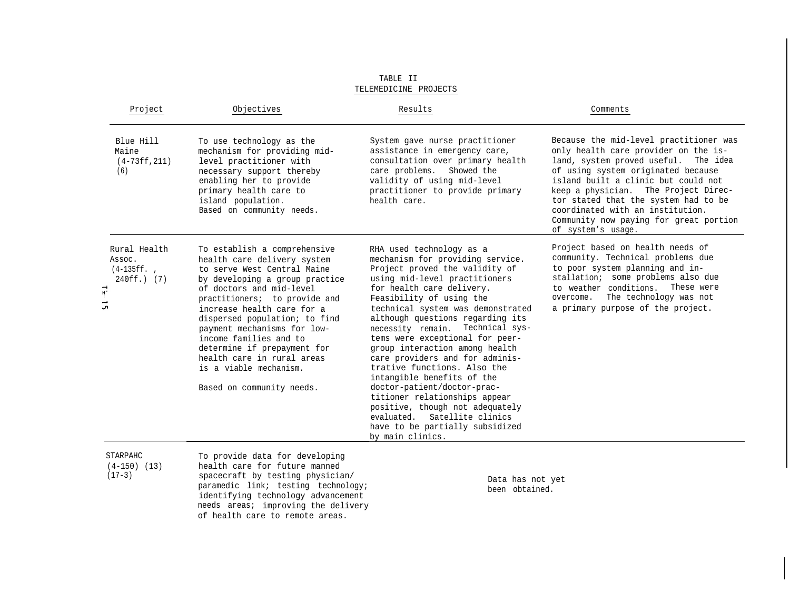| Project                                                                                           | Objectives                                                                                                                                                                                                                                                                                                                                                                                                                            | Results                                                                                                                                                                                                                                                                                                                                                                                                                                                                                                                                                                                                                                                              | Comments                                                                                                                                                                                                                                                                                                                                                                                |
|---------------------------------------------------------------------------------------------------|---------------------------------------------------------------------------------------------------------------------------------------------------------------------------------------------------------------------------------------------------------------------------------------------------------------------------------------------------------------------------------------------------------------------------------------|----------------------------------------------------------------------------------------------------------------------------------------------------------------------------------------------------------------------------------------------------------------------------------------------------------------------------------------------------------------------------------------------------------------------------------------------------------------------------------------------------------------------------------------------------------------------------------------------------------------------------------------------------------------------|-----------------------------------------------------------------------------------------------------------------------------------------------------------------------------------------------------------------------------------------------------------------------------------------------------------------------------------------------------------------------------------------|
| Blue Hill<br>Maine<br>$(4-73ff, 211)$<br>(6)                                                      | To use technology as the<br>mechanism for providing mid-<br>level practitioner with<br>necessary support thereby<br>enabling her to provide<br>primary health care to<br>island population.<br>Based on community needs.                                                                                                                                                                                                              | System gave nurse practitioner<br>assistance in emergency care,<br>consultation over primary health<br>care problems. Showed the<br>validity of using mid-level<br>practitioner to provide primary<br>health care.                                                                                                                                                                                                                                                                                                                                                                                                                                                   | Because the mid-level practitioner was<br>only health care provider on the is-<br>land, system proved useful. The idea<br>of using system originated because<br>island built a clinic but could not<br>keep a physician. The Project Direc-<br>tor stated that the system had to be<br>coordinated with an institution.<br>Community now paying for great portion<br>of system's usage. |
| Rural Health<br>Assoc.<br>$(4-135ff.$<br>240ff.) (7)<br>⊣<br>$\mathbf{H}^{\mathbf{f}}$<br>د.<br>م | To establish a comprehensive<br>health care delivery system<br>to serve West Central Maine<br>by developing a group practice<br>of doctors and mid-level<br>practitioners; to provide and<br>increase health care for a<br>dispersed population; to find<br>payment mechanisms for low-<br>income families and to<br>determine if prepayment for<br>health care in rural areas<br>is a viable mechanism.<br>Based on community needs. | RHA used technology as a<br>mechanism for providing service.<br>Project proved the validity of<br>using mid-level practitioners<br>for health care delivery.<br>Feasibility of using the<br>technical system was demonstrated<br>although questions regarding its<br>necessity remain. Technical sys-<br>tems were exceptional for peer-<br>group interaction among health<br>care providers and for adminis-<br>trative functions. Also the<br>intangible benefits of the<br>doctor-patient/doctor-prac-<br>titioner relationships appear<br>positive, though not adequately<br>evaluated. Satellite clinics<br>have to be partially subsidized<br>by main clinics. | Project based on health needs of<br>community. Technical problems due<br>to poor system planning and in-<br>stallation; some problems also due<br>These were<br>to weather conditions.<br>overcome. The technology was not<br>a primary purpose of the project.                                                                                                                         |

STARPAHC To provide data for developing<br>(4-150) (13) health care for future manned (4-150) (13) health care for future manned<br>(17-3) spacecraft by testing physicial spacecraft by testing physician/ Data has not yet<br>paramedic link; testing technology; been obtained. paramedic link; testing technology; identifying technology advancement needs areas; improving the delivery of health care to remote areas.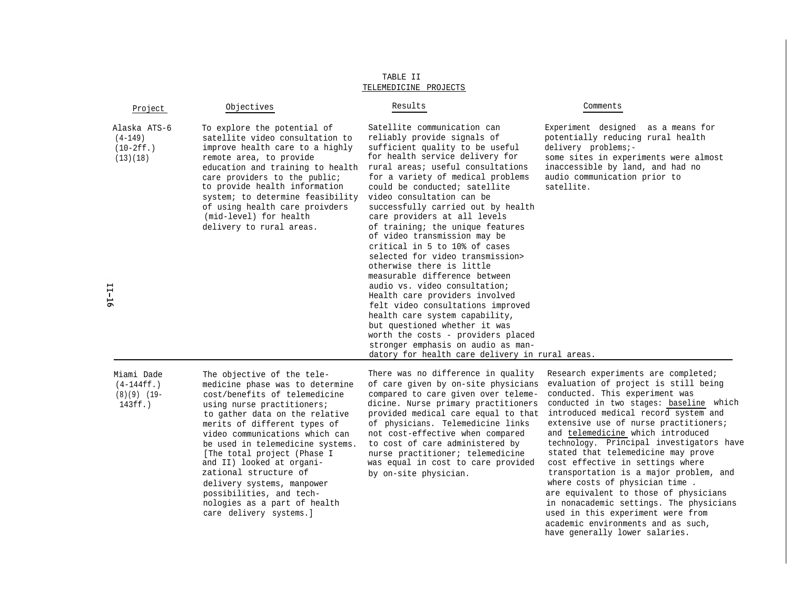| Project                                                 | Objectives                                                                                                                                                                                                                                                                                                                                                     | Results                                                                                                                                                                                                                                                                                                                                                                                                                                                                                                                                                                                                                                                                                                                                                                                                                                                         | Comments                                                                                                                                                                                                                  |
|---------------------------------------------------------|----------------------------------------------------------------------------------------------------------------------------------------------------------------------------------------------------------------------------------------------------------------------------------------------------------------------------------------------------------------|-----------------------------------------------------------------------------------------------------------------------------------------------------------------------------------------------------------------------------------------------------------------------------------------------------------------------------------------------------------------------------------------------------------------------------------------------------------------------------------------------------------------------------------------------------------------------------------------------------------------------------------------------------------------------------------------------------------------------------------------------------------------------------------------------------------------------------------------------------------------|---------------------------------------------------------------------------------------------------------------------------------------------------------------------------------------------------------------------------|
| Alaska ATS-6<br>$(4 - 149)$<br>$(10-2ff. )$<br>(13)(18) | To explore the potential of<br>satellite video consultation to<br>improve health care to a highly<br>remote area, to provide<br>education and training to health<br>care providers to the public;<br>to provide health information<br>system; to determine feasibility<br>of using health care proivders<br>(mid-level) for health<br>delivery to rural areas. | Satellite communication can<br>reliably provide signals of<br>sufficient quality to be useful<br>for health service delivery for<br>rural areas; useful consultations<br>for a variety of medical problems<br>could be conducted; satellite<br>video consultation can be<br>successfully carried out by health<br>care providers at all levels<br>of training; the unique features<br>of video transmission may be<br>critical in 5 to 10% of cases<br>selected for video transmission><br>otherwise there is little<br>measurable difference between<br>audio vs. video consultation;<br>Health care providers involved<br>felt video consultations improved<br>health care system capability,<br>but questioned whether it was<br>worth the costs - providers placed<br>stronger emphasis on audio as man-<br>datory for health care delivery in rural areas. | Experiment designed as a means for<br>potentially reducing rural health<br>delivery problems;-<br>some sites in experiments were almost<br>inaccessible by land, and had no<br>audio communication prior to<br>satellite. |
|                                                         |                                                                                                                                                                                                                                                                                                                                                                |                                                                                                                                                                                                                                                                                                                                                                                                                                                                                                                                                                                                                                                                                                                                                                                                                                                                 |                                                                                                                                                                                                                           |

11-16

zational structure of by on-site physician. delivery systems, manpower possibilities, and technologies as a part of health care delivery systems.]

Miami Dade The objective of the tele- There was no difference in quality Research experiments are completed;  $(8)(9)$  (19- cost/benefits of telemedicine compared to care given over teleme-<br>143ff.) using nurse practitioners; dicine. Nurse primary practitioners to gather data on the relative provided medical care equal to that merits of different types of of physicians. Telemedicine links video communications which can not cost-effective when compared be used in telemedicine systems. to cost of care administered by [The total project (Phase I murse practitioner; telemedicine [The total project (Phase I nurse practitioner; telemedicine<br>and II) looked at organi-<br>was equal in cost to care provide was equal in cost to care provided

(4-144ff.) medicine phase was to determine of care given by on-site physicians evaluation of project is still being<br>(8)(9) (19- cost/benefits of telemedicine compared to care given over teleme- conducted. This experiment w using nurse practitioners; dicine. Nurse primary practitioners conducted in two stages: baseline which<br>to gather data on the relative provided medical care equal to that introduced medical record system and extensive use of nurse practitioners; and telemedicine which introduced technology. Principal investigators have stated that telemedicine may prove cost effective in settings where transportation is a major problem, and where costs of physician time . are equivalent to those of physicians in nonacademic settings. The physicians used in this experiment were from academic environments and as such, have generally lower salaries.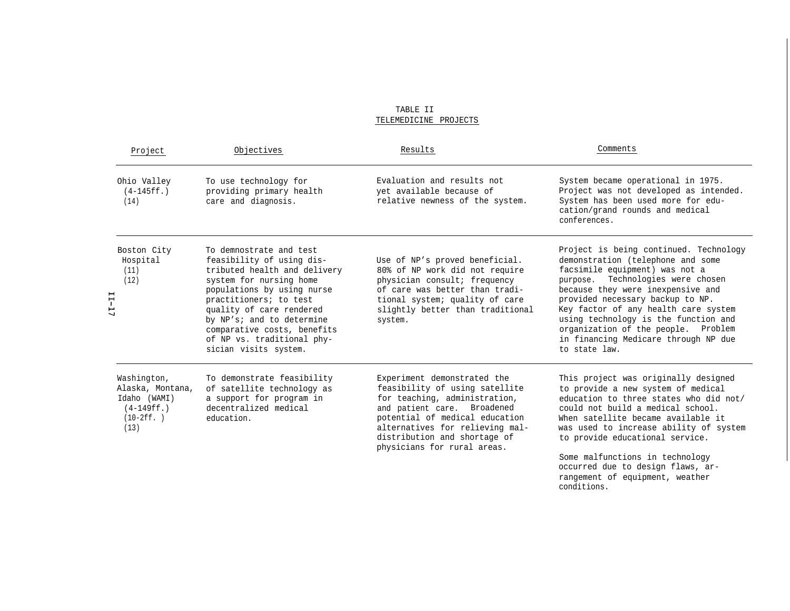TABLE II TELEMEDICINE PROJECTS

| Project                                                                                  | Objectives                                                                                                                                                                                                                                                                                                             | Results                                                                                                                                                                                                                                                           | Comments                                                                                                                                                                                                                                                                                                                                                                                                       |
|------------------------------------------------------------------------------------------|------------------------------------------------------------------------------------------------------------------------------------------------------------------------------------------------------------------------------------------------------------------------------------------------------------------------|-------------------------------------------------------------------------------------------------------------------------------------------------------------------------------------------------------------------------------------------------------------------|----------------------------------------------------------------------------------------------------------------------------------------------------------------------------------------------------------------------------------------------------------------------------------------------------------------------------------------------------------------------------------------------------------------|
| Ohio Valley<br>$(4-145ff.$<br>(14)                                                       | To use technology for<br>providing primary health<br>care and diagnosis.                                                                                                                                                                                                                                               | Evaluation and results not<br>yet available because of<br>relative newness of the system.                                                                                                                                                                         | System became operational in 1975.<br>Project was not developed as intended.<br>System has been used more for edu-<br>cation/grand rounds and medical<br>conferences.                                                                                                                                                                                                                                          |
| Boston City<br>Hospital<br>(11)<br>(12)<br>11-11                                         | To demnostrate and test<br>feasibility of using dis-<br>tributed health and delivery<br>system for nursing home<br>populations by using nurse<br>practitioners; to test<br>quality of care rendered<br>by NP's; and to determine<br>comparative costs, benefits<br>of NP vs. traditional phy-<br>sician visits system. | Use of NP's proved beneficial.<br>80% of NP work did not require<br>physician consult; frequency<br>of care was better than tradi-<br>tional system; quality of care<br>slightly better than traditional<br>system.                                               | Project is being continued. Technology<br>demonstration (telephone and some<br>facsimile equipment) was not a<br>Technologies were chosen<br>purpose.<br>because they were inexpensive and<br>provided necessary backup to NP.<br>Key factor of any health care system<br>using technology is the function and<br>organization of the people. Problem<br>in financing Medicare through NP due<br>to state law. |
| Washington,<br>Alaska, Montana,<br>Idaho (WAMI)<br>$(4-149ff. )$<br>$(10-2ff. )$<br>(13) | To demonstrate feasibility<br>of satellite technology as<br>a support for program in<br>decentralized medical<br>education.                                                                                                                                                                                            | Experiment demonstrated the<br>feasibility of using satellite<br>for teaching, administration,<br>and patient care. Broadened<br>potential of medical education<br>alternatives for relieving mal-<br>distribution and shortage of<br>physicians for rural areas. | This project was originally designed<br>to provide a new system of medical<br>education to three states who did not/<br>could not build a medical school.<br>When satellite became available it<br>was used to increase ability of system<br>to provide educational service.<br>Some malfunctions in technology<br>occurred due to design flaws, ar-                                                           |

rangement of equipment, weather

conditions.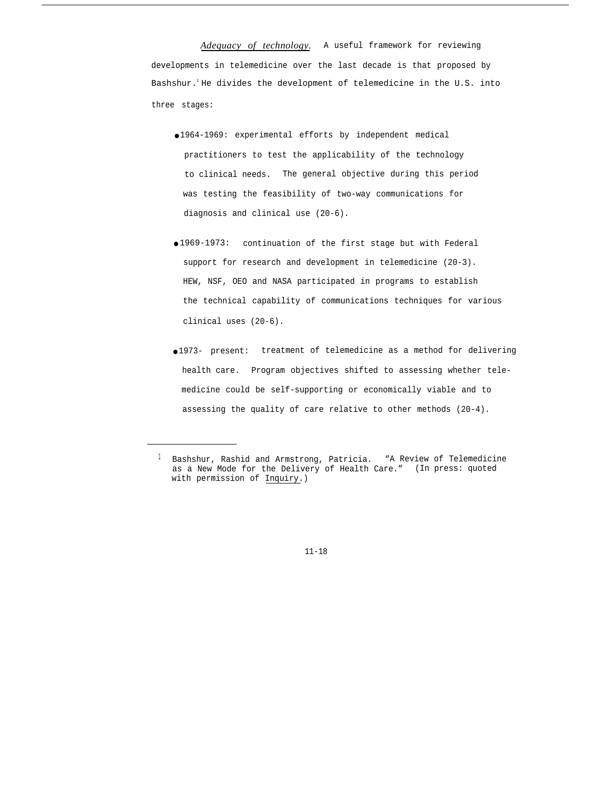*Adequacy of technology.* A useful framework for reviewing developments in telemedicine over the last decade is that proposed by Bashshur.<sup>1</sup>He divides the development of telemedicine in the U.S. into three stages:

- 1964-1969: experimental efforts by independent medical practitioners to test the applicability of the technology to clinical needs. The general objective during this period was testing the feasibility of two-way communications for diagnosis and clinical use (20-6).
- 1969-1973: continuation of the first stage but with Federal support for research and development in telemedicine (20-3). HEW, NSF, OEO and NASA participated in programs to establish the technical capability of communications techniques for various clinical uses (20-6).
- 1973- present: treatment of telemedicine as a method for delivering health care. Program objectives shifted to assessing whether telemedicine could be self-supporting or economically viable and to assessing the quality of care relative to other methods (20-4).

<sup>&</sup>lt;sup>1</sup> Bashshur, Rashid and Armstrong, Patricia. "A Review of Telemedicine as a New Mode for the Delivery of Health Care." (In press: quoted with permission of Inquiry.)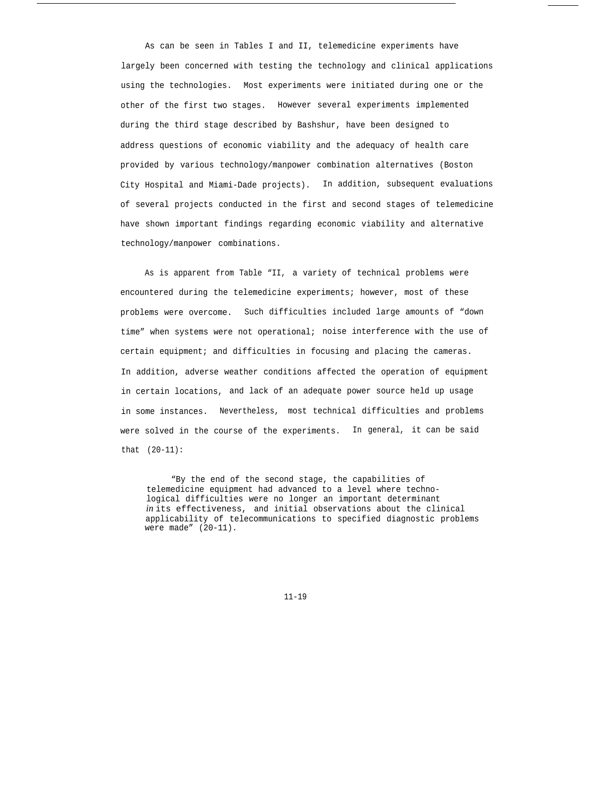As can be seen in Tables I and II, telemedicine experiments have largely been concerned with testing the technology and clinical applications using the technologies. Most experiments were initiated during one or the other of the first two stages. However several experiments implemented during the third stage described by Bashshur, have been designed to address questions of economic viability and the adequacy of health care provided by various technology/manpower combination alternatives (Boston City Hospital and Miami-Dade projects). In addition, subsequent evaluations of several projects conducted in the first and second stages of telemedicine have shown important findings regarding economic viability and alternative technology/manpower combinations.

As is apparent from Table "II, a variety of technical problems were encountered during the telemedicine experiments; however, most of these problems were overcome. Such difficulties included large amounts of "down time" when systems were not operational; noise interference with the use of certain equipment; and difficulties in focusing and placing the cameras. In addition, adverse weather conditions affected the operation of equipment in certain locations, and lack of an adequate power source held up usage in some instances. Nevertheless, most technical difficulties and problems were solved in the course of the experiments. In general, it can be said that (20-11):

"By the end of the second stage, the capabilities of telemedicine equipment had advanced to a level where technological difficulties were no longer an important determinant *in* its effectiveness, and initial observations about the clinical applicability of telecommunications to specified diagnostic problems were made" (20-11).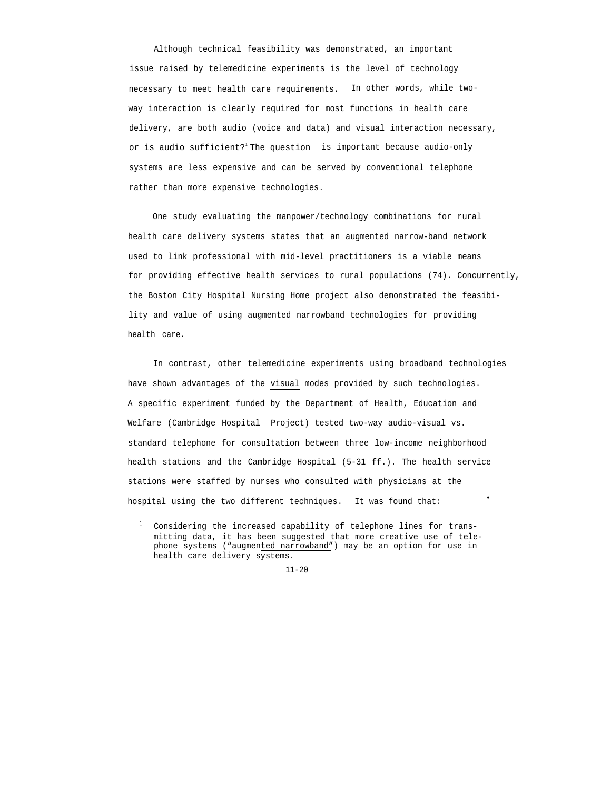Although technical feasibility was demonstrated, an important issue raised by telemedicine experiments is the level of technology necessary to meet health care requirements. In other words, while twoway interaction is clearly required for most functions in health care delivery, are both audio (voice and data) and visual interaction necessary, or is audio sufficient? The question is important because audio-only systems are less expensive and can be served by conventional telephone rather than more expensive technologies.

One study evaluating the manpower/technology combinations for rural health care delivery systems states that an augmented narrow-band network used to link professional with mid-level practitioners is a viable means for providing effective health services to rural populations (74). Concurrently, the Boston City Hospital Nursing Home project also demonstrated the feasibility and value of using augmented narrowband technologies for providing health care.

In contrast, other telemedicine experiments using broadband technologies have shown advantages of the visual modes provided by such technologies. A specific experiment funded by the Department of Health, Education and Welfare (Cambridge Hospital Project) tested two-way audio-visual vs. standard telephone for consultation between three low-income neighborhood health stations and the Cambridge Hospital (5-31 ff.). The health service stations were staffed by nurses who consulted with physicians at the hospital using the two different techniques. It was found that:

<sup>&</sup>lt;sup>1</sup> Considering the increased capability of telephone lines for transmitting data, it has been suggested that more creative use of telephone systems ("augmented narrowband") may be an option for use in health care delivery systems.

<sup>11-20</sup>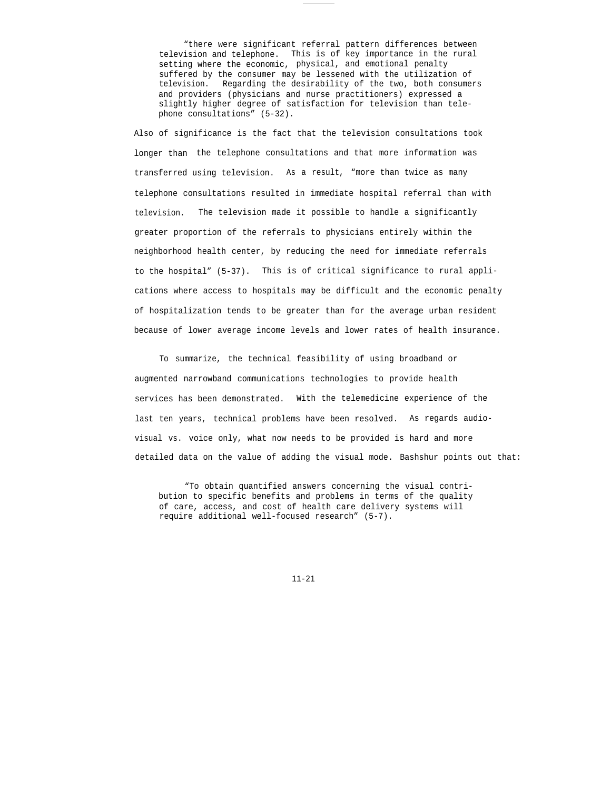"there were significant referral pattern differences between television and telephone. This is of key importance in the rural setting where the economic, physical, and emotional penalty suffered by the consumer may be lessened with the utilization of television. Regarding the desirability of the two, both consumers and providers (physicians and nurse practitioners) expressed a slightly higher degree of satisfaction for television than telephone consultations" (5-32).

Also of significance is the fact that the television consultations took longer than the telephone consultations and that more information was transferred using television. As a result, "more than twice as many telephone consultations resulted in immediate hospital referral than with television. The television made it possible to handle a significantly greater proportion of the referrals to physicians entirely within the neighborhood health center, by reducing the need for immediate referrals to the hospital" (5-37). This is of critical significance to rural applications where access to hospitals may be difficult and the economic penalty of hospitalization tends to be greater than for the average urban resident because of lower average income levels and lower rates of health insurance.

To summarize, the technical feasibility of using broadband or augmented narrowband communications technologies to provide health services has been demonstrated. With the telemedicine experience of the last ten years, technical problems have been resolved. As regards audiovisual vs. voice only, what now needs to be provided is hard and more detailed data on the value of adding the visual mode. Bashshur points out that:

"To obtain quantified answers concerning the visual contribution to specific benefits and problems in terms of the quality of care, access, and cost of health care delivery systems will require additional well-focused research" (5-7).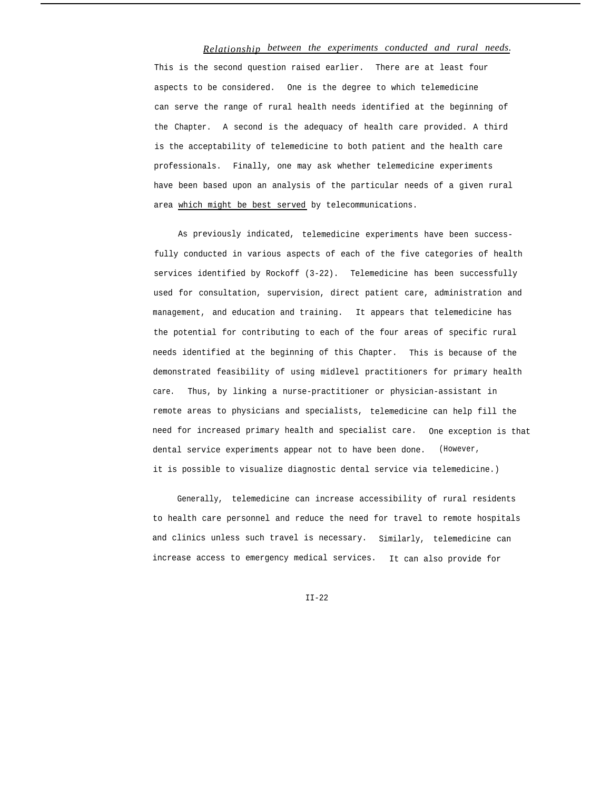## *Relationship between the experiments conducted and rural needs.*

This is the second question raised earlier. There are at least four aspects to be considered. One is the degree to which telemedicine can serve the range of rural health needs identified at the beginning of the Chapter. A second is the adequacy of health care provided. A third is the acceptability of telemedicine to both patient and the health care professionals. Finally, one may ask whether telemedicine experiments have been based upon an analysis of the particular needs of a given rural area which might be best served by telecommunications.

As previously indicated, telemedicine experiments have been successfully conducted in various aspects of each of the five categories of health services identified by Rockoff (3-22). Telemedicine has been successfully used for consultation, supervision, direct patient care, administration and management, and education and training. It appears that telemedicine has the potential for contributing to each of the four areas of specific rural needs identified at the beginning of this Chapter. This is because of the demonstrated feasibility of using midlevel practitioners for primary health care. Thus, by linking a nurse-practitioner or physician-assistant in remote areas to physicians and specialists, telemedicine can help fill the need for increased primary health and specialist care. One exception is that dental service experiments appear not to have been done. (However, it is possible to visualize diagnostic dental service via telemedicine.)

Generally, telemedicine can increase accessibility of rural residents to health care personnel and reduce the need for travel to remote hospitals and clinics unless such travel is necessary. Similarly, telemedicine can increase access to emergency medical services. It can also provide for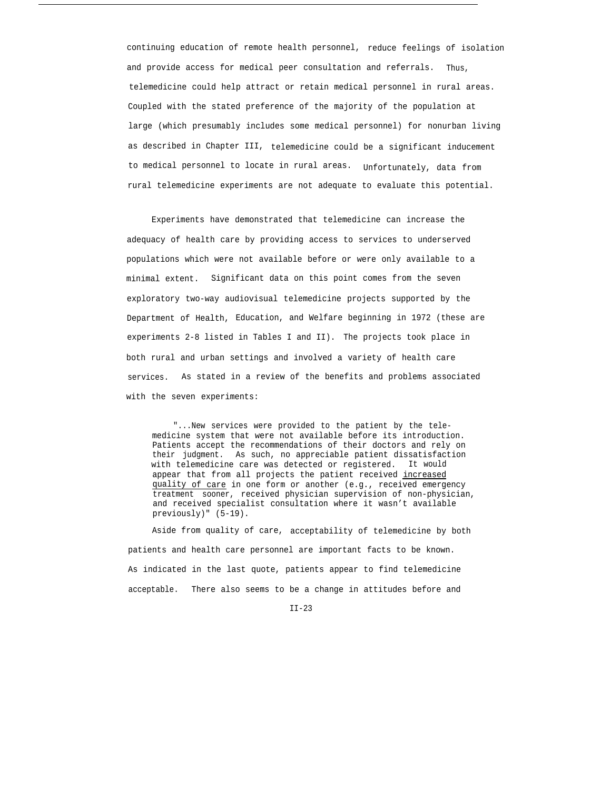continuing education of remote health personnel, reduce feelings of isolation and provide access for medical peer consultation and referrals. Thus, telemedicine could help attract or retain medical personnel in rural areas. Coupled with the stated preference of the majority of the population at large (which presumably includes some medical personnel) for nonurban living as described in Chapter III, telemedicine could be a significant inducement to medical personnel to locate in rural areas. Unfortunately, data from rural telemedicine experiments are not adequate to evaluate this potential.

Experiments have demonstrated that telemedicine can increase the adequacy of health care by providing access to services to underserved populations which were not available before or were only available to a minimal extent. Significant data on this point comes from the seven exploratory two-way audiovisual telemedicine projects supported by the Department of Health, Education, and Welfare beginning in 1972 (these are experiments 2-8 listed in Tables I and II). The projects took place in both rural and urban settings and involved a variety of health care services. As stated in a review of the benefits and problems associated with the seven experiments:

"...New services were provided to the patient by the telemedicine system that were not available before its introduction. Patients accept the recommendations of their doctors and rely on their judgment. As such, no appreciable patient dissatisfaction with telemedicine care was detected or registered. It would appear that from all projects the patient received increased quality of care in one form or another (e.g., received emergency treatment sooner, received physician supervision of non-physician, and received specialist consultation where it wasn't available previously)" (5-19).

Aside from quality of care, acceptability of telemedicine by both patients and health care personnel are important facts to be known. As indicated in the last quote, patients appear to find telemedicine acceptable. There also seems to be a change in attitudes before and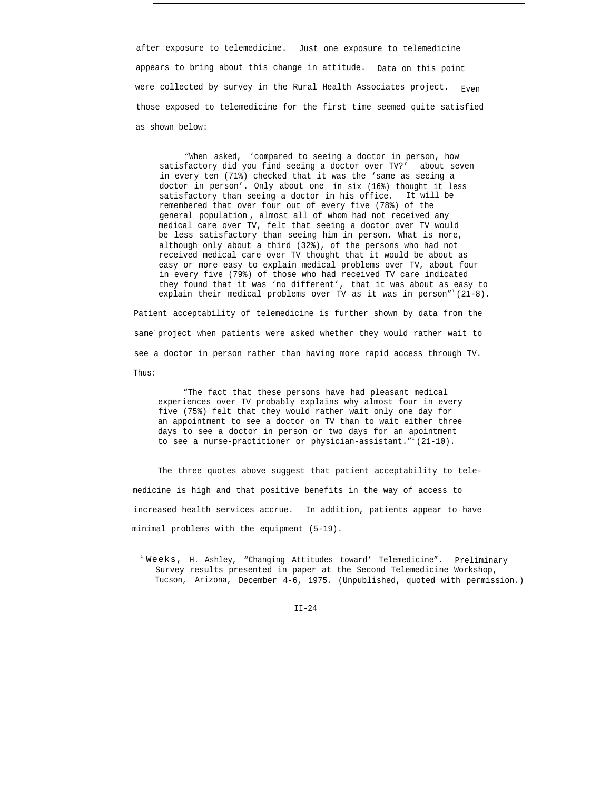after exposure to telemedicine. Just one exposure to telemedicine appears to bring about this change in attitude. Data on this point were collected by survey in the Rural Health Associates project.  $Even$ those exposed to telemedicine for the first time seemed quite satisfied as shown below:

"When asked, 'compared to seeing a doctor in person, how satisfactory did you find seeing a doctor over TV?' about seven in every ten (71%) checked that it was the 'same as seeing a doctor in person'. Only about one in six (16%) thought it less satisfactory than seeing a doctor in his office. It will be remembered that over four out of every five (78%) of the general population , almost all of whom had not received any medical care over TV, felt that seeing a doctor over TV would be less satisfactory than seeing him in person. What is more, although only about a third (32%), of the persons who had not received medical care over TV thought that it would be about as easy or more easy to explain medical problems over TV, about four in every five (79%) of those who had received TV care indicated they found that it was 'no different', that it was about as easy to explain their medical problems over TV as it was in person"  $(21-8)$ .

Patient acceptability of telemedicine is further shown by data from the same project when patients were asked whether they would rather wait to see a doctor in person rather than having more rapid access through TV. Thus:

"The fact that these persons have had pleasant medical experiences over TV probably explains why almost four in every five (75%) felt that they would rather wait only one day for an appointment to see a doctor on TV than to wait either three days to see a doctor in person or two days for an apointment to see a nurse-practitioner or physician-assistant." $(21-10)$ .

The three quotes above suggest that patient acceptability to telemedicine is high and that positive benefits in the way of access to increased health services accrue. In addition, patients appear to have minimal problems with the equipment (5-19).

 $1$  Weeks, H. Ashley, "Changing Attitudes toward' Telemedicine". Preliminary Survey results presented in paper at the Second Telemedicine Workshop, Tucson, Arizona, December 4-6, 1975. (Unpublished, quoted with permission.)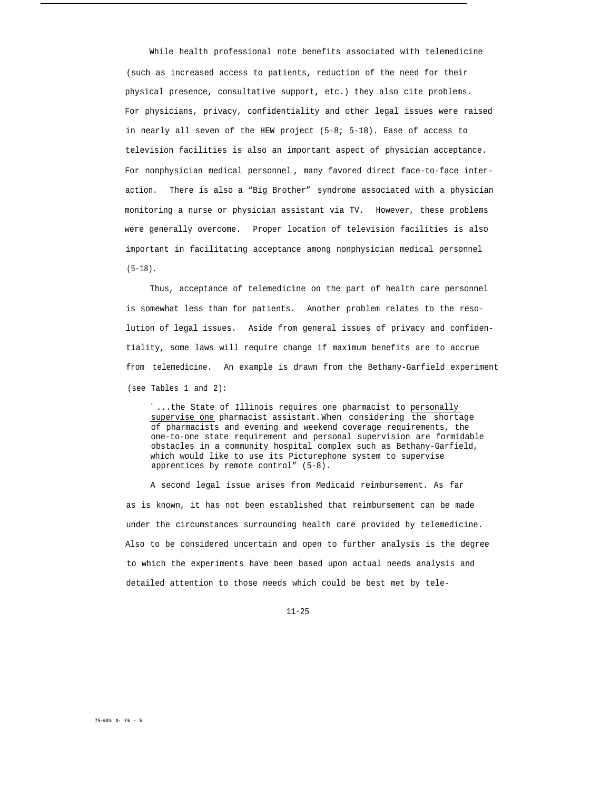While health professional note benefits associated with telemedicine (such as increased access to patients, reduction of the need for their physical presence, consultative support, etc.) they also cite problems. For physicians, privacy, confidentiality and other legal issues were raised in nearly all seven of the HEW project (5-8; 5-18). Ease of access to television facilities is also an important aspect of physician acceptance. For nonphysician medical personnel , many favored direct face-to-face interaction. There is also a "Big Brother" syndrome associated with a physician monitoring a nurse or physician assistant via TV. However, these problems were generally overcome. Proper location of television facilities is also important in facilitating acceptance among nonphysician medical personnel (5-18).

Thus, acceptance of telemedicine on the part of health care personnel is somewhat less than for patients. Another problem relates to the resolution of legal issues. Aside from general issues of privacy and confidentiality, some laws will require change if maximum benefits are to accrue from telemedicine. An example is drawn from the Bethany-Garfield experiment (see Tables 1 and 2):

" ...the State of Illinois requires one pharmacist to personally supervise one pharmacist assistant.When considering the shortage of pharmacists and evening and weekend coverage requirements, the one-to-one state requirement and personal supervision are formidable obstacles in a community hospital complex such as Bethany-Garfield, which would like to use its Picturephone system to supervise apprentices by remote control" (5-8).

A second legal issue arises from Medicaid reimbursement. As far as is known, it has not been established that reimbursement can be made under the circumstances surrounding health care provided by telemedicine. Also to be considered uncertain and open to further analysis is the degree to which the experiments have been based upon actual needs analysis and detailed attention to those needs which could be best met by tele-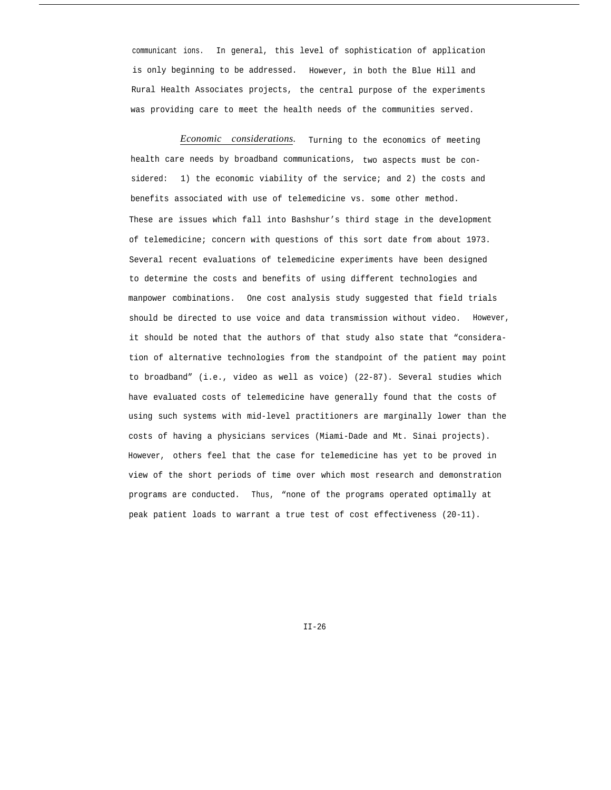communicant ions. In general, this level of sophistication of application is only beginning to be addressed. However, in both the Blue Hill and Rural Health Associates projects, the central purpose of the experiments was providing care to meet the health needs of the communities served.

*Economic considerations.* Turning to the economics of meeting health care needs by broadband communications, two aspects must be considered: 1) the economic viability of the service; and 2) the costs and benefits associated with use of telemedicine vs. some other method. These are issues which fall into Bashshur's third stage in the development of telemedicine; concern with questions of this sort date from about 1973. Several recent evaluations of telemedicine experiments have been designed to determine the costs and benefits of using different technologies and manpower combinations. One cost analysis study suggested that field trials should be directed to use voice and data transmission without video. However, it should be noted that the authors of that study also state that "consideration of alternative technologies from the standpoint of the patient may point to broadband" (i.e., video as well as voice) (22-87). Several studies which have evaluated costs of telemedicine have generally found that the costs of using such systems with mid-level practitioners are marginally lower than the costs of having a physicians services (Miami-Dade and Mt. Sinai projects). However, others feel that the case for telemedicine has yet to be proved in view of the short periods of time over which most research and demonstration programs are conducted. Thus, "none of the programs operated optimally at peak patient loads to warrant a true test of cost effectiveness (20-11).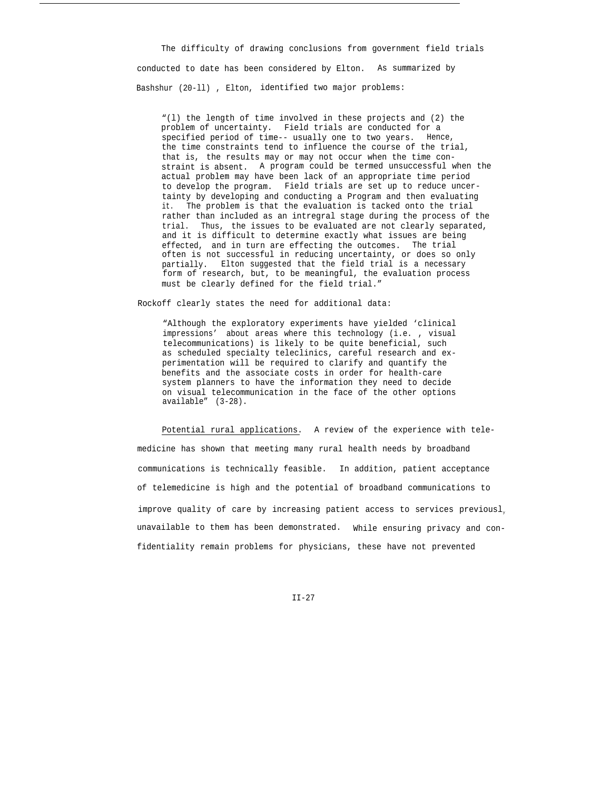The difficulty of drawing conclusions from government field trials conducted to date has been considered by Elton. As summarized by Bashshur (20-ll) , Elton, identified two major problems:

"(l) the length of time involved in these projects and (2) the problem of uncertainty. Field trials are conducted for a specified period of time-- usually one to two years. Hence, the time constraints tend to influence the course of the trial, that is, the results may or may not occur when the time constraint is absent. A program could be termed unsuccessful when the actual problem may have been lack of an appropriate time period to develop the program. Field trials are set up to reduce uncertainty by developing and conducting a Program and then evaluating it. The problem is that the evaluation is tacked onto the trial rather than included as an intregral stage during the process of the trial. Thus, the issues to be evaluated are not clearly separated, and it is difficult to determine exactly what issues are being effected, and in turn are effecting the outcomes. The trial often is not successful in reducing uncertainty, or does so only partially. Elton suggested that the field trial is a necessary form of research, but, to be meaningful, the evaluation process must be clearly defined for the field trial."

Rockoff clearly states the need for additional data:

"Although the exploratory experiments have yielded 'clinical impressions' about areas where this technology (i.e. , visual telecommunications) is likely to be quite beneficial, such as scheduled specialty teleclinics, careful research and experimentation will be required to clarify and quantify the benefits and the associate costs in order for health-care system planners to have the information they need to decide on visual telecommunication in the face of the other options available" (3-28).

Potential rural applications. A review of the experience with telemedicine has shown that meeting many rural health needs by broadband communications is technically feasible. In addition, patient acceptance of telemedicine is high and the potential of broadband communications to improve quality of care by increasing patient access to services previousl, unavailable to them has been demonstrated. While ensuring privacy and confidentiality remain problems for physicians, these have not prevented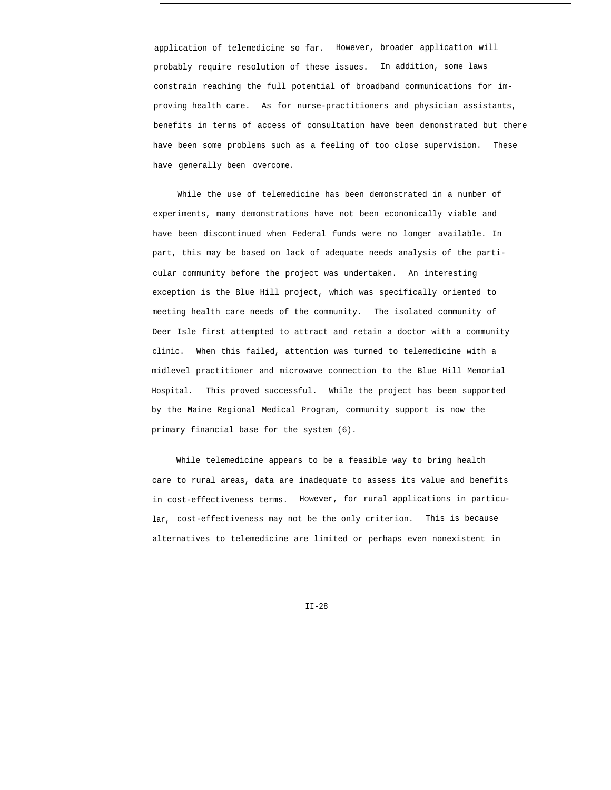application of telemedicine so far. However, broader application will probably require resolution of these issues. In addition, some laws constrain reaching the full potential of broadband communications for improving health care. As for nurse-practitioners and physician assistants, benefits in terms of access of consultation have been demonstrated but there have been some problems such as a feeling of too close supervision. These have generally been overcome.

While the use of telemedicine has been demonstrated in a number of experiments, many demonstrations have not been economically viable and have been discontinued when Federal funds were no longer available. In part, this may be based on lack of adequate needs analysis of the particular community before the project was undertaken. An interesting exception is the Blue Hill project, which was specifically oriented to meeting health care needs of the community. The isolated community of Deer Isle first attempted to attract and retain a doctor with a community clinic. When this failed, attention was turned to telemedicine with a midlevel practitioner and microwave connection to the Blue Hill Memorial Hospital. This proved successful. While the project has been supported by the Maine Regional Medical Program, community support is now the primary financial base for the system (6).

While telemedicine appears to be a feasible way to bring health care to rural areas, data are inadequate to assess its value and benefits in cost-effectiveness terms. However, for rural applications in particular, cost-effectiveness may not be the only criterion. This is because alternatives to telemedicine are limited or perhaps even nonexistent in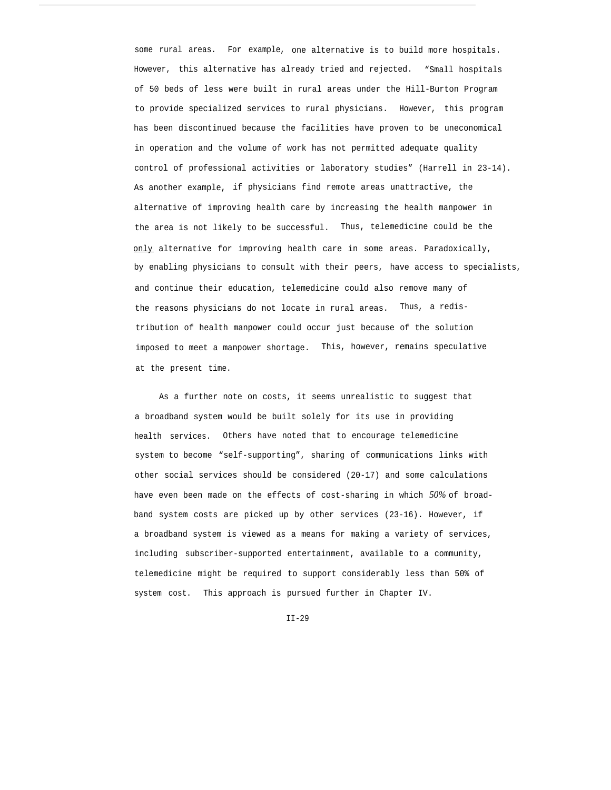some rural areas. For example, one alternative is to build more hospitals. However, this alternative has already tried and rejected. "Small hospitals of 50 beds of less were built in rural areas under the Hill-Burton Program to provide specialized services to rural physicians. However, this program has been discontinued because the facilities have proven to be uneconomical in operation and the volume of work has not permitted adequate quality control of professional activities or laboratory studies" (Harrell in 23-14). As another example, if physicians find remote areas unattractive, the alternative of improving health care by increasing the health manpower in the area is not likely to be successful. Thus, telemedicine could be the only alternative for improving health care in some areas. Paradoxically, by enabling physicians to consult with their peers, have access to specialists, and continue their education, telemedicine could also remove many of the reasons physicians do not locate in rural areas. Thus, a redistribution of health manpower could occur just because of the solution imposed to meet a manpower shortage. This, however, remains speculative at the present time.

As a further note on costs, it seems unrealistic to suggest that a broadband system would be built solely for its use in providing health services. Others have noted that to encourage telemedicine system to become "self-supporting", sharing of communications links with other social services should be considered (20-17) and some calculations have even been made on the effects of cost-sharing in which *50%* of broadband system costs are picked up by other services (23-16). However, if a broadband system is viewed as a means for making a variety of services, including subscriber-supported entertainment, available to a community, telemedicine might be required to support considerably less than 50% of system cost. This approach is pursued further in Chapter IV.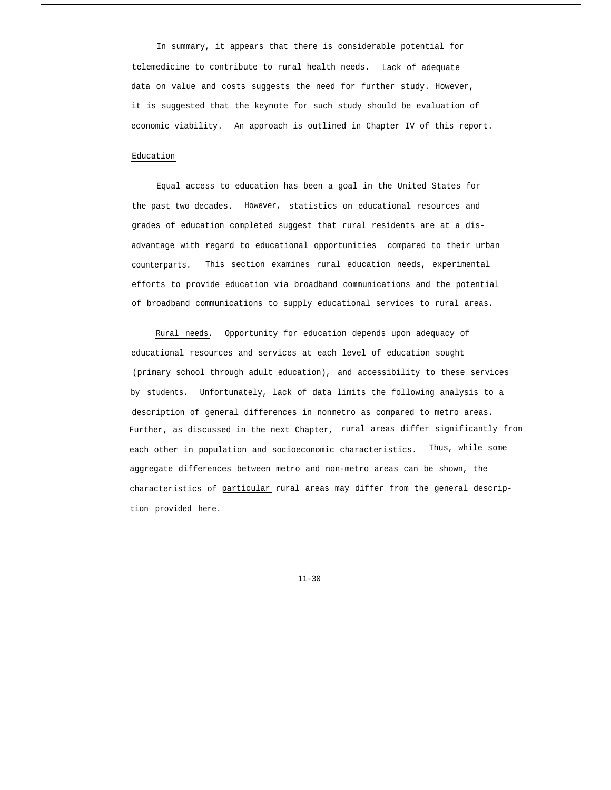In summary, it appears that there is considerable potential for telemedicine to contribute to rural health needs. Lack of adequate data on value and costs suggests the need for further study. However, it is suggested that the keynote for such study should be evaluation of economic viability. An approach is outlined in Chapter IV of this report.

### Education

Equal access to education has been a goal in the United States for the past two decades. However, statistics on educational resources and grades of education completed suggest that rural residents are at a disadvantage with regard to educational opportunities compared to their urban counterparts. This section examines rural education needs, experimental efforts to provide education via broadband communications and the potential of broadband communications to supply educational services to rural areas.

Rural needs. Opportunity for education depends upon adequacy of educational resources and services at each level of education sought (primary school through adult education), and accessibility to these services by students. Unfortunately, lack of data limits the following analysis to a description of general differences in nonmetro as compared to metro areas. Further, as discussed in the next Chapter, rural areas differ significantly from each other in population and socioeconomic characteristics. Thus, while some aggregate differences between metro and non-metro areas can be shown, the characteristics of particular rural areas may differ from the general description provided here.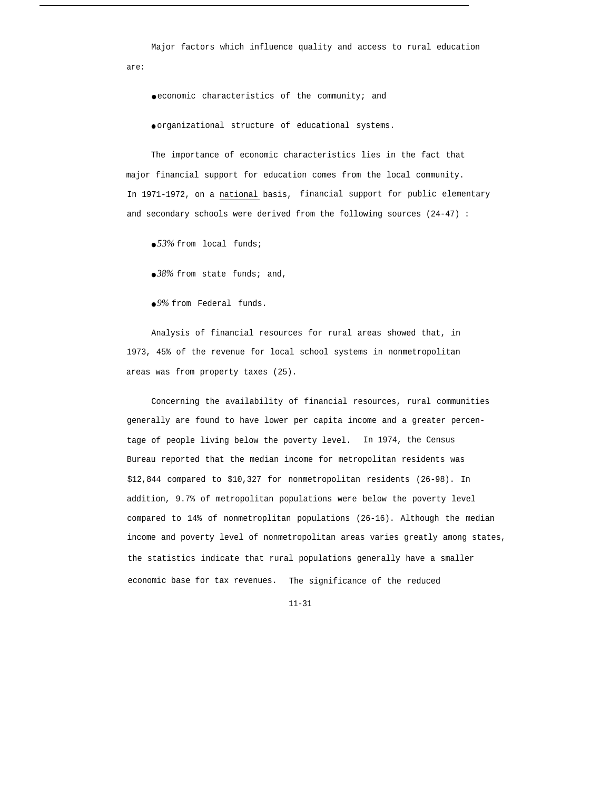Major factors which influence quality and access to rural education are:

● economic characteristics of the community; and

● organizational structure of educational systems.

The importance of economic characteristics lies in the fact that major financial support for education comes from the local community. In 1971-1972, on a national basis, financial support for public elementary and secondary schools were derived from the following sources (24-47) :

● *53%* from local funds;

● *38%* from state funds; and,

● *9%* from Federal funds.

Analysis of financial resources for rural areas showed that, in 1973, 45% of the revenue for local school systems in nonmetropolitan areas was from property taxes (25).

Concerning the availability of financial resources, rural communities generally are found to have lower per capita income and a greater percentage of people living below the poverty level. In 1974, the Census Bureau reported that the median income for metropolitan residents was \$12,844 compared to \$10,327 for nonmetropolitan residents (26-98). In addition, 9.7% of metropolitan populations were below the poverty level compared to 14% of nonmetroplitan populations (26-16). Although the median income and poverty level of nonmetropolitan areas varies greatly among states, the statistics indicate that rural populations generally have a smaller economic base for tax revenues. The significance of the reduced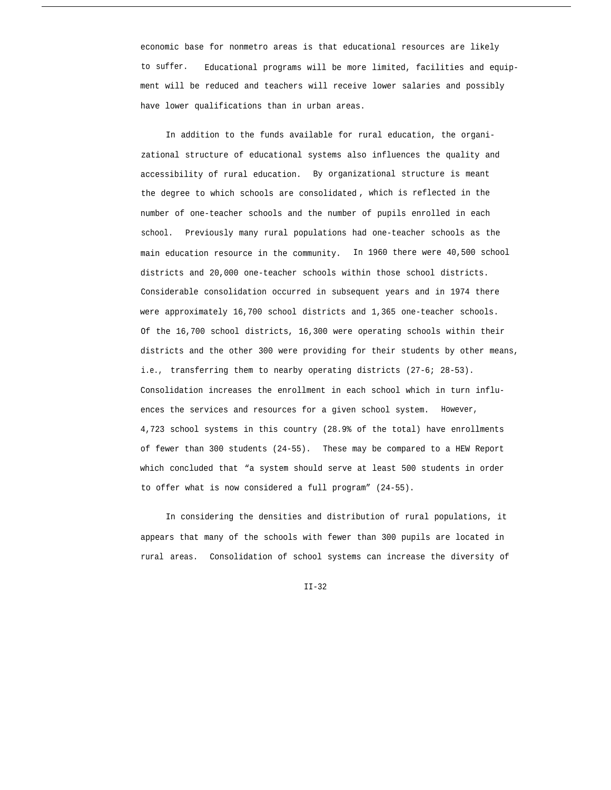economic base for nonmetro areas is that educational resources are likely to suffer. Educational programs will be more limited, facilities and equipment will be reduced and teachers will receive lower salaries and possibly have lower qualifications than in urban areas.

In addition to the funds available for rural education, the organizational structure of educational systems also influences the quality and accessibility of rural education. By organizational structure is meant the degree to which schools are consolidated , which is reflected in the number of one-teacher schools and the number of pupils enrolled in each school. Previously many rural populations had one-teacher schools as the main education resource in the community. In 1960 there were 40,500 school districts and 20,000 one-teacher schools within those school districts. Considerable consolidation occurred in subsequent years and in 1974 there were approximately 16,700 school districts and 1,365 one-teacher schools. Of the 16,700 school districts, 16,300 were operating schools within their districts and the other 300 were providing for their students by other means, i.e., transferring them to nearby operating districts (27-6; 28-53). Consolidation increases the enrollment in each school which in turn influences the services and resources for a given school system. However, 4,723 school systems in this country (28.9% of the total) have enrollments of fewer than 300 students (24-55). These may be compared to a HEW Report which concluded that "a system should serve at least 500 students in order to offer what is now considered a full program" (24-55).

In considering the densities and distribution of rural populations, it appears that many of the schools with fewer than 300 pupils are located in rural areas. Consolidation of school systems can increase the diversity of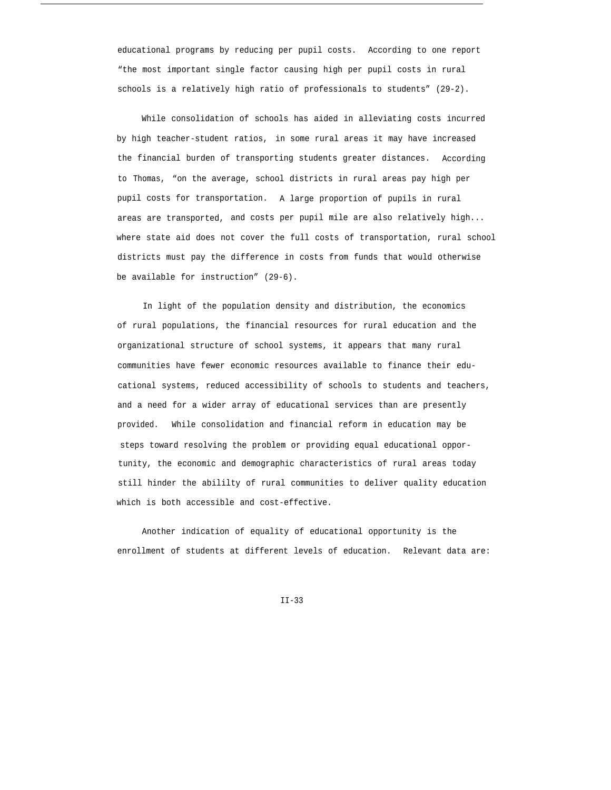educational programs by reducing per pupil costs. According to one report "the most important single factor causing high per pupil costs in rural schools is a relatively high ratio of professionals to students" (29-2).

While consolidation of schools has aided in alleviating costs incurred by high teacher-student ratios, in some rural areas it may have increased the financial burden of transporting students greater distances. According to Thomas, "on the average, school districts in rural areas pay high per pupil costs for transportation. A large proportion of pupils in rural areas are transported, and costs per pupil mile are also relatively high... where state aid does not cover the full costs of transportation, rural school districts must pay the difference in costs from funds that would otherwise be available for instruction" (29-6).

In light of the population density and distribution, the economics of rural populations, the financial resources for rural education and the organizational structure of school systems, it appears that many rural communities have fewer economic resources available to finance their educational systems, reduced accessibility of schools to students and teachers, and a need for a wider array of educational services than are presently provided. While consolidation and financial reform in education may be steps toward resolving the problem or providing equal educational opportunity, the economic and demographic characteristics of rural areas today still hinder the abililty of rural communities to deliver quality education which is both accessible and cost-effective.

Another indication of equality of educational opportunity is the enrollment of students at different levels of education. Relevant data are: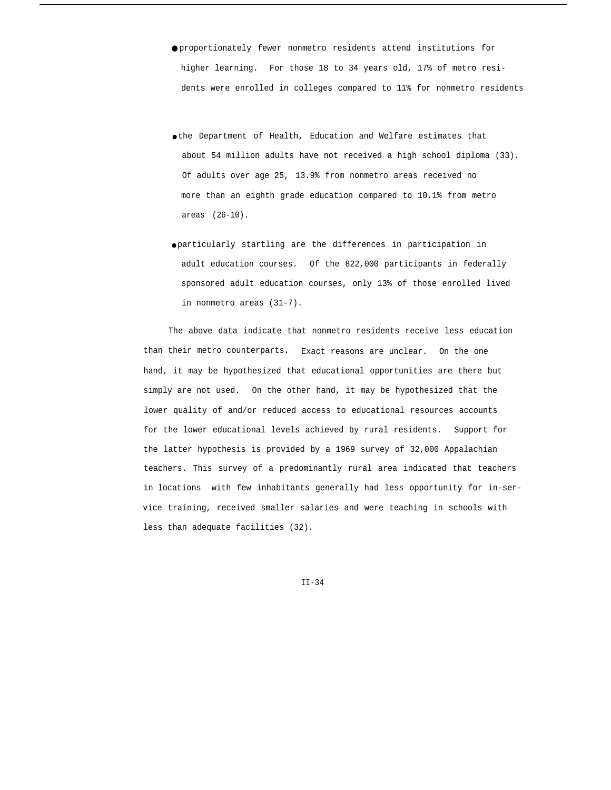- proportionately fewer nonmetro residents attend institutions for higher learning. For those 18 to 34 years old, 17% of metro residents were enrolled in colleges compared to 11% for nonmetro residents
- the Department of Health, Education and Welfare estimates that about 54 million adults have not received a high school diploma (33). Of adults over age 25, 13.9% from nonmetro areas received no more than an eighth grade education compared to 10.1% from metro areas (26-10).
- particularly startling are the differences in participation in adult education courses. Of the 822,000 participants in federally sponsored adult education courses, only 13% of those enrolled lived in nonmetro areas (31-7).

The above data indicate that nonmetro residents receive less education than their metro counterparts. Exact reasons are unclear. On the one hand, it may be hypothesized that educational opportunities are there but simply are not used. On the other hand, it may be hypothesized that the lower quality of and/or reduced access to educational resources accounts for the lower educational levels achieved by rural residents. Support for the latter hypothesis is provided by a 1969 survey of 32,000 Appalachian teachers. This survey of a predominantly rural area indicated that teachers in locations with few inhabitants generally had less opportunity for in-service training, received smaller salaries and were teaching in schools with less than adequate facilities (32).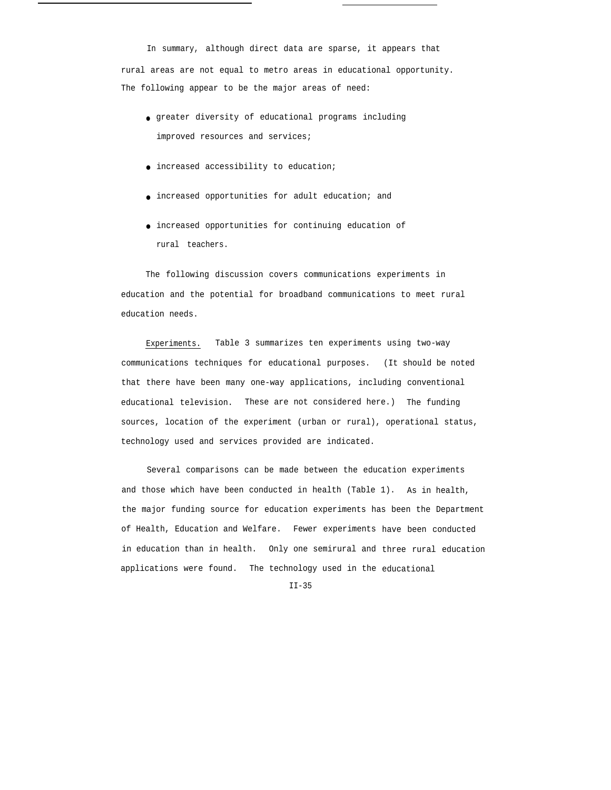In summary, although direct data are sparse, it appears that rural areas are not equal to metro areas in educational opportunity. The following appear to be the major areas of need:

- greater diversity of educational programs including improved resources and services;
- increased accessibility to education;
- increased opportunities for adult education; and
- increased opportunities for continuing education of rural teachers.

The following discussion covers communications experiments in education and the potential for broadband communications to meet rural education needs.

Experiments. Table 3 summarizes ten experiments using two-way communications techniques for educational purposes. (It should be noted that there have been many one-way applications, including conventional educational television. These are not considered here.) The funding sources, location of the experiment (urban or rural), operational status, technology used and services provided are indicated.

Several comparisons can be made between the education experiments and those which have been conducted in health (Table 1). As in health, the major funding source for education experiments has been the Department of Health, Education and Welfare. Fewer experiments have been conducted in education than in health. Only one semirural and three rural education applications were found. The technology used in the educational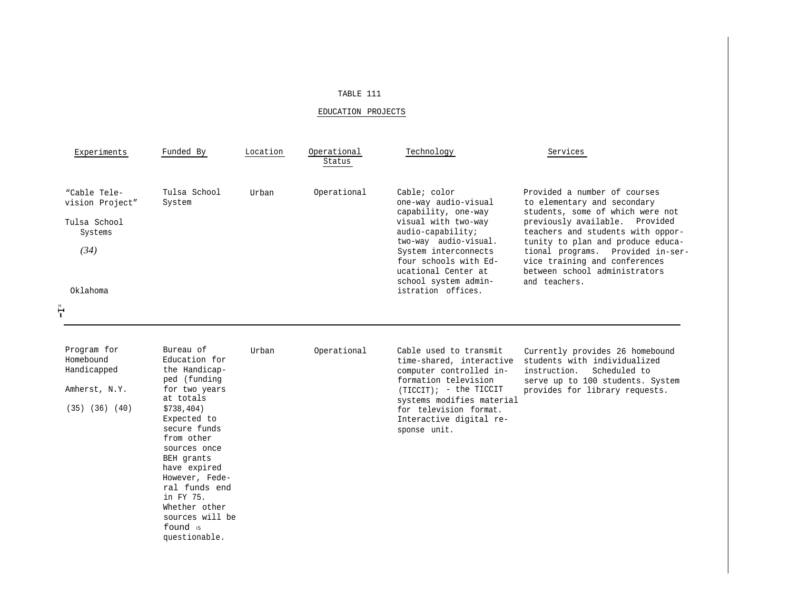## TABLE 111

# EDUCATION PROJECTS

| Experiments                                                        | Funded By                       | Location | Operational<br>Status | Technology                                                                                                                                                                                                                       | Services                                                                                                                                                                                                                                                                                                                            |
|--------------------------------------------------------------------|---------------------------------|----------|-----------------------|----------------------------------------------------------------------------------------------------------------------------------------------------------------------------------------------------------------------------------|-------------------------------------------------------------------------------------------------------------------------------------------------------------------------------------------------------------------------------------------------------------------------------------------------------------------------------------|
| "Cable Tele-<br>vision Project"<br>Tulsa School<br>Systems<br>(34) | Tulsa School<br>System          | Urban    | Operational           | Cable; color<br>one-way audio-visual<br>capability, one-way<br>visual with two-way<br>audio-capability;<br>two-way audio-visual.<br>System interconnects<br>four schools with Ed-<br>ucational Center at<br>school system admin- | Provided a number of courses<br>to elementary and secondary<br>students, some of which were not<br>previously available. Provided<br>teachers and students with oppor-<br>tunity to plan and produce educa-<br>tional programs. Provided in-ser-<br>vice training and conferences<br>between school administrators<br>and teachers. |
| Oklahoma                                                           |                                 |          |                       | istration offices.                                                                                                                                                                                                               |                                                                                                                                                                                                                                                                                                                                     |
| ት                                                                  |                                 |          |                       |                                                                                                                                                                                                                                  |                                                                                                                                                                                                                                                                                                                                     |
|                                                                    |                                 |          |                       |                                                                                                                                                                                                                                  |                                                                                                                                                                                                                                                                                                                                     |
| Program for<br>Homebound                                           | Bureau of<br>Education for      | Urban    | Operational           | Cable used to transmit<br>time-shared, interactive                                                                                                                                                                               | Currently provides 26 homebound<br>students with individualized                                                                                                                                                                                                                                                                     |
| Handicapped                                                        | the Handicap-<br>ped (funding   |          |                       | computer controlled in-<br>formation television                                                                                                                                                                                  | instruction.<br>Scheduled to<br>serve up to 100 students. System                                                                                                                                                                                                                                                                    |
| Amherst, N.Y.                                                      | for two years<br>at totals      |          |                       | $(TICCIT)$ ; - the TICCIT                                                                                                                                                                                                        | provides for library requests.                                                                                                                                                                                                                                                                                                      |
| $(35)$ $(36)$ $(40)$                                               | \$738,404)<br>Expected to       |          |                       | systems modifies material<br>for television format.<br>Interactive digital re-                                                                                                                                                   |                                                                                                                                                                                                                                                                                                                                     |
|                                                                    | secure funds<br>from other      |          |                       | sponse unit.                                                                                                                                                                                                                     |                                                                                                                                                                                                                                                                                                                                     |
|                                                                    | sources once<br>BEH grants      |          |                       |                                                                                                                                                                                                                                  |                                                                                                                                                                                                                                                                                                                                     |
|                                                                    | have expired                    |          |                       |                                                                                                                                                                                                                                  |                                                                                                                                                                                                                                                                                                                                     |
|                                                                    | However, Fede-<br>ral funds end |          |                       |                                                                                                                                                                                                                                  |                                                                                                                                                                                                                                                                                                                                     |
|                                                                    | in FY 75.                       |          |                       |                                                                                                                                                                                                                                  |                                                                                                                                                                                                                                                                                                                                     |
|                                                                    | Whether other                   |          |                       |                                                                                                                                                                                                                                  |                                                                                                                                                                                                                                                                                                                                     |
|                                                                    | sources will be                 |          |                       |                                                                                                                                                                                                                                  |                                                                                                                                                                                                                                                                                                                                     |

found is questionable.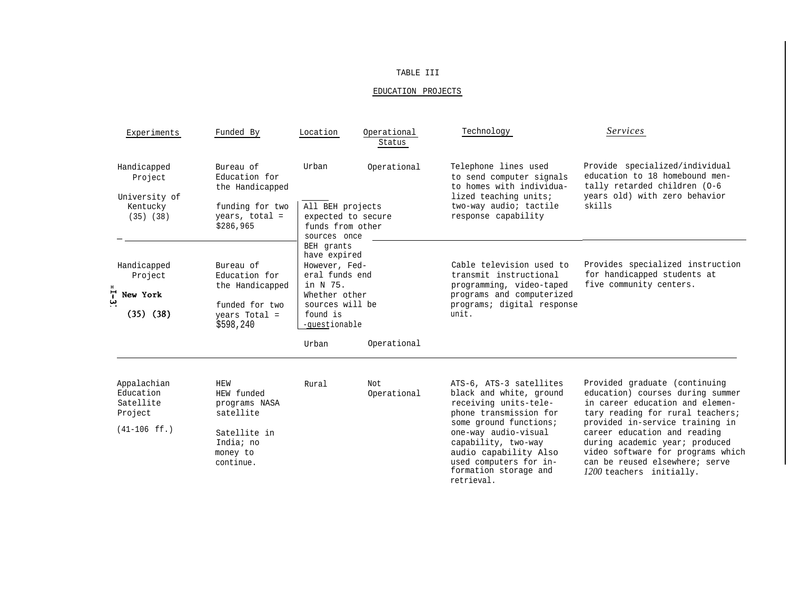## TABLE III

# EDUCATION PROJECTS

| Experiments                                                        | Funded By                                                                                             | Location                                                                                                                                   | Operational<br>Status | Technology                                                                                                                                                                                                                                                               | Services                                                                                                                                                                                                                                                                                                                                         |
|--------------------------------------------------------------------|-------------------------------------------------------------------------------------------------------|--------------------------------------------------------------------------------------------------------------------------------------------|-----------------------|--------------------------------------------------------------------------------------------------------------------------------------------------------------------------------------------------------------------------------------------------------------------------|--------------------------------------------------------------------------------------------------------------------------------------------------------------------------------------------------------------------------------------------------------------------------------------------------------------------------------------------------|
| Handicapped<br>Project<br>University of                            | Bureau of<br>Education for<br>the Handicapped                                                         | Urban                                                                                                                                      | Operational           | Telephone lines used<br>to send computer signals<br>to homes with individua-<br>lized teaching units;                                                                                                                                                                    | Provide specialized/individual<br>education to 18 homebound men-<br>tally retarded children (0-6<br>years old) with zero behavior                                                                                                                                                                                                                |
| Kentucky<br>$(35)$ $(38)$                                          | funding for two<br>years, total =<br>\$286,965                                                        | All BEH projects<br>funds from other<br>sources once                                                                                       | expected to secure    | two-way audio; tactile<br>response capability                                                                                                                                                                                                                            | skills                                                                                                                                                                                                                                                                                                                                           |
| Handicapped<br>Project<br>$1 - 3$<br>New York<br>$(35)$ $(38)$     | Bureau of<br>Education for<br>the Handicapped<br>funded for two<br>years Total =<br>\$598,240         | BEH grants<br>have expired<br>However, Fed-<br>eral funds end<br>in N 75.<br>Whether other<br>sources will be<br>found is<br>-questionable |                       | Cable television used to<br>transmit instructional<br>programming, video-taped<br>programs and computerized<br>programs; digital response<br>unit.                                                                                                                       | Provides specialized instruction<br>for handicapped students at<br>five community centers.                                                                                                                                                                                                                                                       |
|                                                                    |                                                                                                       | Urban                                                                                                                                      | Operational           |                                                                                                                                                                                                                                                                          |                                                                                                                                                                                                                                                                                                                                                  |
| Appalachian<br>Education<br>Satellite<br>Project<br>$(41-106$ ff.) | HEW<br>HEW funded<br>programs NASA<br>satellite<br>Satellite in<br>India; no<br>money to<br>continue. | Rural                                                                                                                                      | Not<br>Operational    | ATS-6, ATS-3 satellites<br>black and white, ground<br>receiving units-tele-<br>phone transmission for<br>some ground functions;<br>one-way audio-visual<br>capability, two-way<br>audio capability Also<br>used computers for in-<br>formation storage and<br>retrieval. | Provided graduate (continuing<br>education) courses during summer<br>in career education and elemen-<br>tary reading for rural teachers;<br>provided in-service training in<br>career education and reading<br>during academic year; produced<br>video software for programs which<br>can be reused elsewhere; serve<br>1200 teachers initially. |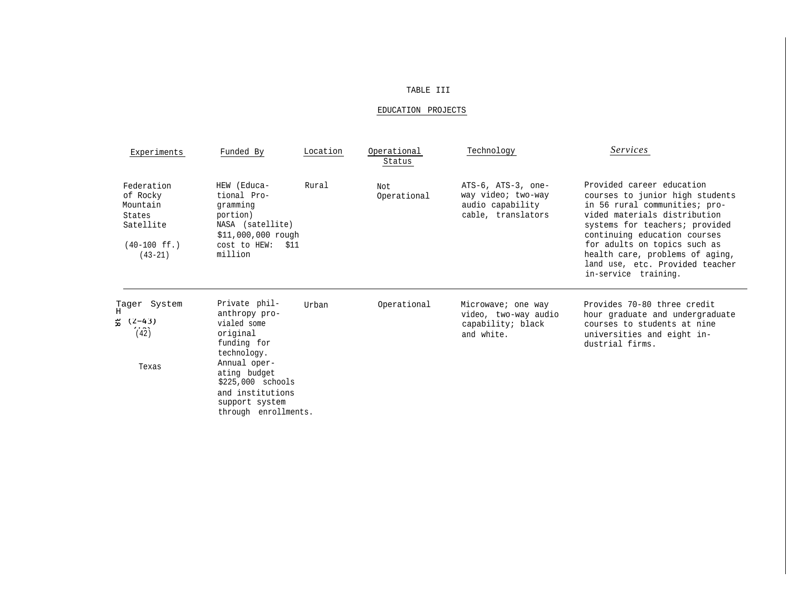### TABLE III

### EDUCATION PROJECTS

| Experiments                                                                                      | Funded By                                                                                                                                                                                                   | Location | Operational<br>Status | Technology                                                                         | Services                                                                                                                                                                                                                                                                                                                      |
|--------------------------------------------------------------------------------------------------|-------------------------------------------------------------------------------------------------------------------------------------------------------------------------------------------------------------|----------|-----------------------|------------------------------------------------------------------------------------|-------------------------------------------------------------------------------------------------------------------------------------------------------------------------------------------------------------------------------------------------------------------------------------------------------------------------------|
| Federation<br>of Rocky<br>Mountain<br>States<br>Satellite<br>$(40-100 \text{ ff.})$<br>$(43-21)$ | HEW (Educa-<br>tional Pro-<br>gramming<br>portion)<br>NASA (satellite)<br>$$11,000,000$ rough<br>cost to HEW: \$11<br>million                                                                               | Rural    | Not.<br>Operational   | ATS-6, ATS-3, one-<br>way video; two-way<br>audio capability<br>cable, translators | Provided career education<br>courses to junior high students<br>in 56 rural communities; pro-<br>vided materials distribution<br>systems for teachers; provided<br>continuing education courses<br>for adults on topics such as<br>health care, problems of aging,<br>land use, etc. Provided teacher<br>in-service training. |
| Tager System<br>$(2-43)$<br>$2.5 - 1.5$<br>(42)<br>Texas                                         | Private phil-<br>anthropy pro-<br>vialed some<br>original<br>funding for<br>technology.<br>Annual oper-<br>ating budget<br>$$225,000$ schools<br>and institutions<br>support system<br>through enrollments. | Urban    | Operational           | Microwave; one way<br>video, two-way audio<br>capability; black<br>and white.      | Provides 70-80 three credit<br>hour graduate and undergraduate<br>courses to students at nine<br>universities and eight in-<br>dustrial firms.                                                                                                                                                                                |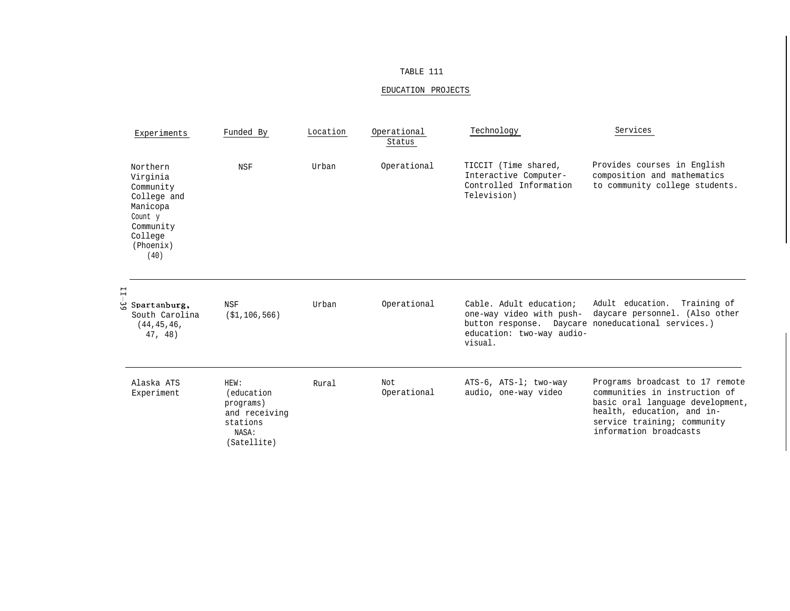## TABLE 111

# EDUCATION PROJECTS

| Experiments                                                                                                          | Funded By                                                                                    | Location | Operational<br>Status | Technology                                                                                  | Services                                                                                                                                                                                    |
|----------------------------------------------------------------------------------------------------------------------|----------------------------------------------------------------------------------------------|----------|-----------------------|---------------------------------------------------------------------------------------------|---------------------------------------------------------------------------------------------------------------------------------------------------------------------------------------------|
| Northern<br>Virginia<br>Community<br>College and<br>Manicopa<br>Count y<br>Community<br>College<br>(Phoenix)<br>(40) | <b>NSF</b>                                                                                   | Urban    | Operational           | TICCIT (Time shared,<br>Interactive Computer-<br>Controlled Information<br>Television)      | Provides courses in English<br>composition and mathematics<br>to community college students.                                                                                                |
| $\mathbf{I}$<br>$\frac{\omega}{\Omega}$<br>Spartanburg,<br>South Carolina<br>(44, 45, 46,<br>47, 48)                 | <b>NSF</b><br>( \$1, 106, 566)                                                               | Urban    | Operational           | Cable. Adult education;<br>one-way video with push-<br>education: two-way audio-<br>visual. | Adult education.<br>Training of<br>daycare personnel. (Also other<br>button response. Daycare noneducational services.)                                                                     |
| Alaska ATS<br>Experiment                                                                                             | HEW:<br><i>(education)</i><br>programs)<br>and receiving<br>stations<br>NASA:<br>(Satellite) | Rural    | Not<br>Operational    | ATS-6, ATS-1; two-way<br>audio, one-way video                                               | Programs broadcast to 17 remote<br>communities in instruction of<br>basic oral language development,<br>health, education, and in-<br>service training; community<br>information broadcasts |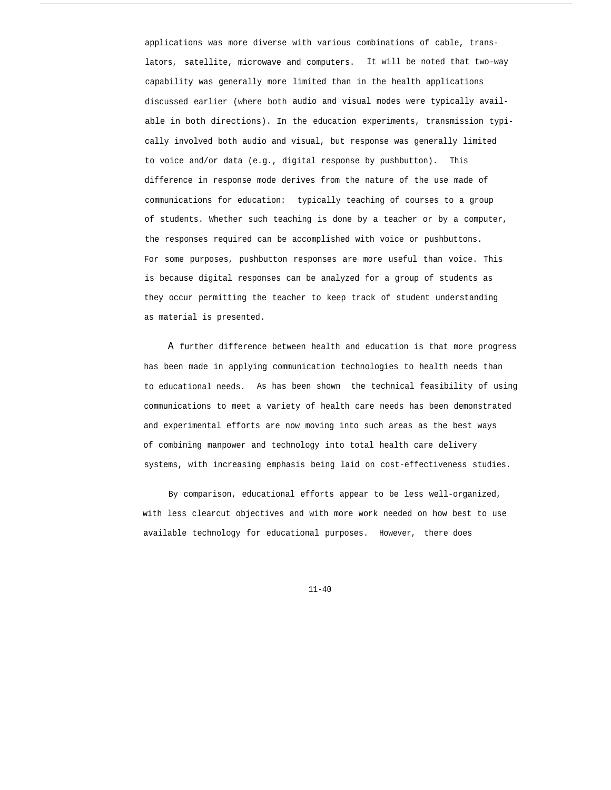applications was more diverse with various combinations of cable, translators, satellite, microwave and computers. It will be noted that two-way capability was generally more limited than in the health applications discussed earlier (where both audio and visual modes were typically available in both directions). In the education experiments, transmission typically involved both audio and visual, but response was generally limited to voice and/or data (e.g., digital response by pushbutton). This difference in response mode derives from the nature of the use made of communications for education: typically teaching of courses to a group of students. Whether such teaching is done by a teacher or by a computer, the responses required can be accomplished with voice or pushbuttons. For some purposes, pushbutton responses are more useful than voice. This is because digital responses can be analyzed for a group of students as they occur permitting the teacher to keep track of student understanding as material is presented.

A further difference between health and education is that more progress has been made in applying communication technologies to health needs than to educational needs. As has been shown the technical feasibility of using communications to meet a variety of health care needs has been demonstrated and experimental efforts are now moving into such areas as the best ways of combining manpower and technology into total health care delivery systems, with increasing emphasis being laid on cost-effectiveness studies.

By comparison, educational efforts appear to be less well-organized, with less clearcut objectives and with more work needed on how best to use available technology for educational purposes. However, there does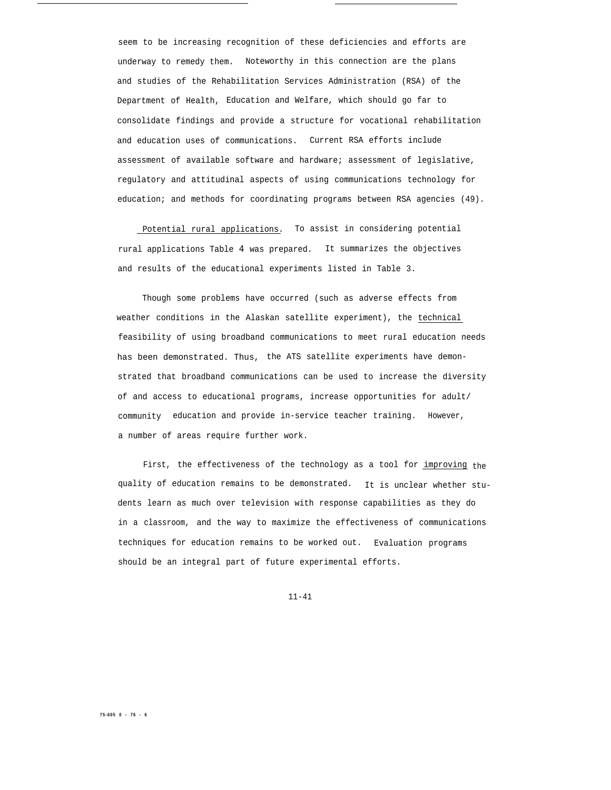seem to be increasing recognition of these deficiencies and efforts are underway to remedy them. Noteworthy in this connection are the plans and studies of the Rehabilitation Services Administration (RSA) of the Department of Health, Education and Welfare, which should go far to consolidate findings and provide a structure for vocational rehabilitation and education uses of communications. Current RSA efforts include assessment of available software and hardware; assessment of legislative, regulatory and attitudinal aspects of using communications technology for education; and methods for coordinating programs between RSA agencies (49).

Potential rural applications. To assist in considering potential rural applications Table 4 was prepared. It summarizes the objectives and results of the educational experiments listed in Table 3.

Though some problems have occurred (such as adverse effects from weather conditions in the Alaskan satellite experiment), the technical feasibility of using broadband communications to meet rural education needs has been demonstrated. Thus, the ATS satellite experiments have demonstrated that broadband communications can be used to increase the diversity of and access to educational programs, increase opportunities for adult/ community education and provide in-service teacher training. However, a number of areas require further work.

First, the effectiveness of the technology as a tool for improving the quality of education remains to be demonstrated. It is unclear whether students learn as much over television with response capabilities as they do in a classroom, and the way to maximize the effectiveness of communications techniques for education remains to be worked out. Evaluation programs should be an integral part of future experimental efforts.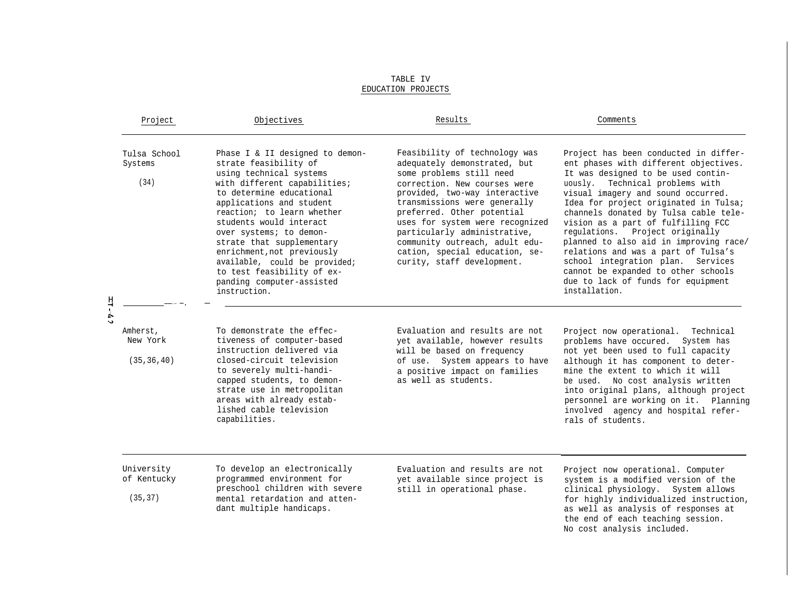|                            | Project                               | Objectives                                                                                                                                                                                                                                                                                                                                                                                                                             | Results                                                                                                                                                                                                                                                                                                                                                                                       | Comments                                                                                                                                                                                                                                                                                                                                                                                                                                                                                                                                                                     |
|----------------------------|---------------------------------------|----------------------------------------------------------------------------------------------------------------------------------------------------------------------------------------------------------------------------------------------------------------------------------------------------------------------------------------------------------------------------------------------------------------------------------------|-----------------------------------------------------------------------------------------------------------------------------------------------------------------------------------------------------------------------------------------------------------------------------------------------------------------------------------------------------------------------------------------------|------------------------------------------------------------------------------------------------------------------------------------------------------------------------------------------------------------------------------------------------------------------------------------------------------------------------------------------------------------------------------------------------------------------------------------------------------------------------------------------------------------------------------------------------------------------------------|
|                            | Tulsa School<br>Systems<br>(34)       | Phase I & II designed to demon-<br>strate feasibility of<br>using technical systems<br>with different capabilities;<br>to determine educational<br>applications and student<br>reaction; to learn whether<br>students would interact<br>over systems; to demon-<br>strate that supplementary<br>enrichment, not previously<br>available, could be provided;<br>to test feasibility of ex-<br>panding computer-assisted<br>instruction. | Feasibility of technology was<br>adequately demonstrated, but<br>some problems still need<br>correction. New courses were<br>provided, two-way interactive<br>transmissions were generally<br>preferred. Other potential<br>uses for system were recognized<br>particularly administrative,<br>community outreach, adult edu-<br>cation, special education, se-<br>curity, staff development. | Project has been conducted in differ-<br>ent phases with different objectives.<br>It was designed to be used contin-<br>uously. Technical problems with<br>visual imagery and sound occurred.<br>Idea for project originated in Tulsa;<br>channels donated by Tulsa cable tele-<br>vision as a part of fulfilling FCC<br>regulations. Project originally<br>planned to also aid in improving race/<br>relations and was a part of Tulsa's<br>school integration plan. Services<br>cannot be expanded to other schools<br>due to lack of funds for equipment<br>installation. |
| 片上<br>$\ddot{\phantom{0}}$ | Amherst,<br>New York<br>(35, 36, 40)  | To demonstrate the effec-<br>tiveness of computer-based<br>instruction delivered via<br>closed-circuit television<br>to severely multi-handi-<br>capped students, to demon-<br>strate use in metropolitan<br>areas with already estab-<br>lished cable television<br>capabilities.                                                                                                                                                     | Evaluation and results are not<br>yet available, however results<br>will be based on frequency<br>of use. System appears to have<br>a positive impact on families<br>as well as students.                                                                                                                                                                                                     | Project now operational. Technical<br>problems have occured. System has<br>not yet been used to full capacity<br>although it has component to deter-<br>mine the extent to which it will<br>be used. No cost analysis written<br>into original plans, although project<br>personnel are working on it. Planning<br>involved agency and hospital refer-<br>rals of students.                                                                                                                                                                                                  |
|                            | University<br>of Kentucky<br>(35, 37) | To develop an electronically<br>programmed environment for<br>preschool children with severe<br>mental retardation and atten-<br>dant multiple handicaps.                                                                                                                                                                                                                                                                              | Evaluation and results are not<br>yet available since project is<br>still in operational phase.                                                                                                                                                                                                                                                                                               | Project now operational. Computer<br>system is a modified version of the<br>clinical physiology. System allows<br>for highly individualized instruction,<br>as well as analysis of responses at<br>the end of each teaching session.<br>No cost analysis included.                                                                                                                                                                                                                                                                                                           |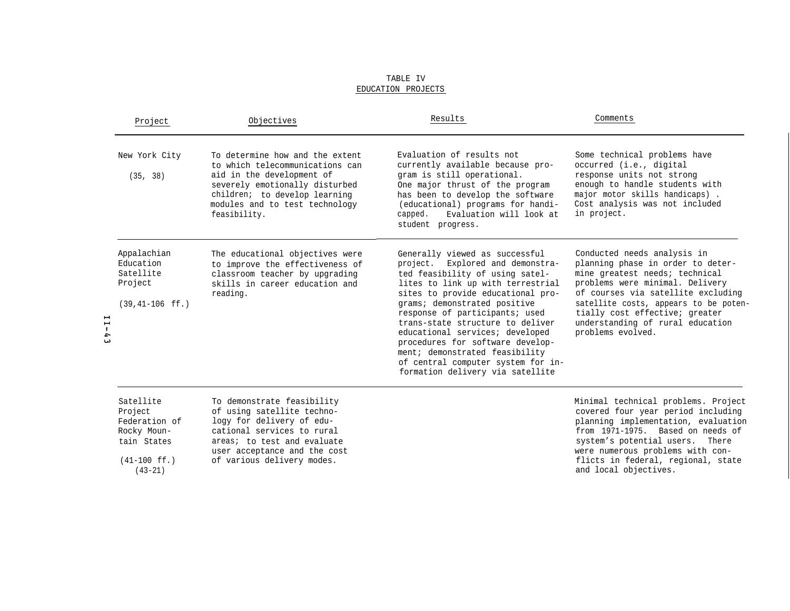| Project                                                                  | Objectives                                                                                                                                                                                                           | Results                                                                                                                                                                                                                                                                                                                                                                                                                                                                  | Comments                                                                                                                                                                                                                                                                                                        |
|--------------------------------------------------------------------------|----------------------------------------------------------------------------------------------------------------------------------------------------------------------------------------------------------------------|--------------------------------------------------------------------------------------------------------------------------------------------------------------------------------------------------------------------------------------------------------------------------------------------------------------------------------------------------------------------------------------------------------------------------------------------------------------------------|-----------------------------------------------------------------------------------------------------------------------------------------------------------------------------------------------------------------------------------------------------------------------------------------------------------------|
| New York City<br>(35, 38)                                                | To determine how and the extent<br>to which telecommunications can<br>aid in the development of<br>severely emotionally disturbed<br>children; to develop learning<br>modules and to test technology<br>feasibility. | Evaluation of results not<br>currently available because pro-<br>gram is still operational.<br>One major thrust of the program<br>has been to develop the software<br>(educational) programs for handi-<br>Evaluation will look at<br>capped.<br>student progress.                                                                                                                                                                                                       | Some technical problems have<br>occurred (i.e., digital<br>response units not strong<br>enough to handle students with<br>major motor skills handicaps).<br>Cost analysis was not included<br>in project.                                                                                                       |
| Appalachian<br>Education<br>Satellite<br>Project<br>$(39, 41 - 106$ ff.) | The educational objectives were<br>to improve the effectiveness of<br>classroom teacher by upgrading<br>skills in career education and<br>reading.                                                                   | Generally viewed as successful<br>project. Explored and demonstra-<br>ted feasibility of using satel-<br>lites to link up with terrestrial<br>sites to provide educational pro-<br>grams; demonstrated positive<br>response of participants; used<br>trans-state structure to deliver<br>educational services; developed<br>procedures for software develop-<br>ment; demonstrated feasibility<br>of central computer system for in-<br>formation delivery via satellite | Conducted needs analysis in<br>planning phase in order to deter-<br>mine greatest needs; technical<br>problems were minimal. Delivery<br>of courses via satellite excluding<br>satellite costs, appears to be poten-<br>tially cost effective; greater<br>understanding of rural education<br>problems evolved. |
| Satellite<br>Project                                                     | To demonstrate feasibility<br>of using satellite techno-                                                                                                                                                             |                                                                                                                                                                                                                                                                                                                                                                                                                                                                          | Minimal technical problems. Project<br>covered four year period including                                                                                                                                                                                                                                       |

(43-21)

 $11-43$ 

Federation of logy for delivery of edu-Rocky Moun- cational services to rural tain States areas; to test and evaluate user acceptance and the cost (41-100 ff.) of various delivery modes.

covered four year period including planning implementation, evaluation from 1971-1975. Based on needs of system's potential users. There were numerous problems with conflicts in federal, regional, state and local objectives.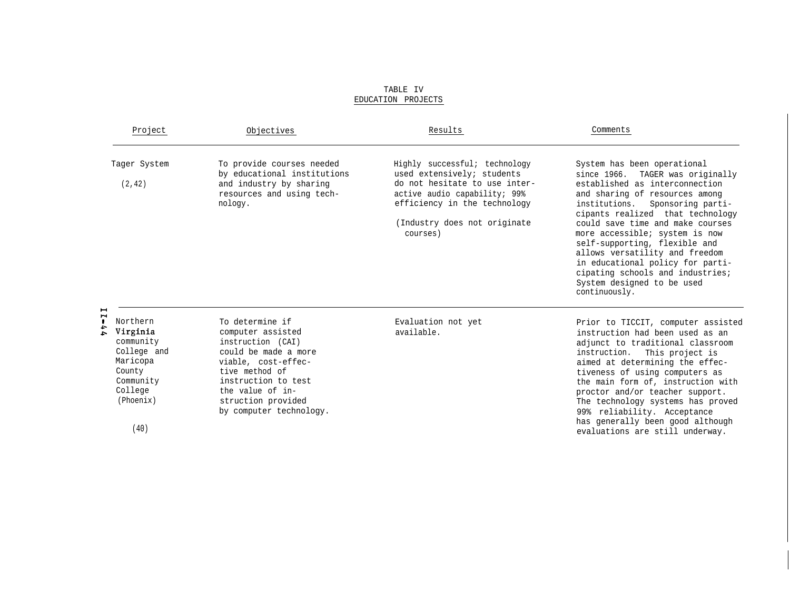|                                       | Project                                                                                                             | Objectives                                                                                                                                                                                                             | Results                                                                                                                                                                                                  | Comments                                                                                                                                                                                                                                                                                                                                                                                                                                                                         |
|---------------------------------------|---------------------------------------------------------------------------------------------------------------------|------------------------------------------------------------------------------------------------------------------------------------------------------------------------------------------------------------------------|----------------------------------------------------------------------------------------------------------------------------------------------------------------------------------------------------------|----------------------------------------------------------------------------------------------------------------------------------------------------------------------------------------------------------------------------------------------------------------------------------------------------------------------------------------------------------------------------------------------------------------------------------------------------------------------------------|
|                                       | Tager System<br>(2, 42)                                                                                             | To provide courses needed<br>by educational institutions<br>and industry by sharing<br>resources and using tech-<br>nology.                                                                                            | Highly successful; technology<br>used extensively; students<br>do not hesitate to use inter-<br>active audio capability; 99%<br>efficiency in the technology<br>(Industry does not originate<br>courses) | System has been operational<br>since 1966.<br>TAGER was originally<br>established as interconnection<br>and sharing of resources among<br>institutions.<br>Sponsoring parti-<br>cipants realized that technology<br>could save time and make courses<br>more accessible; system is now<br>self-supporting, flexible and<br>allows versatility and freedom<br>in educational policy for parti-<br>cipating schools and industries;<br>System designed to be used<br>continuously. |
| $\blacksquare$<br>$\blacksquare$<br>÷ | Northern<br>Virginia<br>community<br>College and<br>Maricopa<br>County<br>Community<br>College<br>(Phoenix)<br>(40) | To determine if<br>computer assisted<br>instruction (CAI)<br>could be made a more<br>viable, cost-effec-<br>tive method of<br>instruction to test<br>the value of in-<br>struction provided<br>by computer technology. | Evaluation not yet<br>available.                                                                                                                                                                         | Prior to TICCIT, computer assisted<br>instruction had been used as an<br>adjunct to traditional classroom<br>instruction. This project is<br>aimed at determining the effec-<br>tiveness of using computers as<br>the main form of, instruction with<br>proctor and/or teacher support.<br>The technology systems has proved<br>99% reliability. Acceptance<br>has generally been good although<br>evaluations are still underway.                                               |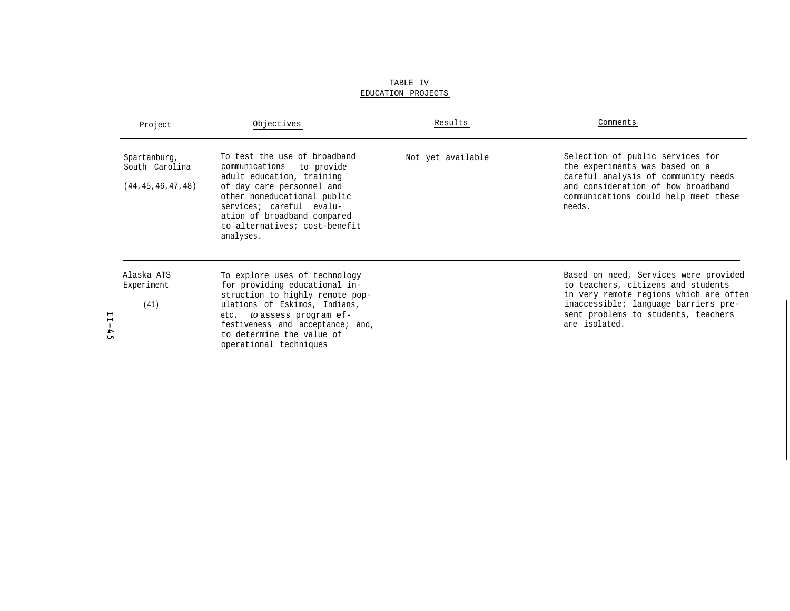| Project                                                                                   | Objectives                                                                                                                                                                                                                                                  | Results           | Comments                                                                                                                                                                                                              |
|-------------------------------------------------------------------------------------------|-------------------------------------------------------------------------------------------------------------------------------------------------------------------------------------------------------------------------------------------------------------|-------------------|-----------------------------------------------------------------------------------------------------------------------------------------------------------------------------------------------------------------------|
| Spartanburg,<br>South Carolina<br>(44, 45, 46, 47, 48)                                    | To test the use of broadband<br>communications to provide<br>adult education, training<br>of day care personnel and<br>other noneducational public<br>services; careful evalu-<br>ation of broadband compared<br>to alternatives; cost-benefit<br>analyses. | Not yet available | Selection of public services for<br>the experiments was based on a<br>careful analysis of community needs<br>and consideration of how broadband<br>communications could help meet these<br>needs.                     |
| Alaska ATS<br>Experiment<br>(41)<br>∽<br>$\blacksquare$<br>$\mathbf{1}$<br>4<br><b>Un</b> | To explore uses of technology<br>for providing educational in-<br>struction to highly remote pop-<br>ulations of Eskimos, Indians,<br>etc. to assess program ef-<br>festiveness and acceptance; and,<br>to determine the value of<br>operational techniques |                   | Based on need, Services were provided<br>to teachers, citizens and students<br>in very remote regions which are often<br>inaccessible; language barriers pre-<br>sent problems to students, teachers<br>are isolated. |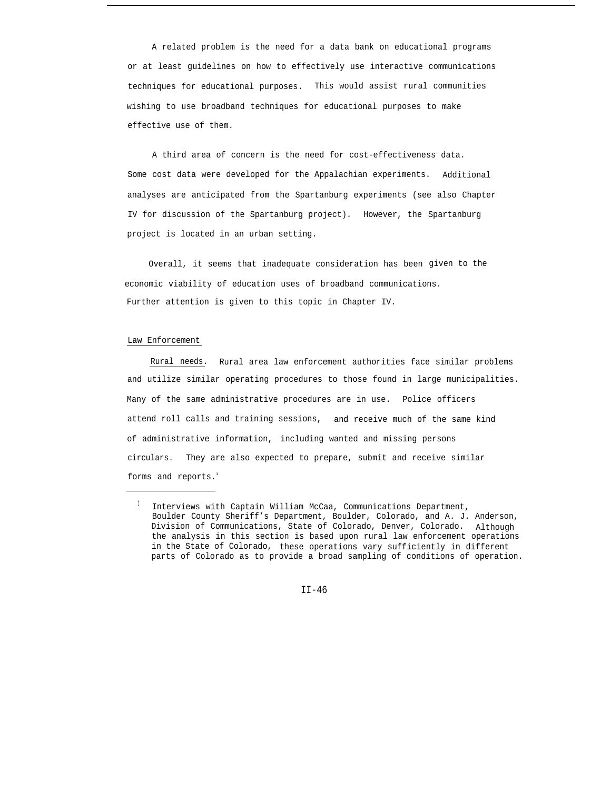A related problem is the need for a data bank on educational programs or at least guidelines on how to effectively use interactive communications techniques for educational purposes. This would assist rural communities wishing to use broadband techniques for educational purposes to make effective use of them.

A third area of concern is the need for cost-effectiveness data. Some cost data were developed for the Appalachian experiments. Additional analyses are anticipated from the Spartanburg experiments (see also Chapter IV for discussion of the Spartanburg project). However, the Spartanburg project is located in an urban setting.

Overall, it seems that inadequate consideration has been given to the economic viability of education uses of broadband communications. Further attention is given to this topic in Chapter IV.

#### Law Enforcement

Rural needs. Rural area law enforcement authorities face similar problems and utilize similar operating procedures to those found in large municipalities. Many of the same administrative procedures are in use. Police officers attend roll calls and training sessions, and receive much of the same kind of administrative information, including wanted and missing persons circulars. They are also expected to prepare, submit and receive similar forms and reports.<sup>1</sup>

 $1$  Interviews with Captain William McCaa, Communications Department, Boulder County Sheriff's Department, Boulder, Colorado, and A. J. Anderson, Division of Communications, State of Colorado, Denver, Colorado. Although the analysis in this section is based upon rural law enforcement operations in the State of Colorado, these operations vary sufficiently in different parts of Colorado as to provide a broad sampling of conditions of operation.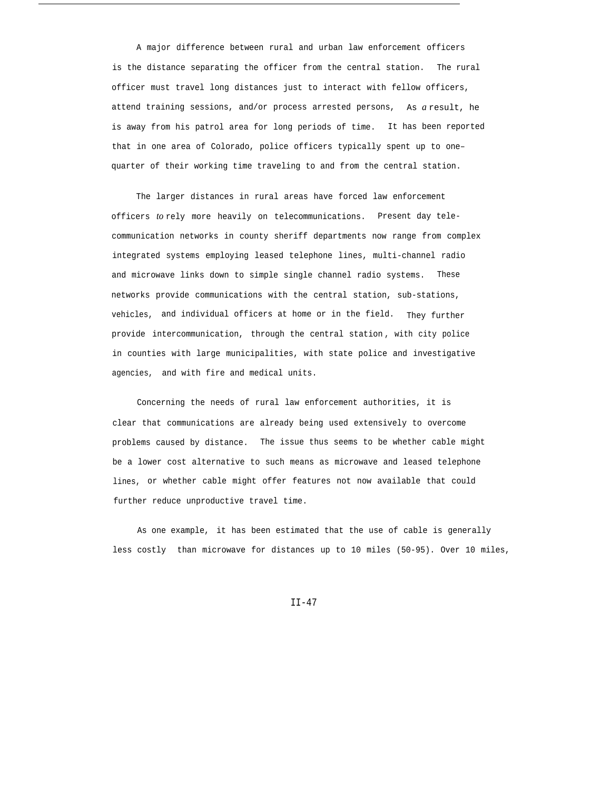A major difference between rural and urban law enforcement officers is the distance separating the officer from the central station. The rural officer must travel long distances just to interact with fellow officers, attend training sessions, and/or process arrested persons, As *a* result, he is away from his patrol area for long periods of time. It has been reported that in one area of Colorado, police officers typically spent up to one– quarter of their working time traveling to and from the central station.

The larger distances in rural areas have forced law enforcement officers *to* rely more heavily on telecommunications. Present day telecommunication networks in county sheriff departments now range from complex integrated systems employing leased telephone lines, multi-channel radio and microwave links down to simple single channel radio systems. These networks provide communications with the central station, sub-stations, vehicles, and individual officers at home or in the field. They further provide intercommunication, through the central station , with city police in counties with large municipalities, with state police and investigative agencies, and with fire and medical units.

Concerning the needs of rural law enforcement authorities, it is clear that communications are already being used extensively to overcome problems caused by distance. The issue thus seems to be whether cable might be a lower cost alternative to such means as microwave and leased telephone lines, or whether cable might offer features not now available that could further reduce unproductive travel time.

As one example, it has been estimated that the use of cable is generally less costly than microwave for distances up to 10 miles (50-95). Over 10 miles,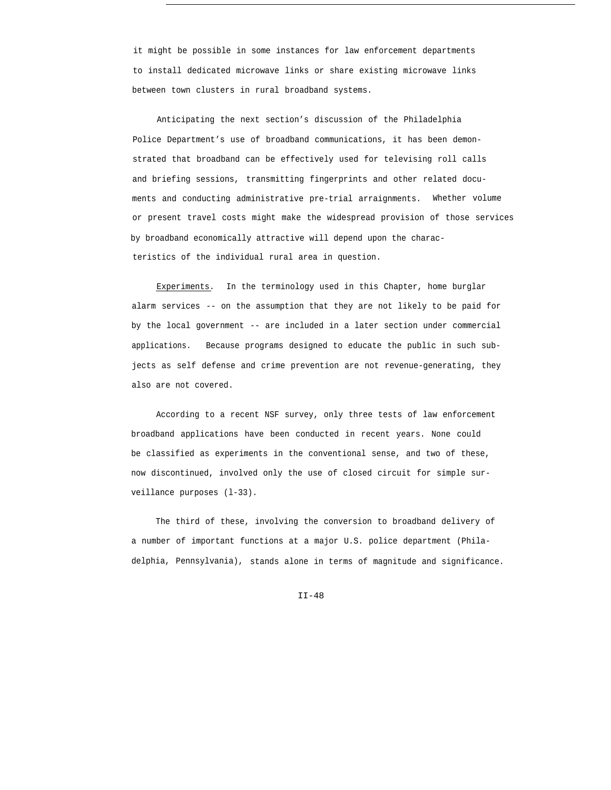it might be possible in some instances for law enforcement departments to install dedicated microwave links or share existing microwave links between town clusters in rural broadband systems.

Anticipating the next section's discussion of the Philadelphia Police Department's use of broadband communications, it has been demonstrated that broadband can be effectively used for televising roll calls and briefing sessions, transmitting fingerprints and other related documents and conducting administrative pre-trial arraignments. Whether volume or present travel costs might make the widespread provision of those services by broadband economically attractive will depend upon the characteristics of the individual rural area in question.

Experiments. In the terminology used in this Chapter, home burglar alarm services -- on the assumption that they are not likely to be paid for by the local government -- are included in a later section under commercial applications. Because programs designed to educate the public in such subjects as self defense and crime prevention are not revenue-generating, they also are not covered.

According to a recent NSF survey, only three tests of law enforcement broadband applications have been conducted in recent years. None could be classified as experiments in the conventional sense, and two of these, now discontinued, involved only the use of closed circuit for simple surveillance purposes (l-33).

The third of these, involving the conversion to broadband delivery of a number of important functions at a major U.S. police department (Philadelphia, Pennsylvania), stands alone in terms of magnitude and significance.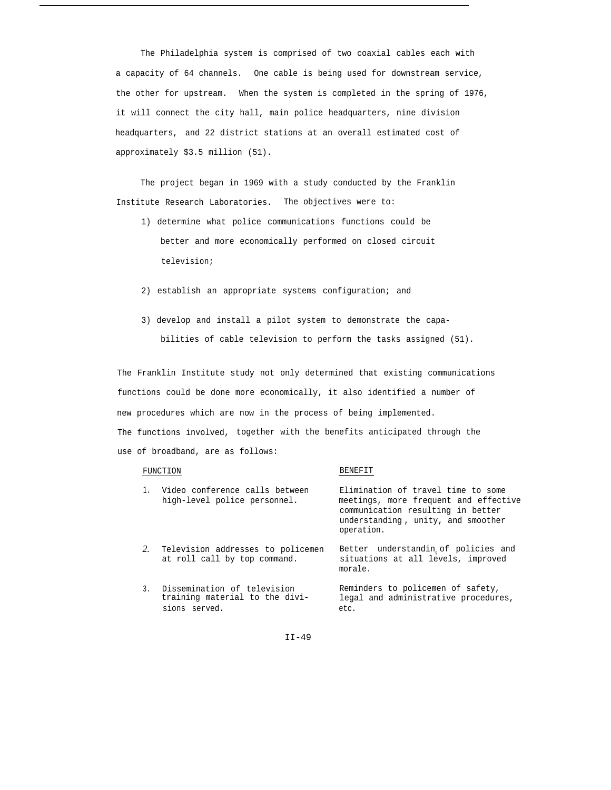The Philadelphia system is comprised of two coaxial cables each with a capacity of 64 channels. One cable is being used for downstream service, the other for upstream. When the system is completed in the spring of 1976, it will connect the city hall, main police headquarters, nine division headquarters, and 22 district stations at an overall estimated cost of approximately \$3.5 million (51).

The project began in 1969 with a study conducted by the Franklin Institute Research Laboratories. The objectives were to:

- 1) determine what police communications functions could be better and more economically performed on closed circuit television;
- 2) establish an appropriate systems configuration; and
- 3) develop and install a pilot system to demonstrate the capabilities of cable television to perform the tasks assigned (51).

The Franklin Institute study not only determined that existing communications functions could be done more economically, it also identified a number of new procedures which are now in the process of being implemented. The functions involved, together with the benefits anticipated through the use of broadband, are as follows:

#### FUNCTION

#### BENEFIT

|    | Video conference calls between<br>high-level police personnel.                    | Elimination of travel time to some<br>meetings, more frequent and effective<br>communication resulting in better<br>understanding, unity, and smoother<br>operation. |
|----|-----------------------------------------------------------------------------------|----------------------------------------------------------------------------------------------------------------------------------------------------------------------|
| 2. | Television addresses to policemen<br>at roll call by top command.                 | Better understandin of policies and<br>situations at all levels, improved<br>morale.                                                                                 |
|    | 3. Dissemination of television<br>training material to the divi-<br>sions served. | Reminders to policemen of safety,<br>legal and administrative procedures,<br>etc.                                                                                    |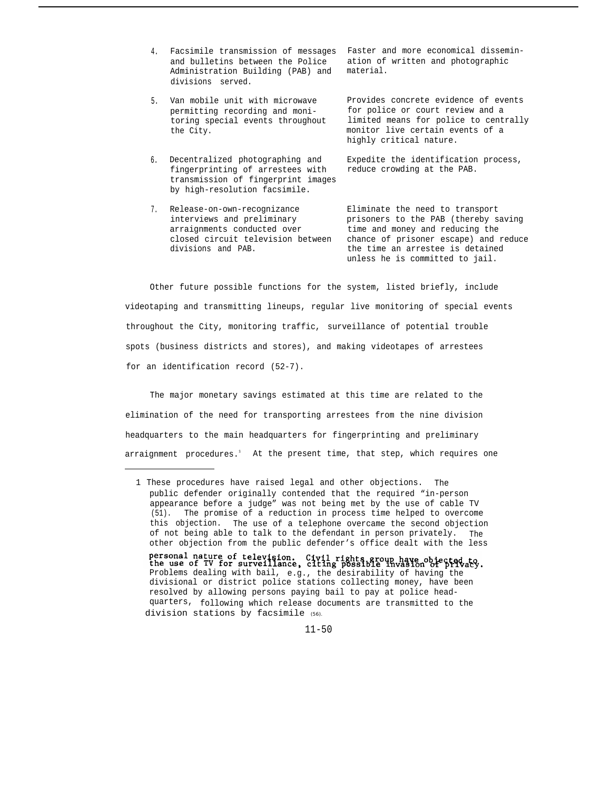- 4. Facsimile transmission of messages Faster and more economical disseminand bulletins between the Police Administration Building (PAB) and divisions served.
- 5. Van mobile unit with microwave permitting recording and monitoring special events throughout the City.
- 6. Decentralized photographing and fingerprinting of arrestees with transmission of fingerprint images by high-resolution facsimile.
- 7. Release-on-own-recognizance arraignments conducted over time and money and reducing the divisions and PAB. The time an arrestee is detained

ation of written and photographic material.

Provides concrete evidence of events for police or court review and a limited means for police to centrally monitor live certain events of a highly critical nature.

Expedite the identification process, reduce crowding at the PAB.

Eliminate the need to transport interviews and preliminary prisoners to the PAB (thereby saving closed circuit television between chance of prisoner escape) and reduce unless he is committed to jail.

Other future possible functions for the system, listed briefly, include videotaping and transmitting lineups, regular live monitoring of special events throughout the City, monitoring traffic, surveillance of potential trouble spots (business districts and stores), and making videotapes of arrestees for an identification record (52-7).

The major monetary savings estimated at this time are related to the elimination of the need for transporting arrestees from the nine division headquarters to the main headquarters for fingerprinting and preliminary arraignment procedures.<sup>1</sup> At the present time, that step, which requires one

<sup>1</sup> These procedures have raised legal and other objections. The public defender originally contended that the required "in-person appearance before a judge" was not being met by the use of cable TV (51). The promise of a reduction in process time helped to overcome this objection. The use of a telephone overcame the second objection of not being able to talk to the defendant in person privately. The other objection from the public defender's office dealt with the less personal nature of television. Civil rights group have objected to the use of TV for surveillance, citing possible invasion of privaty.<br>Problems dealing with bail, e.g., the desirability of having the divisional or district police stations collecting money, have been resolved by allowing persons paying bail to pay at police headquarters, following which release documents are transmitted to the division stations by facsimile (56).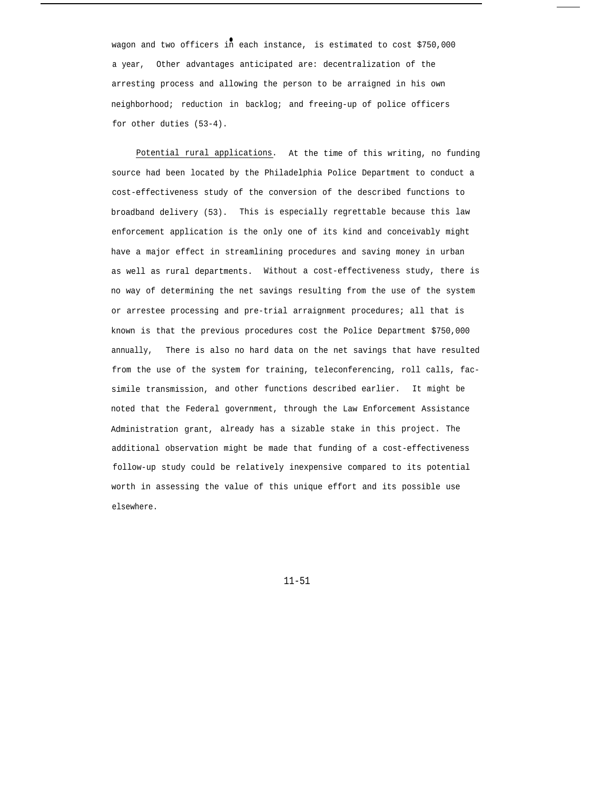wagon and two officers in each instance, is estimated to cost \$750,000 a year, Other advantages anticipated are: decentralization of the arresting process and allowing the person to be arraigned in his own neighborhood; reduction in backlog; and freeing-up of police officers for other duties (53-4).

Potential rural applications. At the time of this writing, no funding source had been located by the Philadelphia Police Department to conduct a cost-effectiveness study of the conversion of the described functions to broadband delivery (53). This is especially regrettable because this law enforcement application is the only one of its kind and conceivably might have a major effect in streamlining procedures and saving money in urban as well as rural departments. Without a cost-effectiveness study, there is no way of determining the net savings resulting from the use of the system or arrestee processing and pre-trial arraignment procedures; all that is known is that the previous procedures cost the Police Department \$750,000 annually, There is also no hard data on the net savings that have resulted from the use of the system for training, teleconferencing, roll calls, facsimile transmission, and other functions described earlier. It might be noted that the Federal government, through the Law Enforcement Assistance Administration grant, already has a sizable stake in this project. The additional observation might be made that funding of a cost-effectiveness follow-up study could be relatively inexpensive compared to its potential worth in assessing the value of this unique effort and its possible use elsewhere.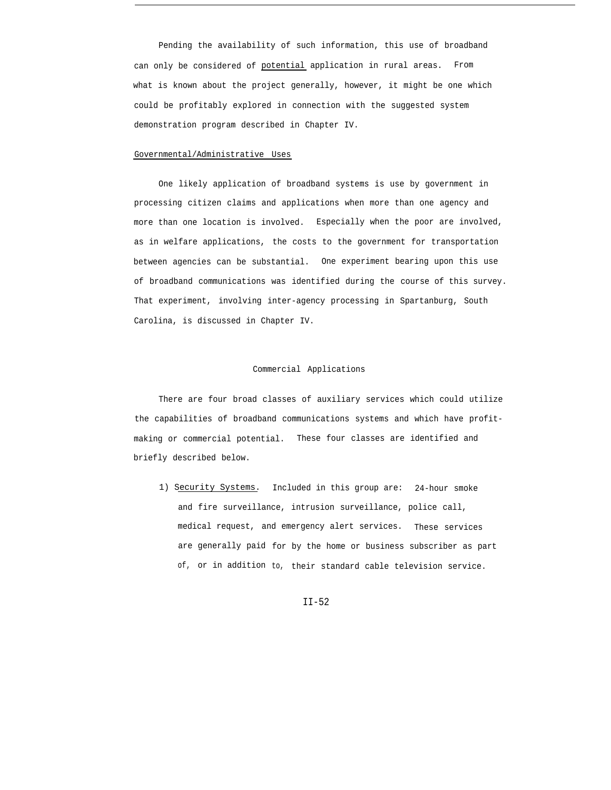Pending the availability of such information, this use of broadband can only be considered of potential application in rural areas. From what is known about the project generally, however, it might be one which could be profitably explored in connection with the suggested system demonstration program described in Chapter IV.

### Governmental/Administrative Uses

One likely application of broadband systems is use by government in processing citizen claims and applications when more than one agency and more than one location is involved. Especially when the poor are involved, as in welfare applications, the costs to the government for transportation between agencies can be substantial. One experiment bearing upon this use of broadband communications was identified during the course of this survey. That experiment, involving inter-agency processing in Spartanburg, South Carolina, is discussed in Chapter IV.

#### Commercial Applications

There are four broad classes of auxiliary services which could utilize the capabilities of broadband communications systems and which have profitmaking or commercial potential. These four classes are identified and briefly described below.

1) Security Systems. Included in this group are: 24-hour smoke and fire surveillance, intrusion surveillance, police call, medical request, and emergency alert services. These services are generally paid for by the home or business subscriber as part of, or in addition to, their standard cable television service.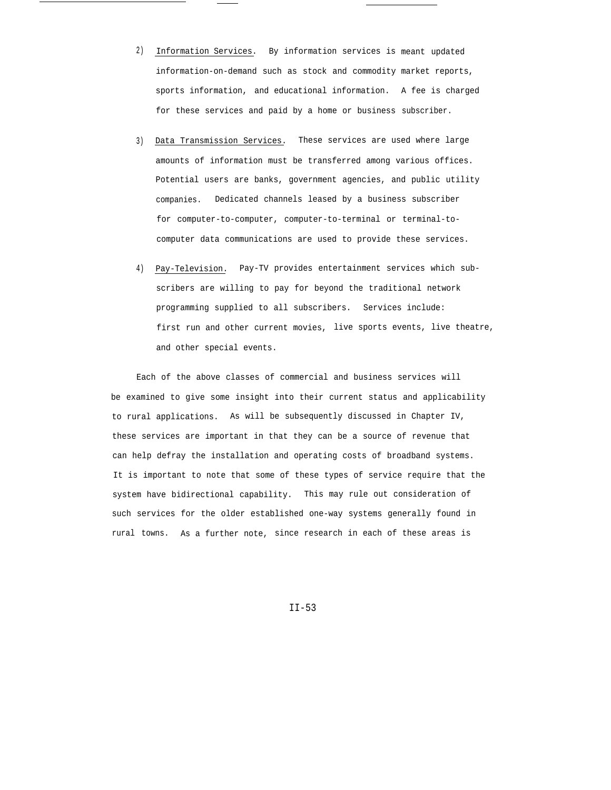- 2) Information Services. By information services is meant updated information-on-demand such as stock and commodity market reports, sports information, and educational information. A fee is charged for these services and paid by a home or business subscriber.
- 3) Data Transmission Services. These services are used where large amounts of information must be transferred among various offices. Potential users are banks, government agencies, and public utility companies. Dedicated channels leased by a business subscriber for computer-to-computer, computer-to-terminal or terminal-tocomputer data communications are used to provide these services.
- 4) Pay-Television. Pay-TV provides entertainment services which subscribers are willing to pay for beyond the traditional network programming supplied to all subscribers. Services include: first run and other current movies, live sports events, live theatre, and other special events.

Each of the above classes of commercial and business services will be examined to give some insight into their current status and applicability to rural applications. As will be subsequently discussed in Chapter IV, these services are important in that they can be a source of revenue that can help defray the installation and operating costs of broadband systems. It is important to note that some of these types of service require that the system have bidirectional capability. This may rule out consideration of such services for the older established one-way systems generally found in rural towns. As a further note, since research in each of these areas is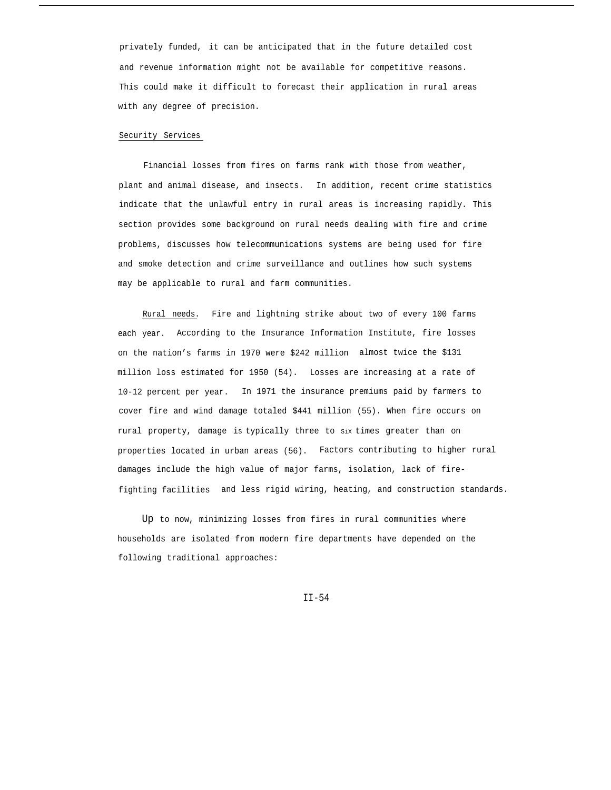privately funded, it can be anticipated that in the future detailed cost and revenue information might not be available for competitive reasons. This could make it difficult to forecast their application in rural areas with any degree of precision.

#### Security Services

Financial losses from fires on farms rank with those from weather, plant and animal disease, and insects. In addition, recent crime statistics indicate that the unlawful entry in rural areas is increasing rapidly. This section provides some background on rural needs dealing with fire and crime problems, discusses how telecommunications systems are being used for fire and smoke detection and crime surveillance and outlines how such systems may be applicable to rural and farm communities.

Rural needs. Fire and lightning strike about two of every 100 farms each year. According to the Insurance Information Institute, fire losses on the nation's farms in 1970 were \$242 million almost twice the \$131 million loss estimated for 1950 (54). Losses are increasing at a rate of 10-12 percent per year. In 1971 the insurance premiums paid by farmers to cover fire and wind damage totaled \$441 million (55). When fire occurs on rural property, damage is typically three to six times greater than on properties located in urban areas (56). Factors contributing to higher rural damages include the high value of major farms, isolation, lack of firefighting facilities and less rigid wiring, heating, and construction standards.

Up to now, minimizing losses from fires in rural communities where households are isolated from modern fire departments have depended on the following traditional approaches: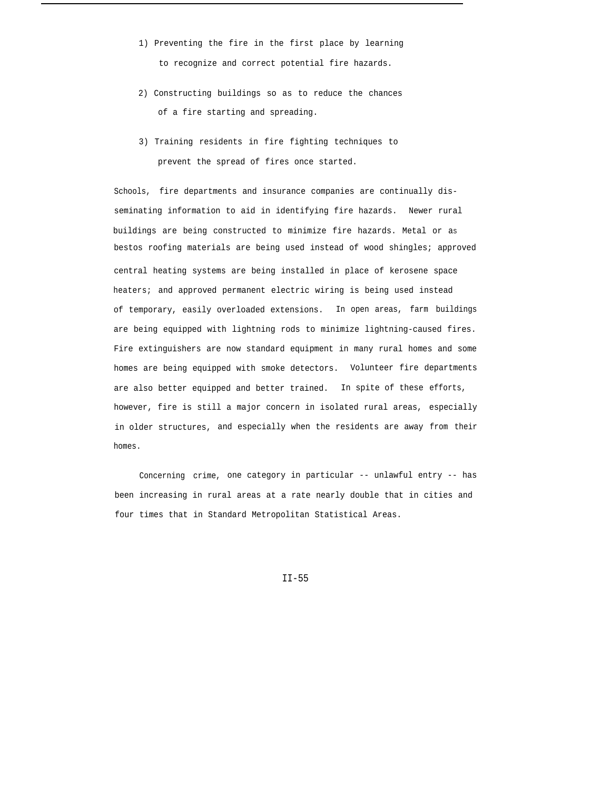- 1) Preventing the fire in the first place by learning to recognize and correct potential fire hazards.
- 2) Constructing buildings so as to reduce the chances of a fire starting and spreading.
- 3) Training residents in fire fighting techniques to prevent the spread of fires once started.

Schools, fire departments and insurance companies are continually disseminating information to aid in identifying fire hazards. Newer rural buildings are being constructed to minimize fire hazards. Metal or as bestos roofing materials are being used instead of wood shingles; approved central heating systems are being installed in place of kerosene space heaters; and approved permanent electric wiring is being used instead of temporary, easily overloaded extensions. In open areas, farm buildings are being equipped with lightning rods to minimize lightning-caused fires. Fire extinguishers are now standard equipment in many rural homes and some homes are being equipped with smoke detectors. Volunteer fire departments are also better equipped and better trained. In spite of these efforts, however, fire is still a major concern in isolated rural areas, especially in older structures, and especially when the residents are away from their homes.

Concerning crime, one category in particular -- unlawful entry -- has been increasing in rural areas at a rate nearly double that in cities and four times that in Standard Metropolitan Statistical Areas.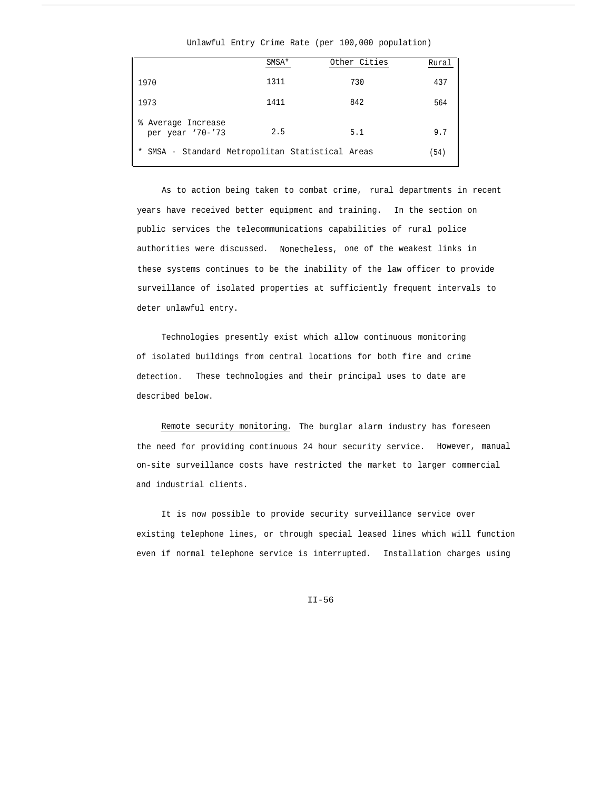### Unlawful Entry Crime Rate (per 100,000 population)

|                                                           | SMSA* | Other Cities | Rural |
|-----------------------------------------------------------|-------|--------------|-------|
| 1970                                                      | 1311  | 730          | 437   |
| 1973                                                      | 1411  | 842          | 564   |
| % Average Increase<br>per year '70-'73                    | 2.5   | 5.1          | 9.7   |
| SMSA - Standard Metropolitan Statistical Areas<br>$\star$ |       |              | (54)  |

As to action being taken to combat crime, rural departments in recent years have received better equipment and training. In the section on public services the telecommunications capabilities of rural police authorities were discussed. Nonetheless, one of the weakest links in these systems continues to be the inability of the law officer to provide surveillance of isolated properties at sufficiently frequent intervals to deter unlawful entry.

Technologies presently exist which allow continuous monitoring of isolated buildings from central locations for both fire and crime detection. These technologies and their principal uses to date are described below.

Remote security monitoring. The burglar alarm industry has foreseen the need for providing continuous 24 hour security service. However, manual on-site surveillance costs have restricted the market to larger commercial and industrial clients.

It is now possible to provide security surveillance service over existing telephone lines, or through special leased lines which will function even if normal telephone service is interrupted. Installation charges using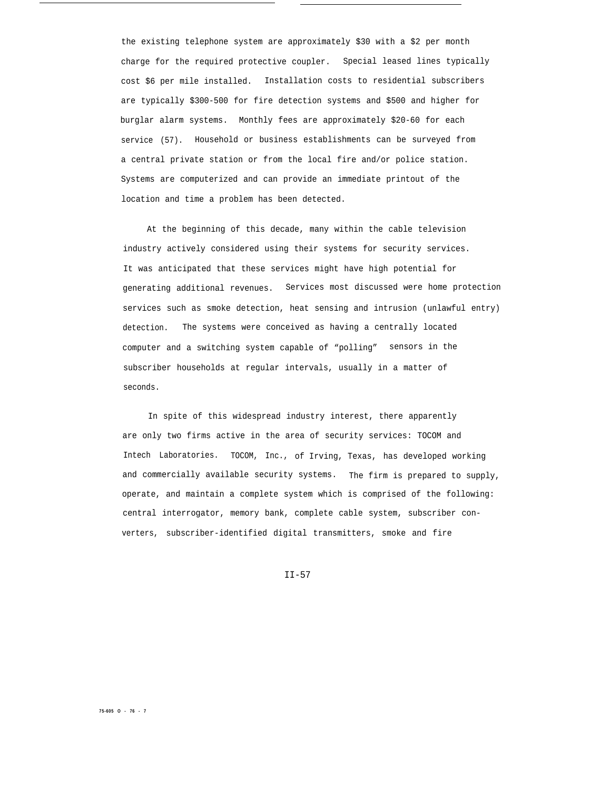the existing telephone system are approximately \$30 with a \$2 per month charge for the required protective coupler. Special leased lines typically cost \$6 per mile installed. Installation costs to residential subscribers are typically \$300-500 for fire detection systems and \$500 and higher for burglar alarm systems. Monthly fees are approximately \$20-60 for each service (57). Household or business establishments can be surveyed from a central private station or from the local fire and/or police station. Systems are computerized and can provide an immediate printout of the location and time a problem has been detected.

At the beginning of this decade, many within the cable television industry actively considered using their systems for security services. It was anticipated that these services might have high potential for generating additional revenues. Services most discussed were home protection services such as smoke detection, heat sensing and intrusion (unlawful entry) detection. The systems were conceived as having a centrally located computer and a switching system capable of "polling" sensors in the subscriber households at regular intervals, usually in a matter of seconds.

In spite of this widespread industry interest, there apparently are only two firms active in the area of security services: TOCOM and Intech Laboratories. TOCOM, Inc., of Irving, Texas, has developed working and commercially available security systems. The firm is prepared to supply, operate, and maintain a complete system which is comprised of the following: central interrogator, memory bank, complete cable system, subscriber converters, subscriber-identified digital transmitters, smoke and fire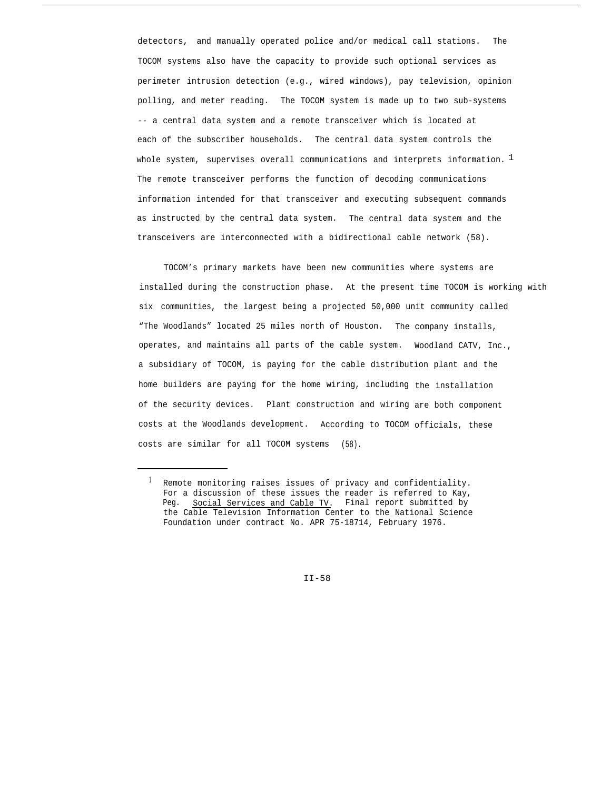detectors, and manually operated police and/or medical call stations. The TOCOM systems also have the capacity to provide such optional services as perimeter intrusion detection (e.g., wired windows), pay television, opinion polling, and meter reading. The TOCOM system is made up to two sub-systems -- a central data system and a remote transceiver which is located at each of the subscriber households. The central data system controls the whole system, supervises overall communications and interprets information.  $1$ The remote transceiver performs the function of decoding communications information intended for that transceiver and executing subsequent commands as instructed by the central data system. The central data system and the transceivers are interconnected with a bidirectional cable network (58).

TOCOM's primary markets have been new communities where systems are installed during the construction phase. At the present time TOCOM is working with six communities, the largest being a projected 50,000 unit community called "The Woodlands" located 25 miles north of Houston. The company installs, operates, and maintains all parts of the cable system. Woodland CATV, Inc., a subsidiary of TOCOM, is paying for the cable distribution plant and the home builders are paying for the home wiring, including the installation of the security devices. Plant construction and wiring are both component costs at the Woodlands development. According to TOCOM officials, these costs are similar for all TOCOM systems (58).

<sup>&</sup>lt;sup>1</sup> Remote monitoring raises issues of privacy and confidentiality. For a discussion of these issues the reader is referred to Kay, Peg. Social Services and Cable TV. Final report submitted by the Cable Television Information Center to the National Science Foundation under contract No. APR 75-18714, February 1976.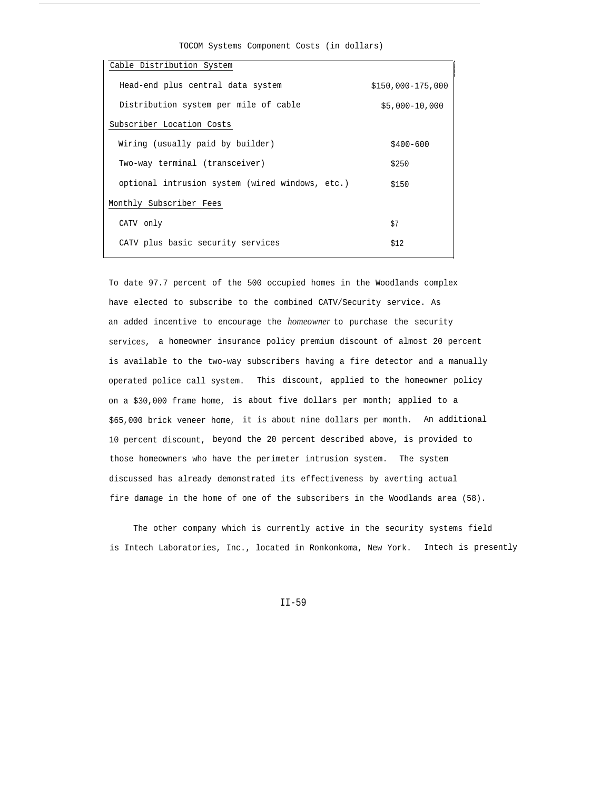| Cable Distribution System                       |                      |
|-------------------------------------------------|----------------------|
|                                                 |                      |
| Head-end plus central data system               | $$150.000 - 175.000$ |
|                                                 |                      |
| Distribution system per mile of cable           | $$5,000-10,000$      |
|                                                 |                      |
| Subscriber Location Costs                       |                      |
|                                                 |                      |
| Wiring (usually paid by builder)                | $$400 - 600$         |
|                                                 |                      |
| Two-way terminal (transceiver)                  | \$250                |
|                                                 |                      |
| optional intrusion system (wired windows, etc.) | \$150                |
|                                                 |                      |
| Monthly Subscriber Fees                         |                      |
|                                                 |                      |
| CATV only                                       | \$7                  |
|                                                 |                      |
| CATV plus basic security services               | \$12                 |
|                                                 |                      |

TOCOM Systems Component Costs (in dollars)

To date 97.7 percent of the 500 occupied homes in the Woodlands complex have elected to subscribe to the combined CATV/Security service. As an added incentive to encourage the *homeowner* to purchase the security services, a homeowner insurance policy premium discount of almost 20 percent is available to the two-way subscribers having a fire detector and a manually operated police call system. This discount, applied to the homeowner policy on a \$30,000 frame home, is about five dollars per month; applied to a \$65,000 brick veneer home, it is about nine dollars per month. An additional 10 percent discount, beyond the 20 percent described above, is provided to those homeowners who have the perimeter intrusion system. The system discussed has already demonstrated its effectiveness by averting actual fire damage in the home of one of the subscribers in the Woodlands area (58).

The other company which is currently active in the security systems field is Intech Laboratories, Inc., located in Ronkonkoma, New York. Intech is presently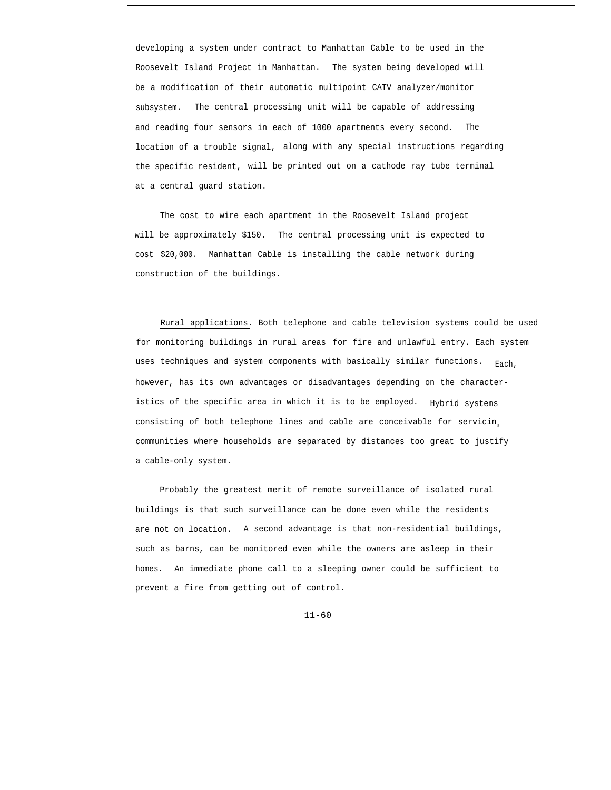developing a system under contract to Manhattan Cable to be used in the Roosevelt Island Project in Manhattan. The system being developed will be a modification of their automatic multipoint CATV analyzer/monitor subsystem. The central processing unit will be capable of addressing and reading four sensors in each of 1000 apartments every second. The location of a trouble signal, along with any special instructions regarding the specific resident, will be printed out on a cathode ray tube terminal at a central guard station.

The cost to wire each apartment in the Roosevelt Island project will be approximately \$150. The central processing unit is expected to cost \$20,000. Manhattan Cable is installing the cable network during construction of the buildings.

Rural applications. Both telephone and cable television systems could be used for monitoring buildings in rural areas for fire and unlawful entry. Each system uses techniques and system components with basically similar functions. Each, however, has its own advantages or disadvantages depending on the characteristics of the specific area in which it is to be employed. Hybrid systems consisting of both telephone lines and cable are conceivable for servicin<sup>g</sup> communities where households are separated by distances too great to justify a cable-only system.

Probably the greatest merit of remote surveillance of isolated rural buildings is that such surveillance can be done even while the residents are not on location. A second advantage is that non-residential buildings, such as barns, can be monitored even while the owners are asleep in their homes. An immediate phone call to a sleeping owner could be sufficient to prevent a fire from getting out of control.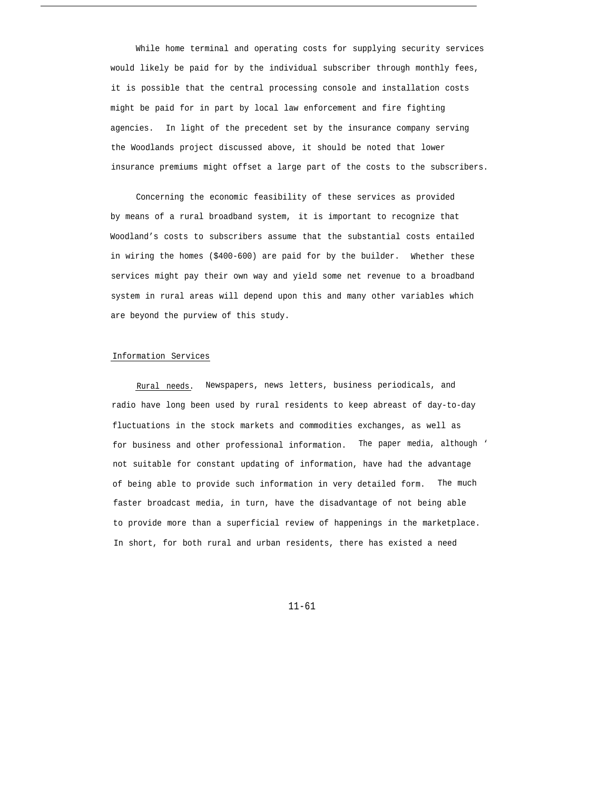While home terminal and operating costs for supplying security services would likely be paid for by the individual subscriber through monthly fees, it is possible that the central processing console and installation costs might be paid for in part by local law enforcement and fire fighting agencies. In light of the precedent set by the insurance company serving the Woodlands project discussed above, it should be noted that lower insurance premiums might offset a large part of the costs to the subscribers.

Concerning the economic feasibility of these services as provided by means of a rural broadband system, it is important to recognize that Woodland's costs to subscribers assume that the substantial costs entailed in wiring the homes (\$400-600) are paid for by the builder. Whether these services might pay their own way and yield some net revenue to a broadband system in rural areas will depend upon this and many other variables which are beyond the purview of this study.

#### Information Services

Rural needs. Newspapers, news letters, business periodicals, and radio have long been used by rural residents to keep abreast of day-to-day fluctuations in the stock markets and commodities exchanges, as well as for business and other professional information. The paper media, although ' not suitable for constant updating of information, have had the advantage of being able to provide such information in very detailed form. The much faster broadcast media, in turn, have the disadvantage of not being able to provide more than a superficial review of happenings in the marketplace. In short, for both rural and urban residents, there has existed a need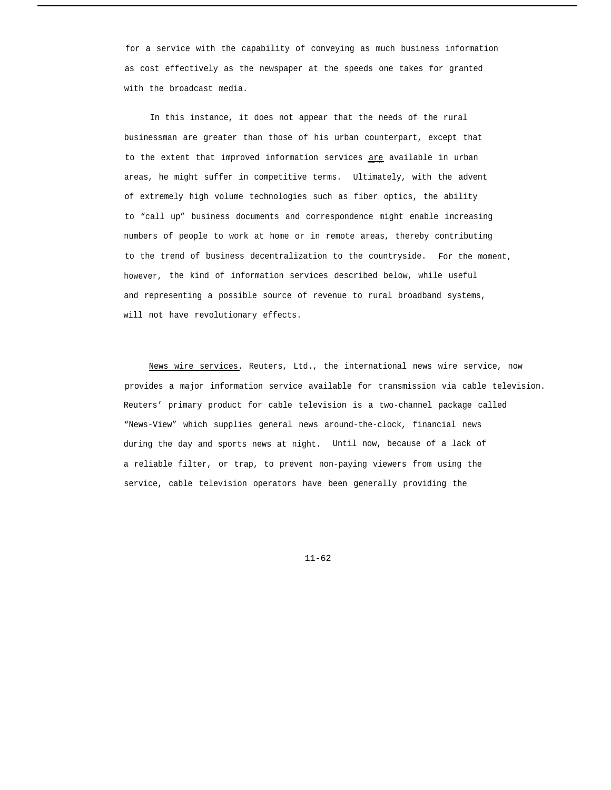for a service with the capability of conveying as much business information as cost effectively as the newspaper at the speeds one takes for granted with the broadcast media.

In this instance, it does not appear that the needs of the rural businessman are greater than those of his urban counterpart, except that to the extent that improved information services are available in urban areas, he might suffer in competitive terms. Ultimately, with the advent of extremely high volume technologies such as fiber optics, the ability to "call up" business documents and correspondence might enable increasing numbers of people to work at home or in remote areas, thereby contributing to the trend of business decentralization to the countryside. For the moment, however, the kind of information services described below, while useful and representing a possible source of revenue to rural broadband systems, will not have revolutionary effects.

News wire services. Reuters, Ltd., the international news wire service, now provides a major information service available for transmission via cable television. Reuters' primary product for cable television is a two-channel package called "News-View" which supplies general news around-the-clock, financial news during the day and sports news at night. Until now, because of a lack of a reliable filter, or trap, to prevent non-paying viewers from using the service, cable television operators have been generally providing the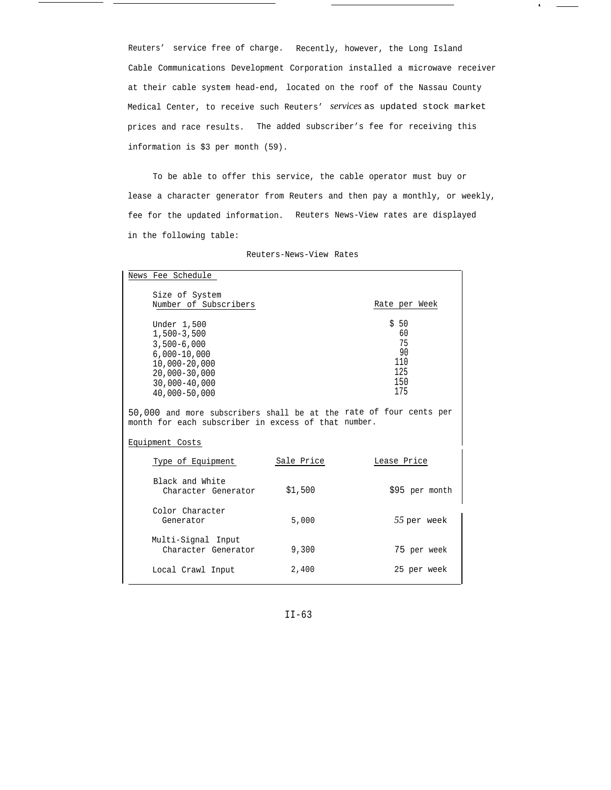Reuters' service free of charge. Recently, however, the Long Island Cable Communications Development Corporation installed a microwave receiver at their cable system head-end, located on the roof of the Nassau County Medical Center, to receive such Reuters' *services* as updated stock market prices and race results. The added subscriber's fee for receiving this information is \$3 per month (59).

 $\pmb{\ast}$ 

To be able to offer this service, the cable operator must buy or lease a character generator from Reuters and then pay a monthly, or weekly, fee for the updated information. Reuters News-View rates are displayed in the following table:

| News Fee Schedule                                                                                                                                   |            |                                                    |
|-----------------------------------------------------------------------------------------------------------------------------------------------------|------------|----------------------------------------------------|
| Size of System<br>Number of Subscribers                                                                                                             |            | Rate per Week                                      |
| Under 1,500<br>$1,500-3,500$<br>$3,500 - 6,000$<br>$6,000 - 10,000$<br>$10,000 - 20,000$<br>$20,000 - 30,000$<br>$30,000 - 40,000$<br>40,000-50,000 |            | \$50<br>60<br>75<br>90<br>110<br>125<br>150<br>175 |
| 50,000 and more subscribers shall be at the rate of four cents per<br>month for each subscriber in excess of that number.                           |            |                                                    |
| Equipment Costs                                                                                                                                     |            |                                                    |
| Type of Equipment                                                                                                                                   | Sale Price | Lease Price                                        |
| Black and White<br>Character Generator                                                                                                              | \$1,500    | \$95 per month                                     |
| Color Character<br>Generator                                                                                                                        | 5,000      | 55 per week                                        |
| Multi-Signal Input<br>Character Generator                                                                                                           | 9,300      | 75 per week                                        |
| Local Crawl Input                                                                                                                                   | 2,400      | 25 per week                                        |

Reuters-News-View Rates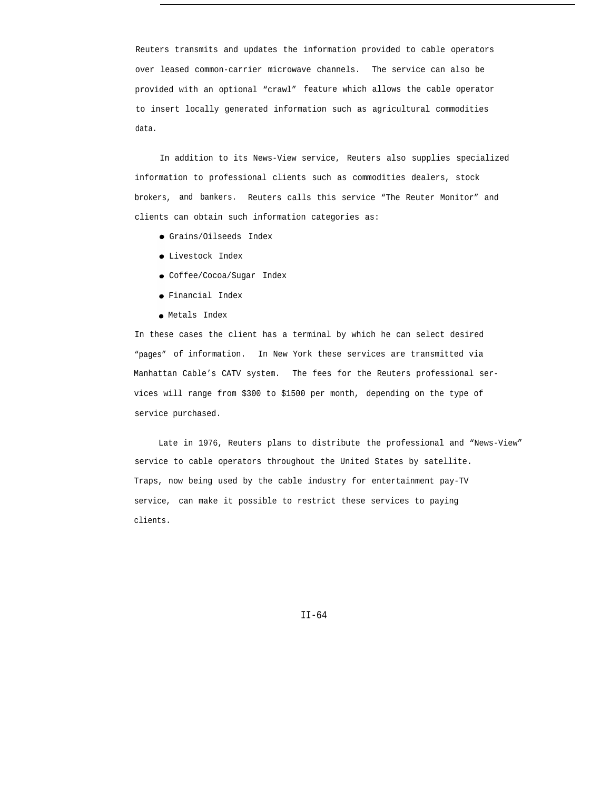Reuters transmits and updates the information provided to cable operators over leased common-carrier microwave channels. The service can also be provided with an optional "crawl" feature which allows the cable operator to insert locally generated information such as agricultural commodities data.

In addition to its News-View service, Reuters also supplies specialized information to professional clients such as commodities dealers, stock brokers, and bankers. Reuters calls this service "The Reuter Monitor" and clients can obtain such information categories as:

- Grains/Oilseeds Index
- Livestock Index
- Coffee/Cocoa/Sugar Index
- Financial Index
- Metals Index

In these cases the client has a terminal by which he can select desired "pages" of information. In New York these services are transmitted via Manhattan Cable's CATV system. The fees for the Reuters professional services will range from \$300 to \$1500 per month, depending on the type of service purchased.

Late in 1976, Reuters plans to distribute the professional and "News-View" service to cable operators throughout the United States by satellite. Traps, now being used by the cable industry for entertainment pay-TV service, can make it possible to restrict these services to paying clients.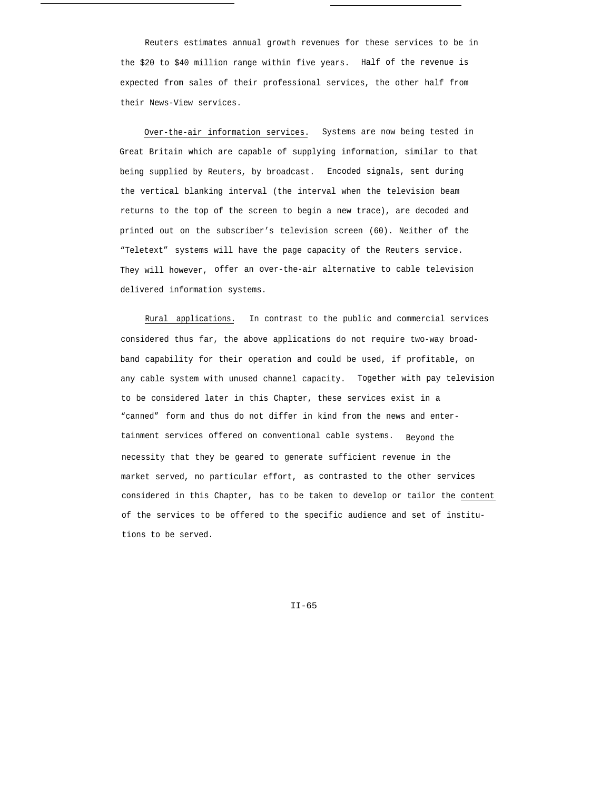Reuters estimates annual growth revenues for these services to be in the \$20 to \$40 million range within five years. Half of the revenue is expected from sales of their professional services, the other half from their News-View services.

Over-the-air information services. Systems are now being tested in Great Britain which are capable of supplying information, similar to that being supplied by Reuters, by broadcast. Encoded signals, sent during the vertical blanking interval (the interval when the television beam returns to the top of the screen to begin a new trace), are decoded and printed out on the subscriber's television screen (60). Neither of the "Teletext" systems will have the page capacity of the Reuters service. They will however, offer an over-the-air alternative to cable television delivered information systems.

Rural applications. In contrast to the public and commercial services considered thus far, the above applications do not require two-way broadband capability for their operation and could be used, if profitable, on any cable system with unused channel capacity. Together with pay television to be considered later in this Chapter, these services exist in a "canned" form and thus do not differ in kind from the news and entertainment services offered on conventional cable systems. Beyond the necessity that they be geared to generate sufficient revenue in the market served, no particular effort, as contrasted to the other services considered in this Chapter, has to be taken to develop or tailor the content of the services to be offered to the specific audience and set of institutions to be served.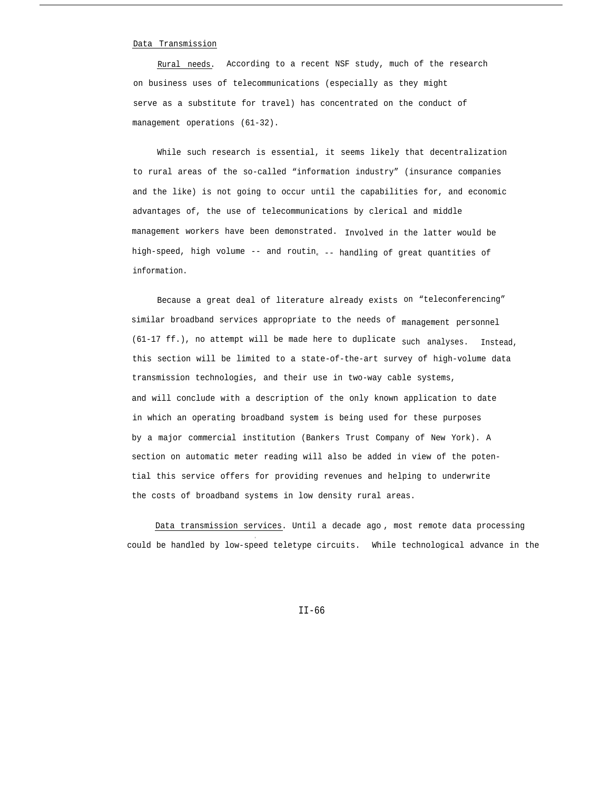#### Data Transmission

Rural needs. According to a recent NSF study, much of the research on business uses of telecommunications (especially as they might serve as a substitute for travel) has concentrated on the conduct of management operations (61-32).

While such research is essential, it seems likely that decentralization to rural areas of the so-called "information industry" (insurance companies and the like) is not going to occur until the capabilities for, and economic advantages of, the use of telecommunications by clerical and middle management workers have been demonstrated. Involved in the latter would be high-speed, high volume -- and routin<sub>e --</sub> handling of great quantities of information.

Because a great deal of literature already exists on "teleconferencing" similar broadband services appropriate to the needs of management personnel (61-17 ff.), no attempt will be made here to duplicate such analyses. Instead, this section will be limited to a state-of-the-art survey of high-volume data transmission technologies, and their use in two-way cable systems, and will conclude with a description of the only known application to date in which an operating broadband system is being used for these purposes by a major commercial institution (Bankers Trust Company of New York). A section on automatic meter reading will also be added in view of the potential this service offers for providing revenues and helping to underwrite the costs of broadband systems in low density rural areas.

Data transmission services. Until a decade ago , most remote data processing could be handled by low-speed teletype circuits. While technological advance in the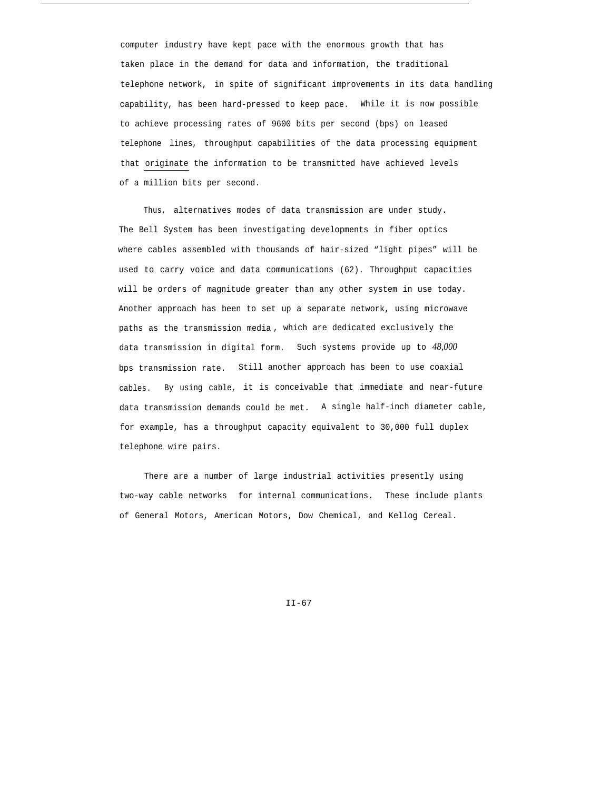computer industry have kept pace with the enormous growth that has taken place in the demand for data and information, the traditional telephone network, in spite of significant improvements in its data handling capability, has been hard-pressed to keep pace. While it is now possible to achieve processing rates of 9600 bits per second (bps) on leased telephone lines, throughput capabilities of the data processing equipment that originate the information to be transmitted have achieved levels of a million bits per second.

Thus, alternatives modes of data transmission are under study. The Bell System has been investigating developments in fiber optics where cables assembled with thousands of hair-sized "light pipes" will be used to carry voice and data communications (62). Throughput capacities will be orders of magnitude greater than any other system in use today. Another approach has been to set up a separate network, using microwave paths as the transmission media , which are dedicated exclusively the data transmission in digital form. Such systems provide up to *48,000* bps transmission rate. Still another approach has been to use coaxial cables. By using cable, it is conceivable that immediate and near-future data transmission demands could be met. A single half-inch diameter cable, for example, has a throughput capacity equivalent to 30,000 full duplex telephone wire pairs.

There are a number of large industrial activities presently using two-way cable networks for internal communications. These include plants of General Motors, American Motors, Dow Chemical, and Kellog Cereal.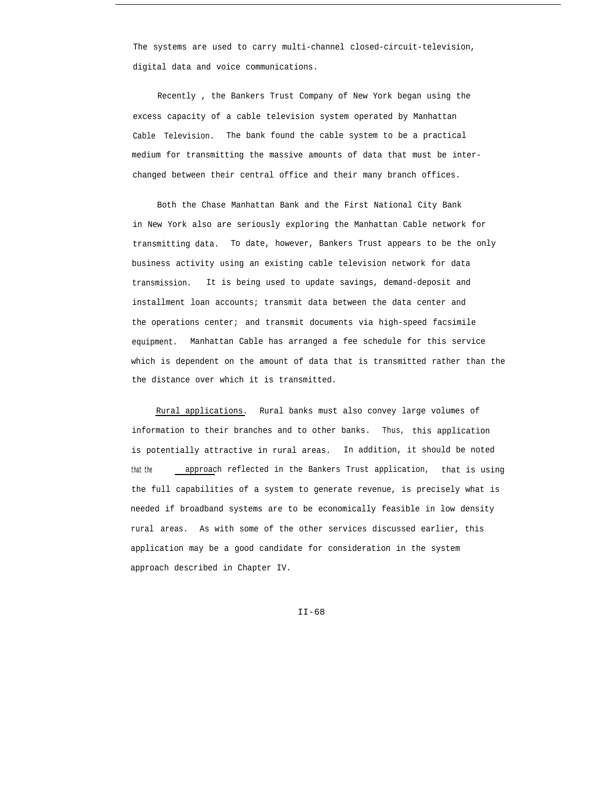The systems are used to carry multi-channel closed-circuit-television, digital data and voice communications.

Recently , the Bankers Trust Company of New York began using the excess capacity of a cable television system operated by Manhattan Cable Television. The bank found the cable system to be a practical medium for transmitting the massive amounts of data that must be interchanged between their central office and their many branch offices.

Both the Chase Manhattan Bank and the First National City Bank in New York also are seriously exploring the Manhattan Cable network for transmitting data. To date, however, Bankers Trust appears to be the only business activity using an existing cable television network for data transmission. It is being used to update savings, demand-deposit and installment loan accounts; transmit data between the data center and the operations center; and transmit documents via high-speed facsimile equipment. Manhattan Cable has arranged a fee schedule for this service which is dependent on the amount of data that is transmitted rather than the the distance over which it is transmitted.

Rural applications. Rural banks must also convey large volumes of information to their branches and to other banks. Thus, this application is potentially attractive in rural areas. In addition, it should be noted that the **approach** reflected in the Bankers Trust application, that is using the full capabilities of a system to generate revenue, is precisely what is needed if broadband systems are to be economically feasible in low density rural areas. As with some of the other services discussed earlier, this application may be a good candidate for consideration in the system approach described in Chapter IV.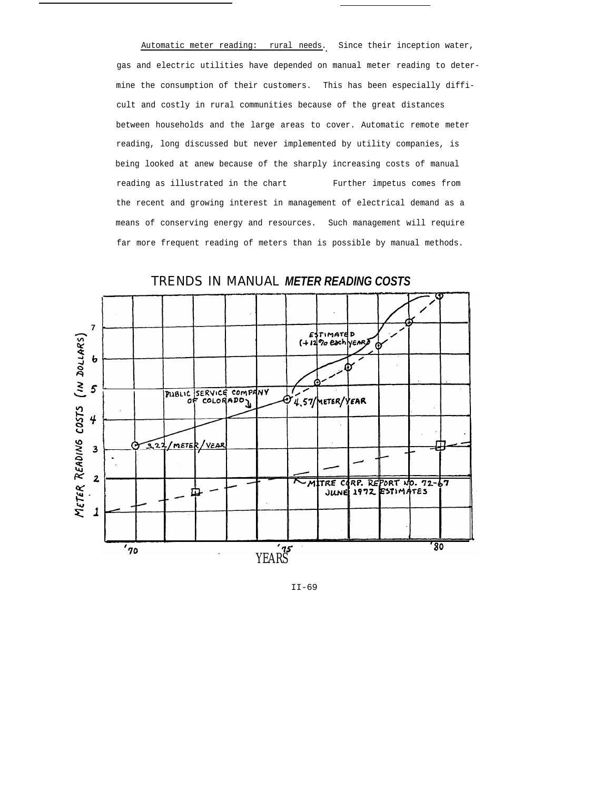Automatic meter reading: rural needs. Since their inception water, gas and electric utilities have depended on manual meter reading to determine the consumption of their customers. This has been especially difficult and costly in rural communities because of the great distances between households and the large areas to cover. Automatic remote meter reading, long discussed but never implemented by utility companies, is being looked at anew because of the sharply increasing costs of manual reading as illustrated in the chart Further impetus comes from the recent and growing interest in management of electrical demand as a means of conserving energy and resources. Such management will require far more frequent reading of meters than is possible by manual methods.



TRENDS IN MANUAL *METER READING COSTS*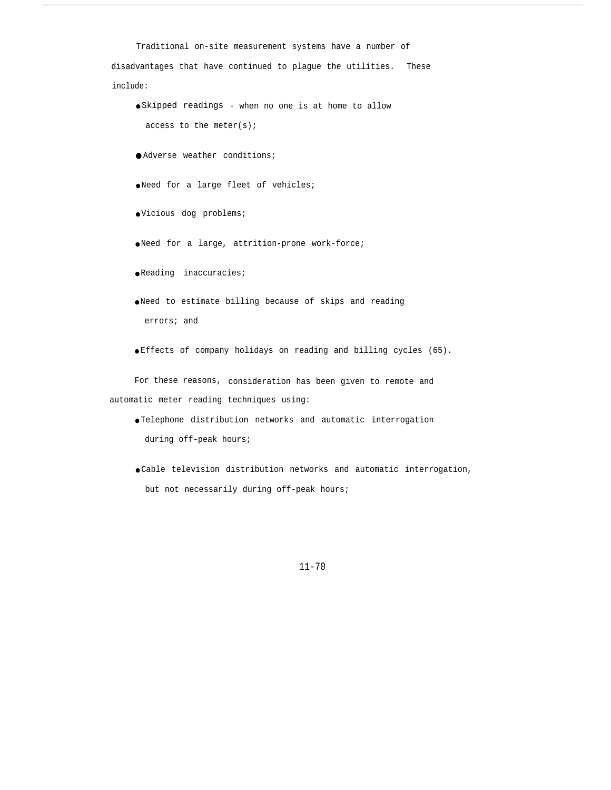Traditional on-site measurement systems have a number of disadvantages that have continued to plague the utilities. These include: ● Skipped readings - when no one is at home to allow access to the meter(s); ● Adverse weather conditions; ● Need for a large fleet of vehicles; ● Vicious dog problems; ● Need for a large, attrition-prone work-force; ● Reading inaccuracies; ● Need to estimate billing because of skips and reading errors; and ● Effects of company holidays on reading and billing cycles (65). For these reasons, consideration has been given to remote and automatic meter reading techniques using:

- Telephone distribution networks and automatic interrogation during off-peak hours;
- Cable television distribution networks and automatic interrogation, but not necessarily during off-peak hours;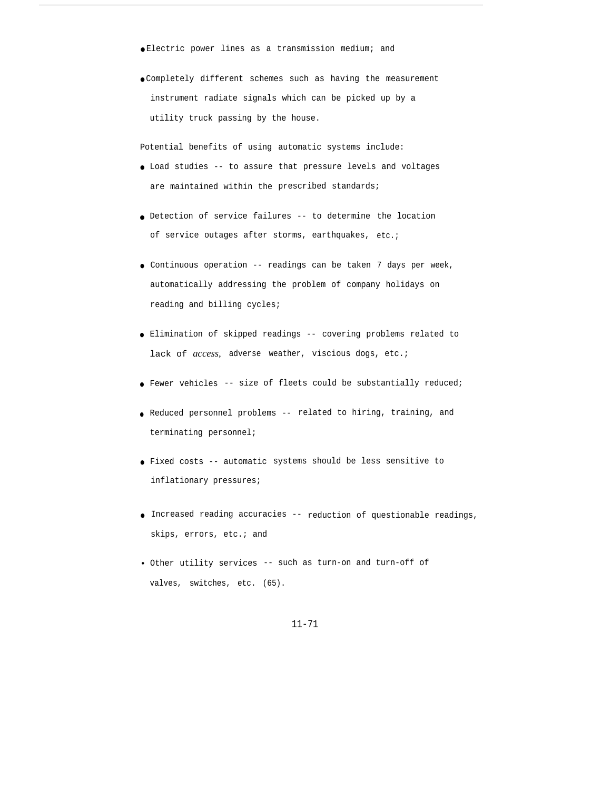- Electric power lines as a transmission medium; and
- Completely different schemes such as having the measurement instrument radiate signals which can be picked up by a utility truck passing by the house.

Potential benefits of using automatic systems include:

- Load studies -- to assure that pressure levels and voltages are maintained within the prescribed standards;
- Detection of service failures -- to determine the location of service outages after storms, earthquakes, etc.;
- Continuous operation -- readings can be taken 7 days per week, automatically addressing the problem of company holidays on reading and billing cycles;
- Elimination of skipped readings -- covering problems related to lack of *access,* adverse weather, viscious dogs, etc.;
- Fewer vehicles -- size of fleets could be substantially reduced;
- Reduced personnel problems -- related to hiring, training, and terminating personnel;
- Fixed costs -- automatic systems should be less sensitive to inflationary pressures;
- Increased reading accuracies -- reduction of questionable readings, skips, errors, etc.; and
- Other utility services -- such as turn-on and turn-off of valves, switches, etc. (65).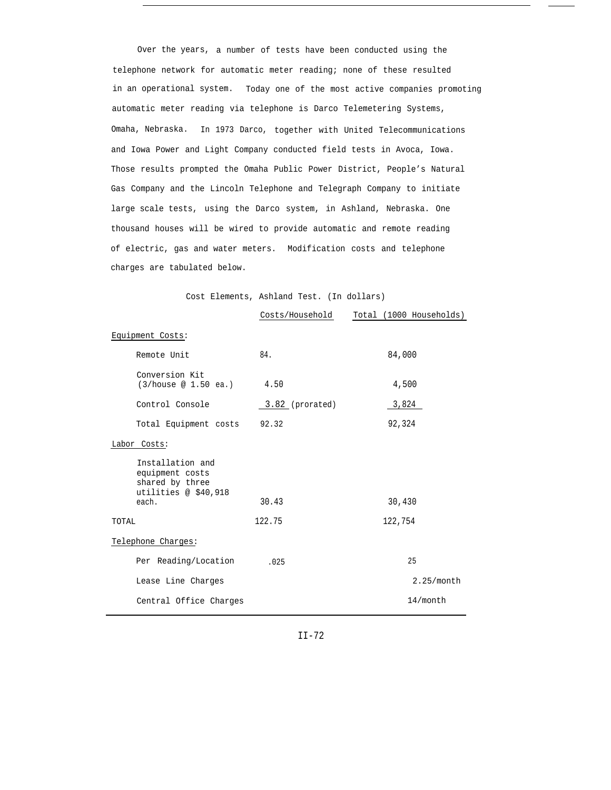Over the years, a number of tests have been conducted using the telephone network for automatic meter reading; none of these resulted in an operational system. Today one of the most active companies promoting automatic meter reading via telephone is Darco Telemetering Systems, Omaha, Nebraska. In 1973 Darco, together with United Telecommunications and Iowa Power and Light Company conducted field tests in Avoca, Iowa. Those results prompted the Omaha Public Power District, People's Natural Gas Company and the Lincoln Telephone and Telegraph Company to initiate large scale tests, using the Darco system, in Ashland, Nebraska. One thousand houses will be wired to provide automatic and remote reading of electric, gas and water meters. Modification costs and telephone charges are tabulated below.

Cost Elements, Ashland Test. (In dollars)

|                                                                                         | Costs/Household | Total (1000 Households) |
|-----------------------------------------------------------------------------------------|-----------------|-------------------------|
| Equipment Costs:                                                                        |                 |                         |
| Remote Unit                                                                             | 84.             | 84,000                  |
| Conversion Kit<br>(3/house @ 1.50 ea.)                                                  | 4.50            | 4,500                   |
| Control Console                                                                         | 3.82 (prorated) | 3,824                   |
| Total Equipment costs 92.32                                                             |                 | 92,324                  |
| Labor Costs:                                                                            |                 |                         |
| Installation and<br>equipment costs<br>shared by three<br>utilities @ \$40,918<br>each. | 30.43           | 30,430                  |
| TOTAL                                                                                   | 122.75          | 122,754                 |
| Telephone Charges:                                                                      |                 |                         |
| Per Reading/Location                                                                    | .025            | 25                      |
| Lease Line Charges                                                                      |                 | 2.25/month              |
| Central Office Charges                                                                  |                 | 14/month                |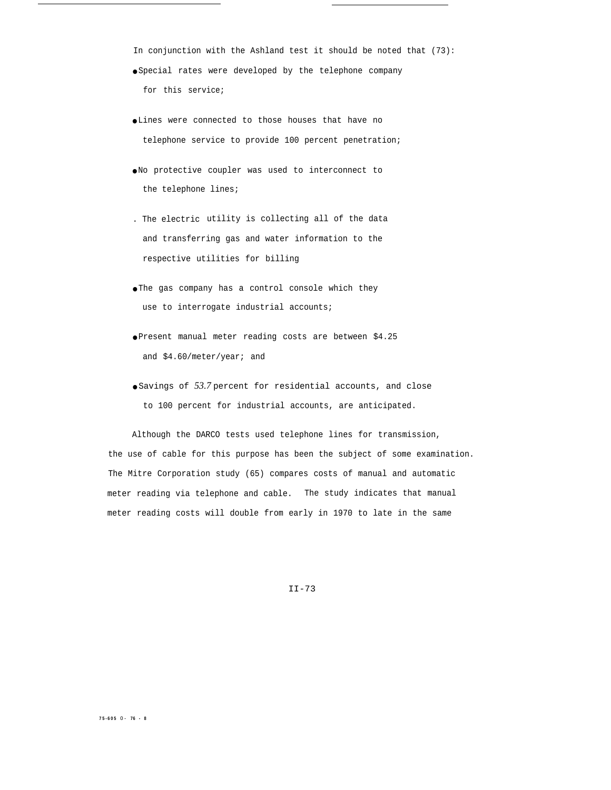- In conjunction with the Ashland test it should be noted that (73): ● Special rates were developed by the telephone company for this service;
- Lines were connected to those houses that have no telephone service to provide 100 percent penetration;
- No protective coupler was used to interconnect to the telephone lines;
- . The electric utility is collecting all of the data and transferring gas and water information to the respective utilities for billing
- The gas company has a control console which they use to interrogate industrial accounts;
- Present manual meter reading costs are between \$4.25 and \$4.60/meter/year; and
- Savings of *53.7* percent for residential accounts, and close to 100 percent for industrial accounts, are anticipated.

Although the DARCO tests used telephone lines for transmission, the use of cable for this purpose has been the subject of some examination. The Mitre Corporation study (65) compares costs of manual and automatic meter reading via telephone and cable. The study indicates that manual meter reading costs will double from early in 1970 to late in the same

II-73

#### **75-605** 0- **76 - 8**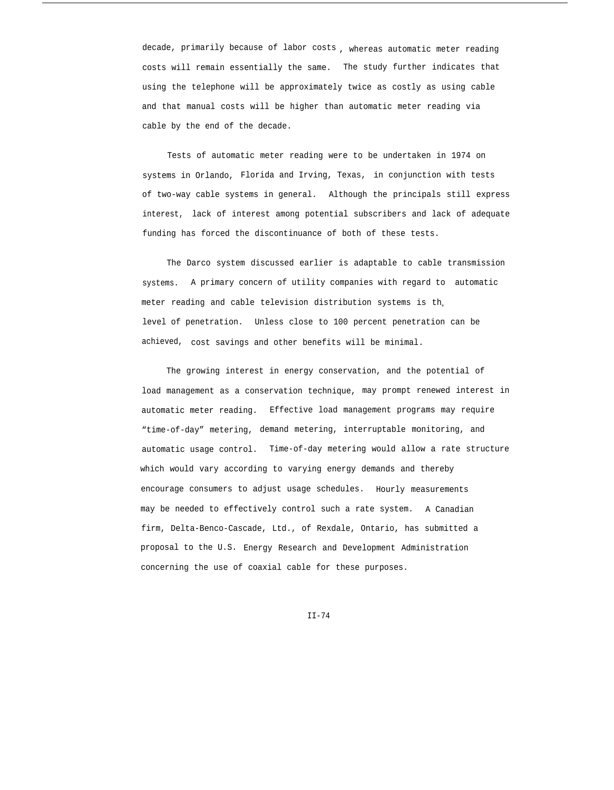decade, primarily because of labor costs , whereas automatic meter reading costs will remain essentially the same. The study further indicates that using the telephone will be approximately twice as costly as using cable and that manual costs will be higher than automatic meter reading via cable by the end of the decade.

Tests of automatic meter reading were to be undertaken in 1974 on systems in Orlando, Florida and Irving, Texas, in conjunction with tests of two-way cable systems in general. Although the principals still express interest, lack of interest among potential subscribers and lack of adequate funding has forced the discontinuance of both of these tests.

The Darco system discussed earlier is adaptable to cable transmission systems. A primary concern of utility companies with regard to automatic meter reading and cable television distribution systems is th. level of penetration. Unless close to 100 percent penetration can be achieved, cost savings and other benefits will be minimal.

The growing interest in energy conservation, and the potential of load management as a conservation technique, may prompt renewed interest in automatic meter reading. Effective load management programs may require "time-of-day" metering, demand metering, interruptable monitoring, and automatic usage control. Time-of-day metering would allow a rate structure which would vary according to varying energy demands and thereby encourage consumers to adjust usage schedules. Hourly measurements may be needed to effectively control such a rate system. A Canadian firm, Delta-Benco-Cascade, Ltd., of Rexdale, Ontario, has submitted a proposal to the U.S. Energy Research and Development Administration concerning the use of coaxial cable for these purposes.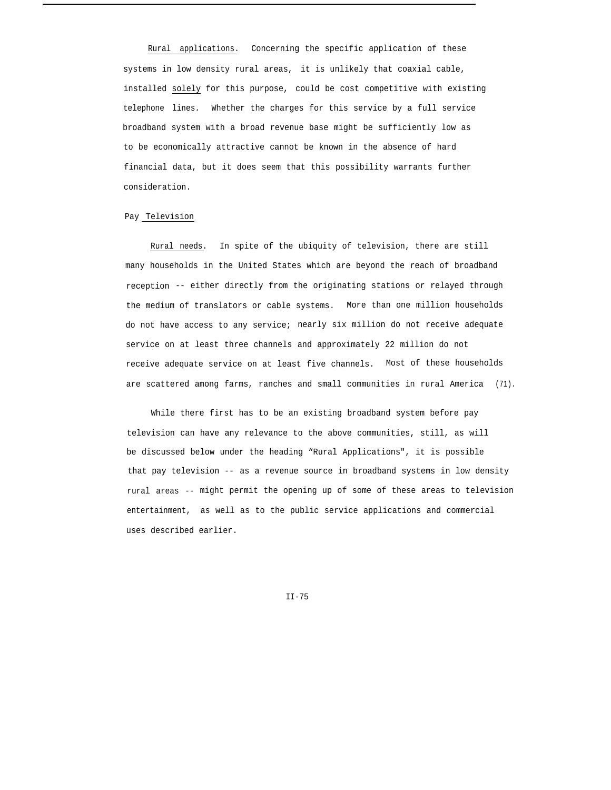Rural applications. Concerning the specific application of these systems in low density rural areas, it is unlikely that coaxial cable, installed solely for this purpose, could be cost competitive with existing telephone lines. Whether the charges for this service by a full service broadband system with a broad revenue base might be sufficiently low as to be economically attractive cannot be known in the absence of hard financial data, but it does seem that this possibility warrants further consideration.

# Pay Television

Rural needs. In spite of the ubiquity of television, there are still many households in the United States which are beyond the reach of broadband reception -- either directly from the originating stations or relayed through the medium of translators or cable systems. More than one million households do not have access to any service; nearly six million do not receive adequate service on at least three channels and approximately 22 million do not receive adequate service on at least five channels. Most of these households are scattered among farms, ranches and small communities in rural America (71).

While there first has to be an existing broadband system before pay television can have any relevance to the above communities, still, as will be discussed below under the heading "Rural Applications", it is possible that pay television -- as a revenue source in broadband systems in low density rural areas -- might permit the opening up of some of these areas to television entertainment, as well as to the public service applications and commercial uses described earlier.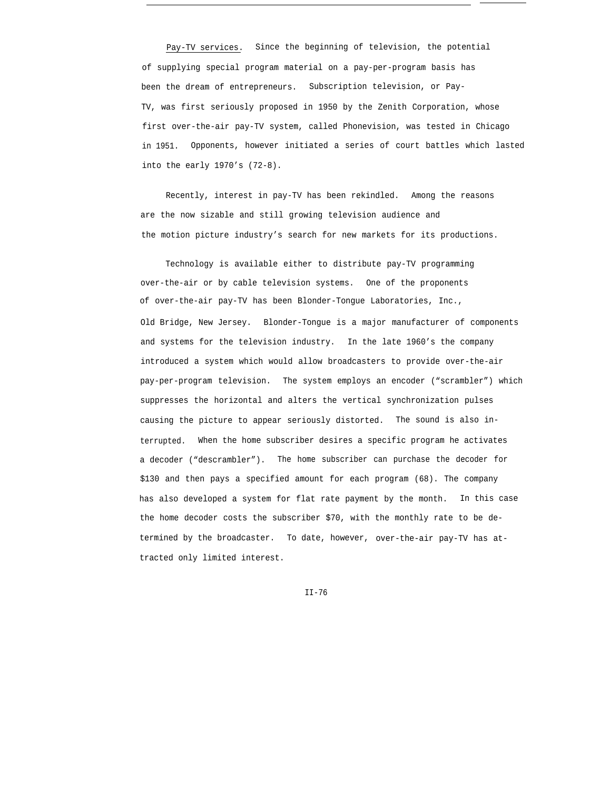Pay-TV services. Since the beginning of television, the potential of supplying special program material on a pay-per-program basis has been the dream of entrepreneurs. Subscription television, or Pay-TV, was first seriously proposed in 1950 by the Zenith Corporation, whose first over-the-air pay-TV system, called Phonevision, was tested in Chicago in 1951. Opponents, however initiated a series of court battles which lasted into the early 1970's (72-8).

Recently, interest in pay-TV has been rekindled. Among the reasons are the now sizable and still growing television audience and the motion picture industry's search for new markets for its productions.

Technology is available either to distribute pay-TV programming over-the-air or by cable television systems. One of the proponents of over-the-air pay-TV has been Blonder-Tongue Laboratories, Inc., Old Bridge, New Jersey. Blonder-Tongue is a major manufacturer of components and systems for the television industry. In the late 1960's the company introduced a system which would allow broadcasters to provide over-the-air pay-per-program television. The system employs an encoder ("scrambler") which suppresses the horizontal and alters the vertical synchronization pulses causing the picture to appear seriously distorted. The sound is also interrupted. When the home subscriber desires a specific program he activates a decoder ("descrambler"). The home subscriber can purchase the decoder for \$130 and then pays a specified amount for each program (68). The company has also developed a system for flat rate payment by the month. In this case the home decoder costs the subscriber \$70, with the monthly rate to be determined by the broadcaster. To date, however, over-the-air pay-TV has attracted only limited interest.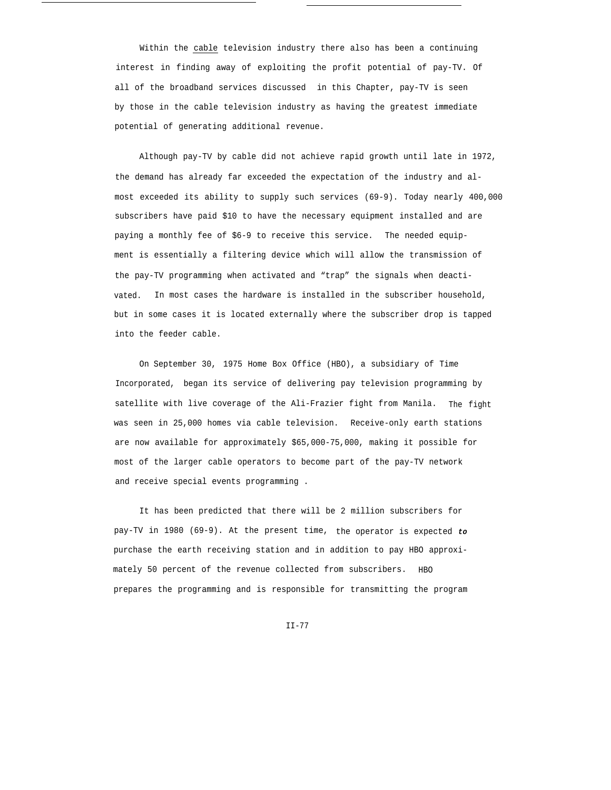Within the cable television industry there also has been a continuing interest in finding away of exploiting the profit potential of pay-TV. Of all of the broadband services discussed in this Chapter, pay-TV is seen by those in the cable television industry as having the greatest immediate potential of generating additional revenue.

Although pay-TV by cable did not achieve rapid growth until late in 1972, the demand has already far exceeded the expectation of the industry and almost exceeded its ability to supply such services (69-9). Today nearly 400,000 subscribers have paid \$10 to have the necessary equipment installed and are paying a monthly fee of \$6-9 to receive this service. The needed equipment is essentially a filtering device which will allow the transmission of the pay-TV programming when activated and "trap" the signals when deactivated. In most cases the hardware is installed in the subscriber household, but in some cases it is located externally where the subscriber drop is tapped into the feeder cable.

On September 30, 1975 Home Box Office (HBO), a subsidiary of Time Incorporated, began its service of delivering pay television programming by satellite with live coverage of the Ali-Frazier fight from Manila. The fight was seen in 25,000 homes via cable television. Receive-only earth stations are now available for approximately \$65,000-75,000, making it possible for most of the larger cable operators to become part of the pay-TV network and receive special events programming .

It has been predicted that there will be 2 million subscribers for pay-TV in 1980 (69-9). At the present time, the operator is expected **to** purchase the earth receiving station and in addition to pay HBO approximately 50 percent of the revenue collected from subscribers. HBO prepares the programming and is responsible for transmitting the program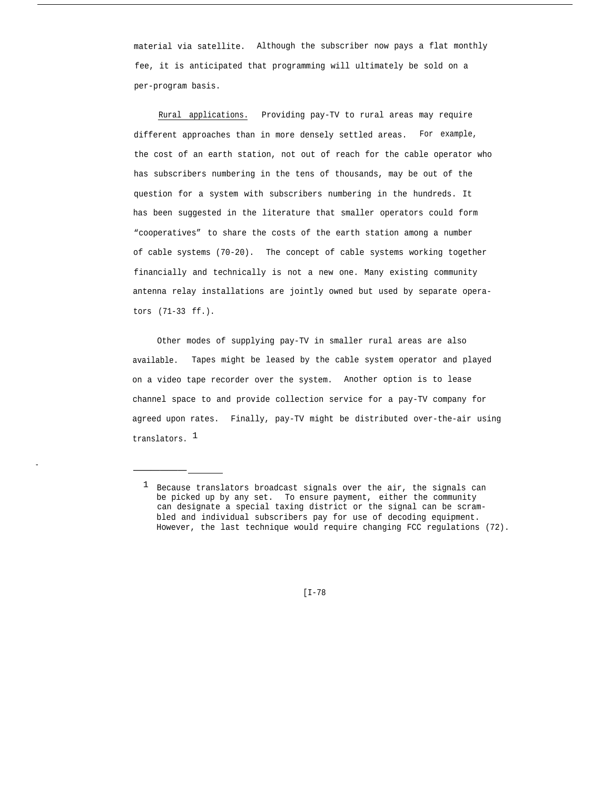material via satellite. Although the subscriber now pays a flat monthly fee, it is anticipated that programming will ultimately be sold on a per-program basis.

Rural applications. Providing pay-TV to rural areas may require different approaches than in more densely settled areas. For example, the cost of an earth station, not out of reach for the cable operator who has subscribers numbering in the tens of thousands, may be out of the question for a system with subscribers numbering in the hundreds. It has been suggested in the literature that smaller operators could form "cooperatives" to share the costs of the earth station among a number of cable systems (70-20). The concept of cable systems working together financially and technically is not a new one. Many existing community antenna relay installations are jointly owned but used by separate operators (71-33 ff.).

Other modes of supplying pay-TV in smaller rural areas are also available. Tapes might be leased by the cable system operator and played on a video tape recorder over the system. Another option is to lease channel space to and provide collection service for a pay-TV company for agreed upon rates. Finally, pay-TV might be distributed over-the-air using translators. <sup>1</sup>

——————

[I-78

<sup>&</sup>lt;sup>1</sup> Because translators broadcast signals over the air, the signals can be picked up by any set. To ensure payment, either the community can designate a special taxing district or the signal can be scrambled and individual subscribers pay for use of decoding equipment. However, the last technique would require changing FCC regulations (72).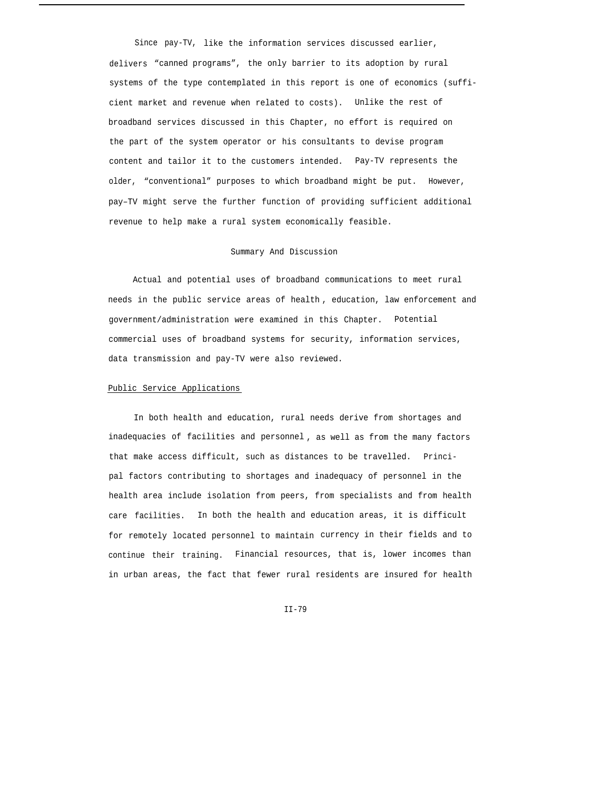Since pay-TV, like the information services discussed earlier, delivers "canned programs", the only barrier to its adoption by rural systems of the type contemplated in this report is one of economics (sufficient market and revenue when related to costs). Unlike the rest of broadband services discussed in this Chapter, no effort is required on the part of the system operator or his consultants to devise program content and tailor it to the customers intended. Pay-TV represents the older, "conventional" purposes to which broadband might be put. However, pay–TV might serve the further function of providing sufficient additional revenue to help make a rural system economically feasible.

# Summary And Discussion

Actual and potential uses of broadband communications to meet rural needs in the public service areas of health , education, law enforcement and government/administration were examined in this Chapter. Potential commercial uses of broadband systems for security, information services, data transmission and pay-TV were also reviewed.

### Public Service Applications

In both health and education, rural needs derive from shortages and inadequacies of facilities and personnel , as well as from the many factors that make access difficult, such as distances to be travelled. Principal factors contributing to shortages and inadequacy of personnel in the health area include isolation from peers, from specialists and from health care facilities. In both the health and education areas, it is difficult for remotely located personnel to maintain currency in their fields and to continue their training. Financial resources, that is, lower incomes than in urban areas, the fact that fewer rural residents are insured for health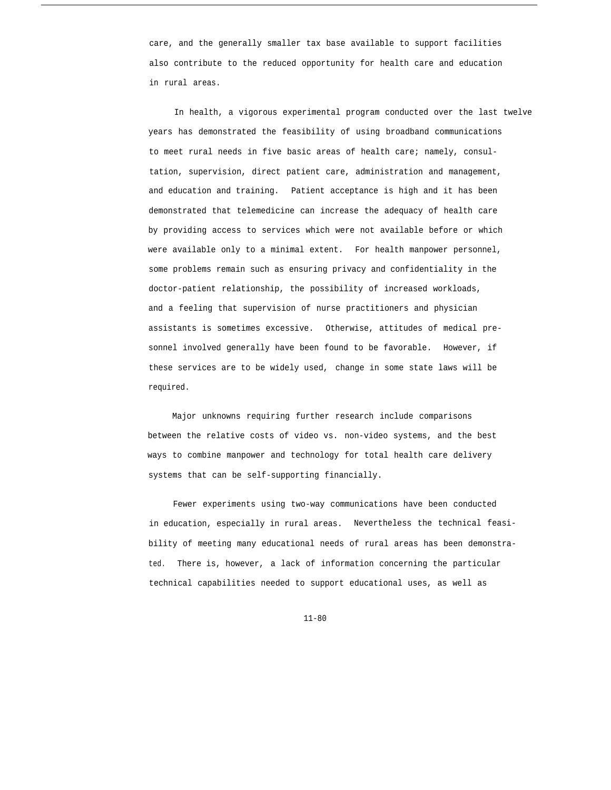care, and the generally smaller tax base available to support facilities also contribute to the reduced opportunity for health care and education in rural areas.

In health, a vigorous experimental program conducted over the last twelve years has demonstrated the feasibility of using broadband communications to meet rural needs in five basic areas of health care; namely, consultation, supervision, direct patient care, administration and management, and education and training. Patient acceptance is high and it has been demonstrated that telemedicine can increase the adequacy of health care by providing access to services which were not available before or which were available only to a minimal extent. For health manpower personnel, some problems remain such as ensuring privacy and confidentiality in the doctor-patient relationship, the possibility of increased workloads, and a feeling that supervision of nurse practitioners and physician assistants is sometimes excessive. Otherwise, attitudes of medical presonnel involved generally have been found to be favorable. However, if these services are to be widely used, change in some state laws will be required.

Major unknowns requiring further research include comparisons between the relative costs of video vs. non-video systems, and the best ways to combine manpower and technology for total health care delivery systems that can be self-supporting financially.

Fewer experiments using two-way communications have been conducted in education, especially in rural areas. Nevertheless the technical feasibility of meeting many educational needs of rural areas has been demonstrated. There is, however, a lack of information concerning the particular technical capabilities needed to support educational uses, as well as

11-80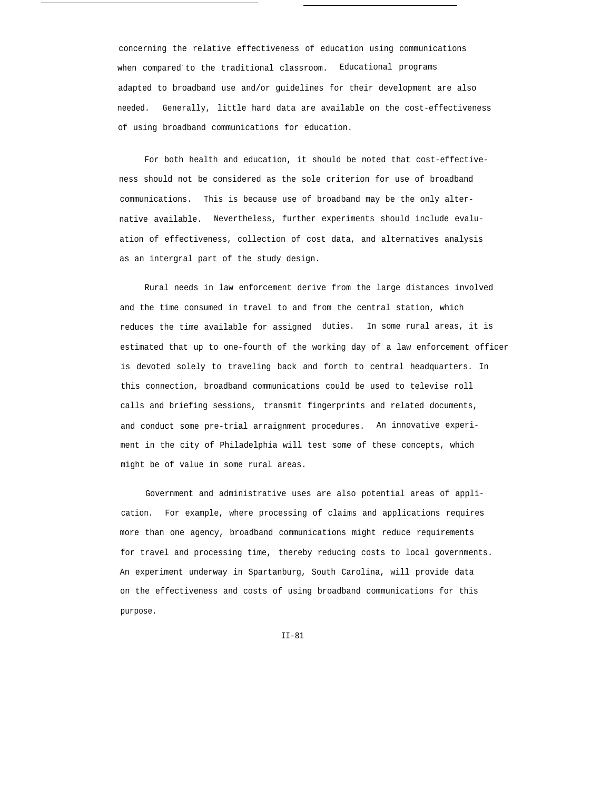concerning the relative effectiveness of education using communications when compared to the traditional classroom. Educational programs adapted to broadband use and/or guidelines for their development are also needed. Generally, little hard data are available on the cost-effectiveness of using broadband communications for education.

For both health and education, it should be noted that cost-effectiveness should not be considered as the sole criterion for use of broadband communications. This is because use of broadband may be the only alternative available. Nevertheless, further experiments should include evaluation of effectiveness, collection of cost data, and alternatives analysis as an intergral part of the study design.

Rural needs in law enforcement derive from the large distances involved and the time consumed in travel to and from the central station, which reduces the time available for assigned duties. In some rural areas, it is estimated that up to one-fourth of the working day of a law enforcement officer is devoted solely to traveling back and forth to central headquarters. In this connection, broadband communications could be used to televise roll calls and briefing sessions, transmit fingerprints and related documents, and conduct some pre-trial arraignment procedures. An innovative experiment in the city of Philadelphia will test some of these concepts, which might be of value in some rural areas.

Government and administrative uses are also potential areas of application. For example, where processing of claims and applications requires more than one agency, broadband communications might reduce requirements for travel and processing time, thereby reducing costs to local governments. An experiment underway in Spartanburg, South Carolina, will provide data on the effectiveness and costs of using broadband communications for this purpose.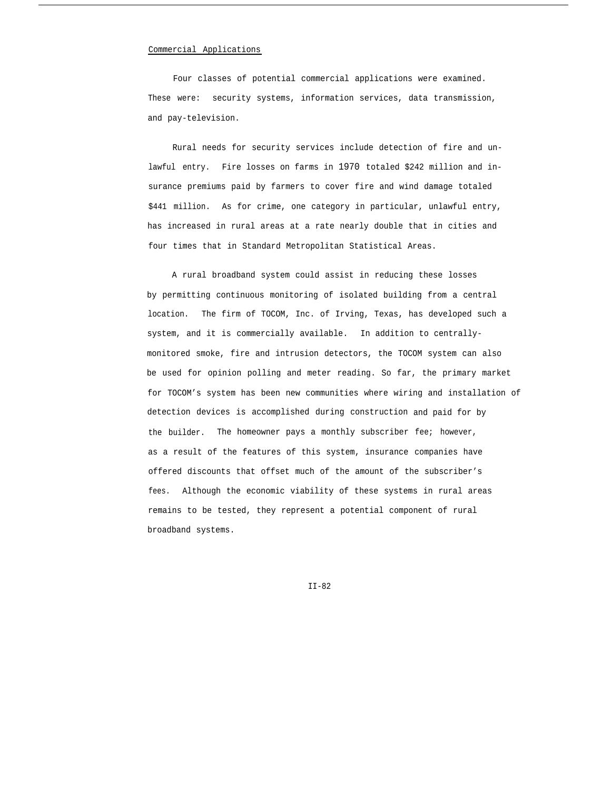### Commercial Applications

Four classes of potential commercial applications were examined. These were: security systems, information services, data transmission, and pay-television.

Rural needs for security services include detection of fire and unlawful entry. Fire losses on farms in 1970 totaled \$242 million and insurance premiums paid by farmers to cover fire and wind damage totaled \$441 million. As for crime, one category in particular, unlawful entry, has increased in rural areas at a rate nearly double that in cities and four times that in Standard Metropolitan Statistical Areas.

A rural broadband system could assist in reducing these losses by permitting continuous monitoring of isolated building from a central location. The firm of TOCOM, Inc. of Irving, Texas, has developed such a system, and it is commercially available. In addition to centrallymonitored smoke, fire and intrusion detectors, the TOCOM system can also be used for opinion polling and meter reading. So far, the primary market for TOCOM's system has been new communities where wiring and installation of detection devices is accomplished during construction and paid for by the builder. The homeowner pays a monthly subscriber fee; however, as a result of the features of this system, insurance companies have offered discounts that offset much of the amount of the subscriber's fees. Although the economic viability of these systems in rural areas remains to be tested, they represent a potential component of rural broadband systems.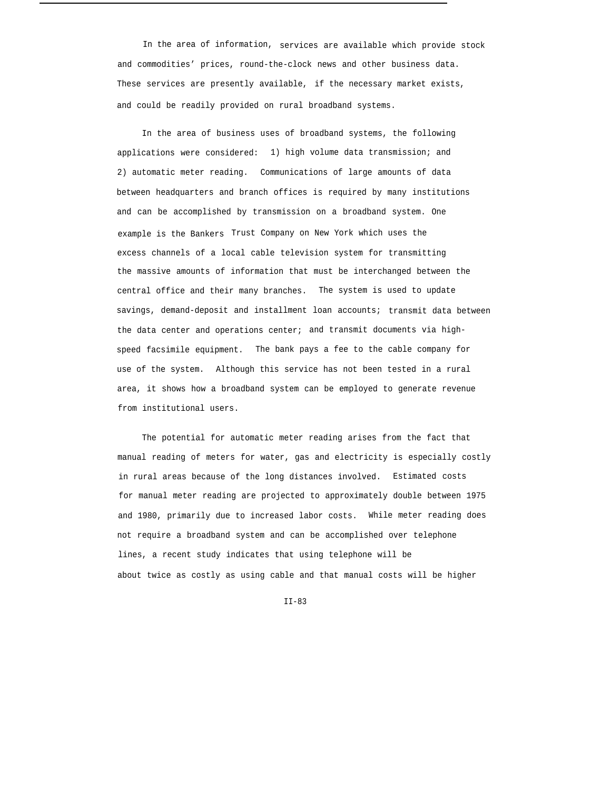In the area of information, services are available which provide stock and commodities' prices, round-the-clock news and other business data. These services are presently available, if the necessary market exists, and could be readily provided on rural broadband systems.

In the area of business uses of broadband systems, the following applications were considered: 1) high volume data transmission; and 2) automatic meter reading. Communications of large amounts of data between headquarters and branch offices is required by many institutions and can be accomplished by transmission on a broadband system. One example is the Bankers Trust Company on New York which uses the excess channels of a local cable television system for transmitting the massive amounts of information that must be interchanged between the central office and their many branches. The system is used to update savings, demand-deposit and installment loan accounts; transmit data between the data center and operations center; and transmit documents via highspeed facsimile equipment. The bank pays a fee to the cable company for use of the system. Although this service has not been tested in a rural area, it shows how a broadband system can be employed to generate revenue from institutional users.

The potential for automatic meter reading arises from the fact that manual reading of meters for water, gas and electricity is especially costly in rural areas because of the long distances involved. Estimated costs for manual meter reading are projected to approximately double between 1975 and 1980, primarily due to increased labor costs. While meter reading does not require a broadband system and can be accomplished over telephone lines, a recent study indicates that using telephone will be about twice as costly as using cable and that manual costs will be higher

 $TT - 83$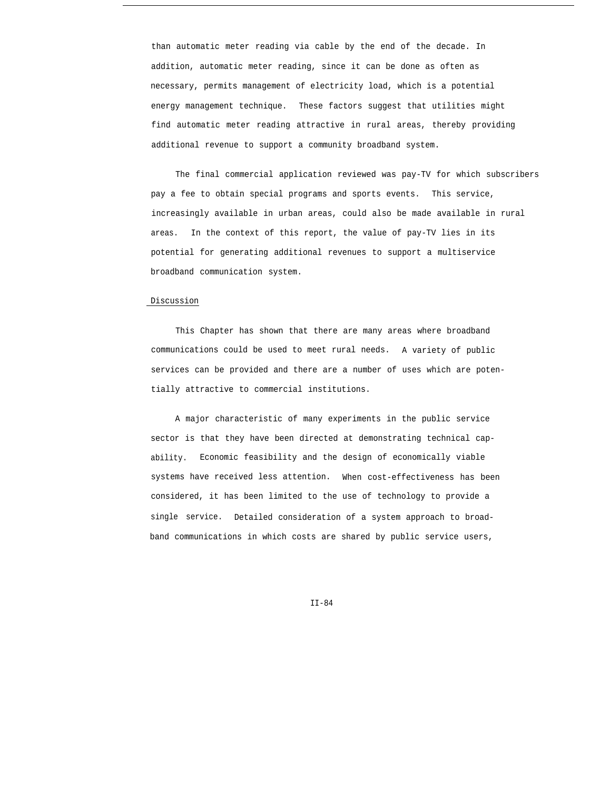than automatic meter reading via cable by the end of the decade. In addition, automatic meter reading, since it can be done as often as necessary, permits management of electricity load, which is a potential energy management technique. These factors suggest that utilities might find automatic meter reading attractive in rural areas, thereby providing additional revenue to support a community broadband system.

The final commercial application reviewed was pay-TV for which subscribers pay a fee to obtain special programs and sports events. This service, increasingly available in urban areas, could also be made available in rural areas. In the context of this report, the value of pay-TV lies in its potential for generating additional revenues to support a multiservice broadband communication system.

## Discussion

This Chapter has shown that there are many areas where broadband communications could be used to meet rural needs. A variety of public services can be provided and there are a number of uses which are potentially attractive to commercial institutions.

A major characteristic of many experiments in the public service sector is that they have been directed at demonstrating technical capability. Economic feasibility and the design of economically viable systems have received less attention. When cost-effectiveness has been considered, it has been limited to the use of technology to provide a single service. Detailed consideration of a system approach to broadband communications in which costs are shared by public service users,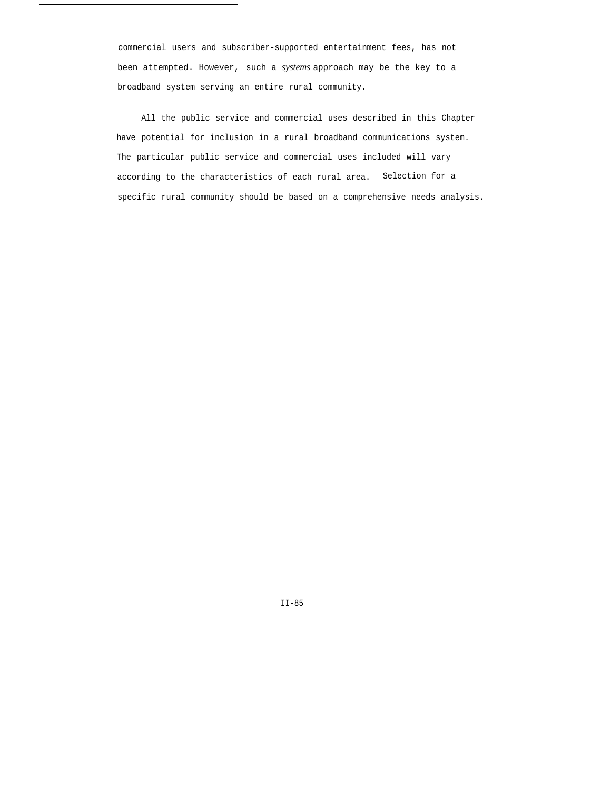commercial users and subscriber-supported entertainment fees, has not been attempted. However, such a *systems* approach may be the key to a broadband system serving an entire rural community.

All the public service and commercial uses described in this Chapter have potential for inclusion in a rural broadband communications system. The particular public service and commercial uses included will vary according to the characteristics of each rural area. Selection for a specific rural community should be based on a comprehensive needs analysis.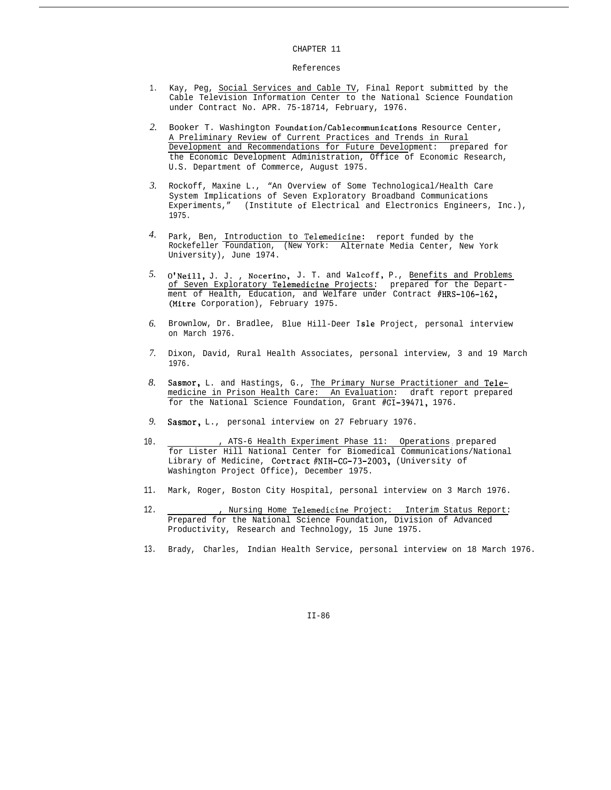#### CHAPTER 11

### References

- 1. Kay, Peg, Social Services and Cable TV, Final Report submitted by the Cable Television Information Center to the National Science Foundation under Contract No. APR. 75-18714, February, 1976.
- *2.* Booker T. Washington Foundation/Cablecommunications Resource Center, A Preliminary Review of Current Practices and Trends in Rural Development and Recommendations for Future Development: prepared for the Economic Development Administration, Office of Economic Research, U.S. Department of Commerce, August 1975.
- *3.* Rockoff, Maxine L., "An Overview of Some Technological/Health Care System Implications of Seven Exploratory Broadband Communications Experiments," (Institute of Electrical and Electronics Engineers, Inc.), 1975.
- *4.* Park, Ben, Introduction to Telemedicine: report funded by the Rockefeller Foundation, (New York: Alternate Media Center, New York University), June 1974.
- 5. O'Neill, J. J., Nocerino, J. T. and Walcoff, P., Benefits and Problems of Seven Exploratory Telemedicine Projects: prepared for the Department of Health, Education, and Welfare under Contract #HRS-106-162, (Mitre Corporation), February 1975.
- *6.* Brownlow, Dr. Bradlee, Blue Hill-Deer Isle Project, personal interview on March 1976.
- *7.* Dixon, David, Rural Health Associates, personal interview, 3 and 19 March 1976.
- *8.* Sasmor, L. and Hastings, G., The Primary Nurse Practitioner and Telemedicine in Prison Health Care: An Evaluation: draft report prepared for the National Science Foundation, Grant #GI-39471, 1976.
- *9.* Sasmor, L., personal interview on 27 February 1976.
- 10. , ATS-6 Health Experiment Phase 11: Operations: prepared for Lister Hill National Center for Biomedical Communications/National Library of Medicine, Cortract #NIH-cG-73-2003, (University of Washington Project Office), December 1975.
- 11. Mark, Roger, Boston City Hospital, personal interview on 3 March 1976.
- 12. , Nursing Home Telemedicine Project: Interim Status Report: Prepared for the National Science Foundation, Division of Advanced Productivity, Research and Technology, 15 June 1975.
- 13. Brady, Charles, Indian Health Service, personal interview on 18 March 1976.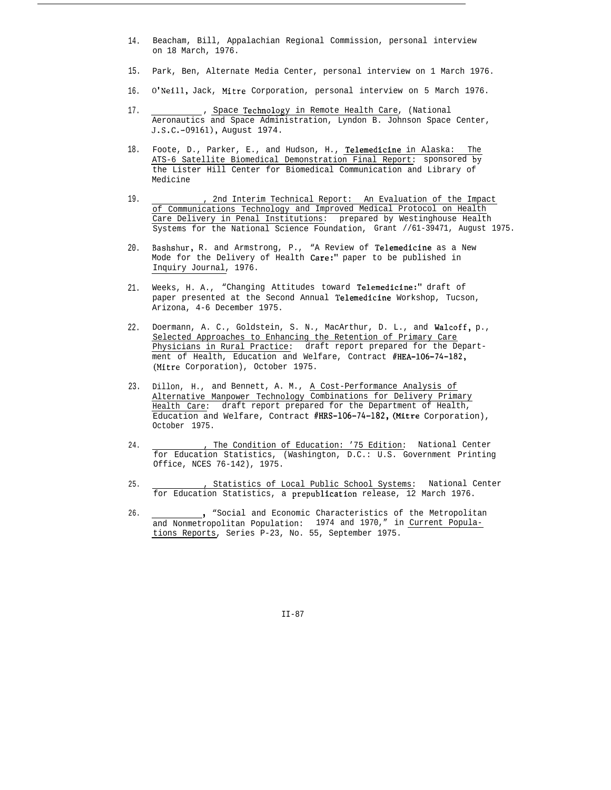- 14. Beacham, Bill, Appalachian Regional Commission, personal interview on 18 March, 1976.
- 15. Park, Ben, Alternate Media Center, personal interview on 1 March 1976.
- 16. O'Neill, Jack, Mitre Corporation, personal interview on 5 March 1976.
- 17. , Space Technology in Remote Health Care, (National Aeronautics and Space Administration, Lyndon B. Johnson Space Center, J.S.C.-O9161), August 1974.
- 18. Foote, D., Parker, E., and Hudson, H., Telemedicine in Alaska: The ATS-6 Satellite Biomedical Demonstration Final Report: sponsored by the Lister Hill Center for Biomedical Communication and Library of Medicine
- 19. , 2nd Interim Technical Report: An Evaluation of the Impact of Communications Technology and Improved Medical Protocol on Health Care Delivery in Penal Institutions: prepared by Westinghouse Health Systems for the National Science Foundation, Grant //61-39471, August 1975.
- 20. Bashshur, R. and Armstrong, P., "A Review of Telemedicine as a New Mode for the Delivery of Health Care:" paper to be published in Inquiry Journal, 1976.
- 21. Weeks, H. A., "Changing Attitudes toward Telemedicine:" draft of paper presented at the Second Annual l'elemedicine Workshop, Tucson, Arizona, 4-6 December 1975.
- 22. Doermann, A. C., Goldstein, S. N., MacArthur, D. L., and Walcoff, p., Selected Approaches to Enhancing the Retention of Primary Care Physicians in Rural Practice: draft report prepared for the Department of Health, Education and Welfare, Contract #HEA-106-74-182, (Mitre Corporation), October 1975.
- 23. Dillon, H., and Bennett, A. M., A Cost-Performance Analysis of Alternative Manpower Technology Combinations for Delivery Primary Health Care: draft report prepared for the Department of Health, Education and Welfare, Contract #HRS-106-74-182, (Mitre Corporation), October 1975.
- 24. The Condition of Education: '75 Edition: National Center for Education Statistics, (Washington, D.C.: U.S. Government Printing Office, NCES 76-142), 1975.
- 25. , Statistics of Local Public School Systems: National Center for Education Statistics, a prepublication release, 12 March 1976.
- 26. Social and Economic Characteristics of the Metropolitan and Nonmetropolitan Population: 1974 and 1970," in Current Populations Reports, Series P-23, No. 55, September 1975.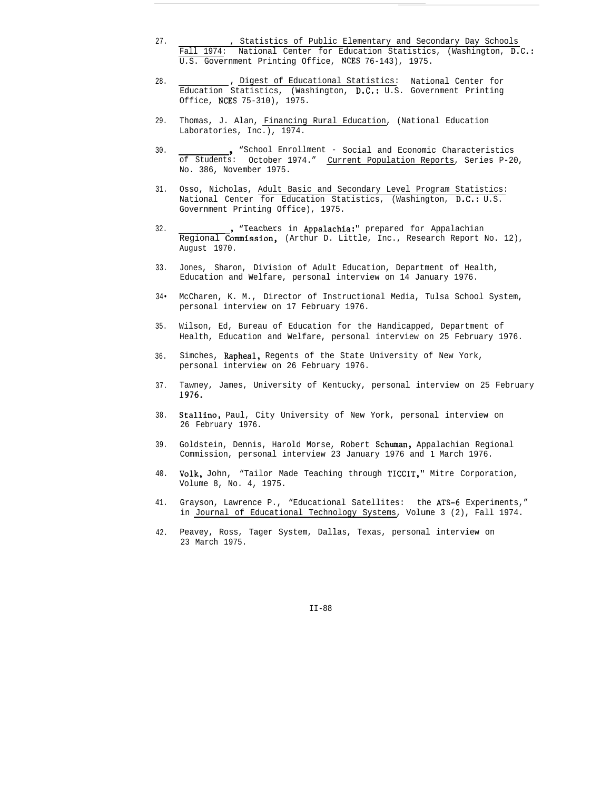- 27. , Statistics of Public Elementary and Secondary Day Schools Fall 1974: National Center for Education Statistics, (Washington, D.C.: U.S. Government Printing Office, NCES 76-143), 1975.
- 28. , Digest of Educational Statistics: National Center for Education Statistics, (Washington, D.C.: U.S. Government Printing Office, NCES 75-310), 1975.
- 29. Thomas, J. Alan, Financing Rural Education, (National Education Laboratories, Inc.), 1974.
- 30. <sup>9</sup> "School Enrollment - Social and Economic Characteristics of Students: October 1974." Current Population Reports, Series P-20, No. 386, November 1975.
- 31. Osso, Nicholas, Adult Basic and Secondary Level Program Statistics: National Center for Education Statistics, (Washington, D.C.: U.S. Government Printing Office), 1975.
- 32. "Teachers in Appalachia:" prepared for Appalachian Regional Commission, (Arthur D. Little, Inc., Research Report No. 12), August 1970.
- 33. Jones, Sharon, Division of Adult Education, Department of Health, Education and Welfare, personal interview on 14 January 1976.
- 34• McCharen, K. M., Director of Instructional Media, Tulsa School System, personal interview on 17 February 1976.
- 35. Wilson, Ed, Bureau of Education for the Handicapped, Department of Health, Education and Welfare, personal interview on 25 February 1976.
- 36. Simches, Rapheal, Regents of the State University of New York, personal interview on 26 February 1976.
- 37. Tawney, James, University of Kentucky, personal interview on 25 February 1976.
- 38. Stallino, Paul, City University of New York, personal interview on 26 February 1976.
- 39. Goldstein, Dennis, Harold Morse, Robert Schuman, Appalachian Regional Commission, personal interview 23 January 1976 and 1 March 1976.
- 40. Volk, John, "Tailor Made Teaching through TICCIT," Mitre Corporation, Volume 8, No. 4, 1975.
- 41. Grayson, Lawrence P., "Educational Satellites: the ATS-6 Experiments," in Journal of Educational Technology Systems, Volume 3 (2), Fall 1974.
- 42. Peavey, Ross, Tager System, Dallas, Texas, personal interview on 23 March 1975.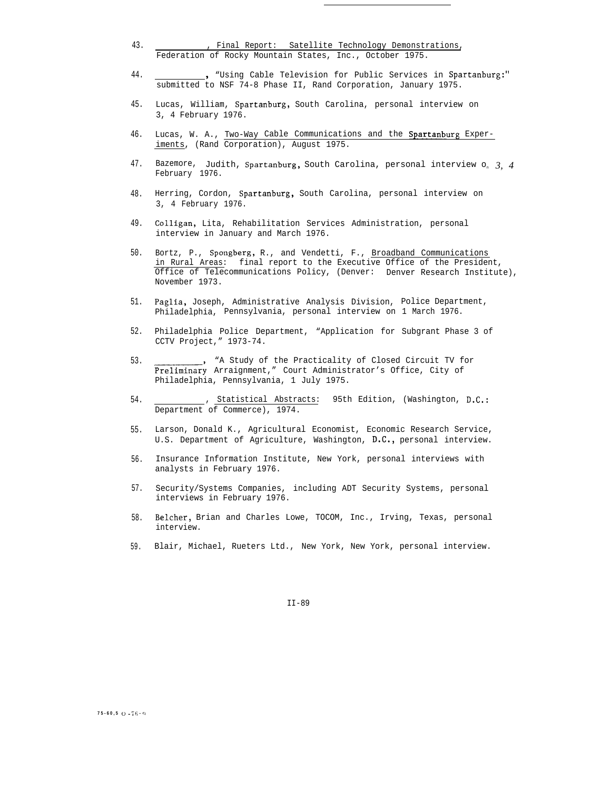- 43. , Final Report: Satellite Technology Demonstrations, Federation of Rocky Mountain States, Inc., October 1975.
- 44. <sup>9</sup> "Using Cable Television for Public Services in Spartanburg:" submitted to NSF 74-8 Phase II, Rand Corporation, January 1975.
- 45. Lucas, William, Spartanburg, South Carolina, personal interview on 3, 4 February 1976.
- 46. Lucas, W. A., Two-Way Cable Communications and the Spartanburg Experiments, (Rand Corporation), August 1975.
- 47. Bazemore, Judith, Spartanburg, South Carolina, personal interview o<sup>n</sup> *3, 4* February 1976.
- 48. Herring, Cordon, Spartanburg, South Carolina, personal interview on 3, 4 February 1976.
- 49. Colligan, Lita, Rehabilitation Services Administration, personal interview in January and March 1976.
- 50. Bortz, P., Spongberg, R., and Vendetti, F., Broadband Communications in Rural Areas: final report to the Executive Office of the President, Office of Telecommunications Policy, (Denver: Denver Research Institute), November 1973.
- 51. Paglia, Joseph, Administrative Analysis Division, Police Department, Philadelphia, Pennsylvania, personal interview on 1 March 1976.
- 52. Philadelphia Police Department, "Application for Subgrant Phase 3 of CCTV Project," 1973-74.
- 53. "A Study of the Practicality of Closed Circuit TV for Preliminary Arraignment," Court Administrator's Office, City of Philadelphia, Pennsylvania, 1 July 1975.
- 54. , Statistical Abstracts: 95th Edition, (Washington, D.C.: Department of Commerce), 1974.
- 55. Larson, Donald K., Agricultural Economist, Economic Research Service, U.S. Department of Agriculture, Washington, D.C., personal interview.
- 56. Insurance Information Institute, New York, personal interviews with analysts in February 1976.
- 57. Security/Systems Companies, including ADT Security Systems, personal interviews in February 1976.
- 58. Belcher, Brian and Charles Lowe, TOCOM, Inc., Irving, Texas, personal interview.
- 59. Blair, Michael, Rueters Ltd., New York, New York, personal interview.